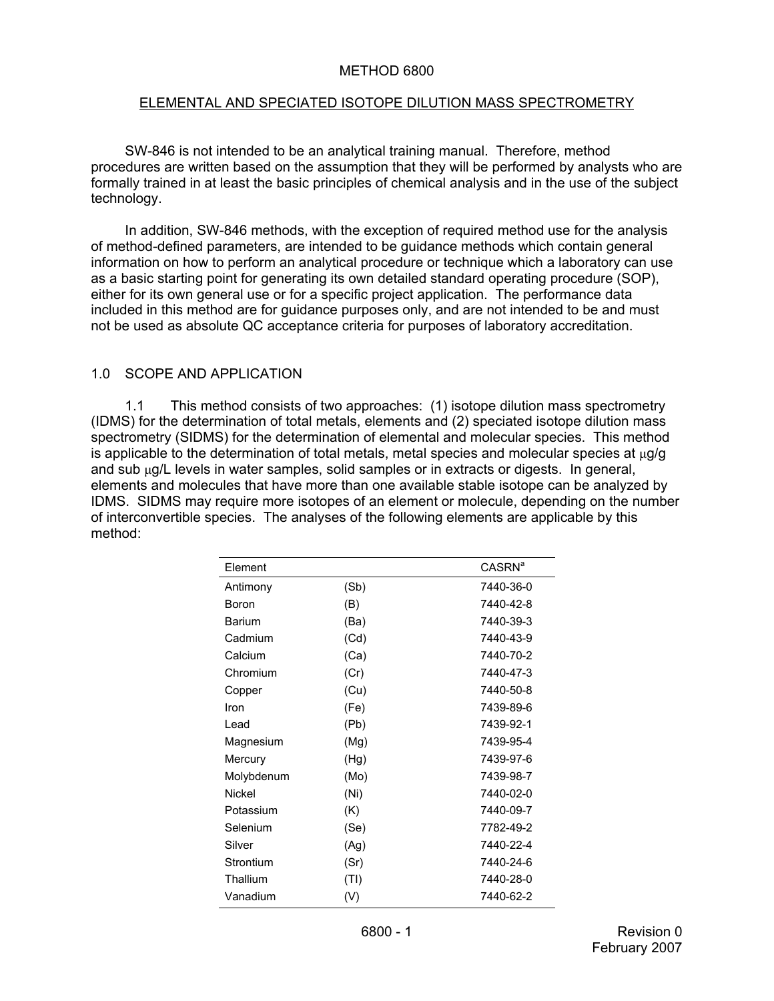### METHOD 6800

### ELEMENTAL AND SPECIATED ISOTOPE DILUTION MASS SPECTROMETRY

SW-846 is not intended to be an analytical training manual. Therefore, method procedures are written based on the assumption that they will be performed by analysts who are formally trained in at least the basic principles of chemical analysis and in the use of the subject technology.

In addition, SW-846 methods, with the exception of required method use for the analysis of method-defined parameters, are intended to be guidance methods which contain general information on how to perform an analytical procedure or technique which a laboratory can use as a basic starting point for generating its own detailed standard operating procedure (SOP), either for its own general use or for a specific project application. The performance data included in this method are for guidance purposes only, and are not intended to be and must not be used as absolute QC acceptance criteria for purposes of laboratory accreditation.

### 1.0 SCOPE AND APPLICATION

1.1 This method consists of two approaches: (1) isotope dilution mass spectrometry (IDMS) for the determination of total metals, elements and (2) speciated isotope dilution mass spectrometry (SIDMS) for the determination of elemental and molecular species. This method is applicable to the determination of total metals, metal species and molecular species at  $\mu q/q$ and sub µg/L levels in water samples, solid samples or in extracts or digests. In general, elements and molecules that have more than one available stable isotope can be analyzed by IDMS. SIDMS may require more isotopes of an element or molecule, depending on the number of interconvertible species. The analyses of the following elements are applicable by this method:

| Element       |      | <b>CASRN<sup>a</sup></b> |
|---------------|------|--------------------------|
| Antimony      | (Sb) | 7440-36-0                |
| Boron         | (B)  | 7440-42-8                |
| <b>Barium</b> | (Ba) | 7440-39-3                |
| Cadmium       | (Cd) | 7440-43-9                |
| Calcium       | (Ca) | 7440-70-2                |
| Chromium      | (Cr) | 7440-47-3                |
| Copper        | (Cu) | 7440-50-8                |
| Iron          | (Fe) | 7439-89-6                |
| Lead          | (Pb) | 7439-92-1                |
| Magnesium     | (Mg) | 7439-95-4                |
| Mercury       | (Hg) | 7439-97-6                |
| Molybdenum    | (Mo) | 7439-98-7                |
| Nickel        | (Ni) | 7440-02-0                |
| Potassium     | (K)  | 7440-09-7                |
| Selenium      | (Se) | 7782-49-2                |
| Silver        | (Ag) | 7440-22-4                |
| Strontium     | (Sr) | 7440-24-6                |
| Thallium      | (TI) | 7440-28-0                |
| Vanadium      | (V)  | 7440-62-2                |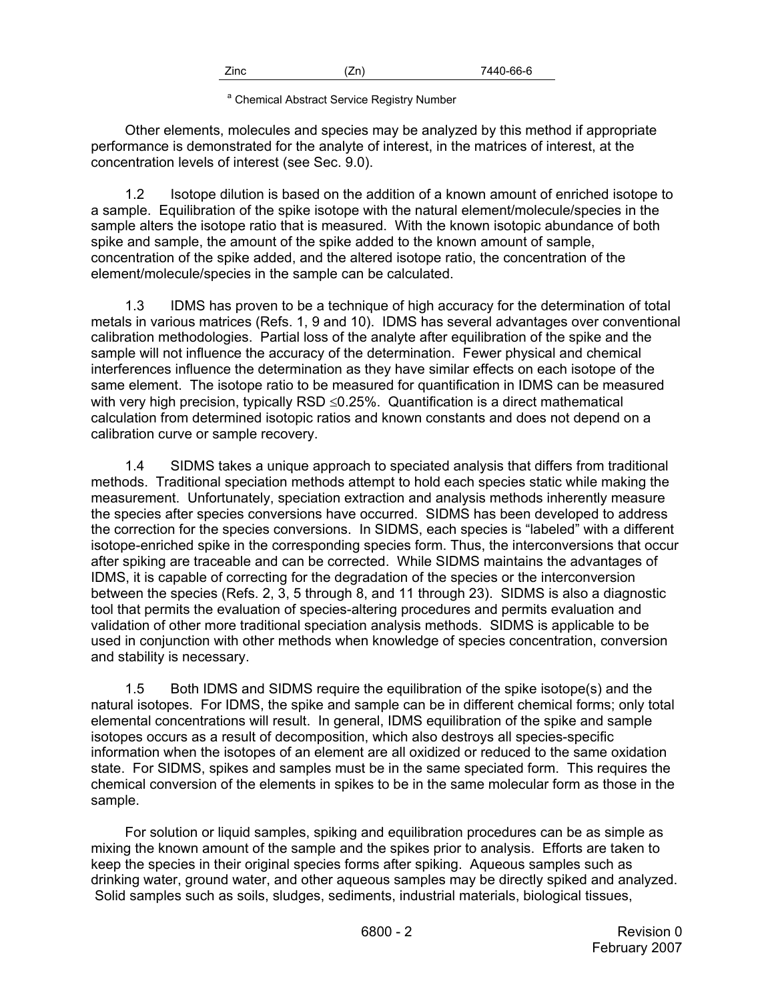| Zinc | Zn) | 7440-66-6 |
|------|-----|-----------|
|      |     |           |

<sup>a</sup> Chemical Abstract Service Registry Number

Other elements, molecules and species may be analyzed by this method if appropriate performance is demonstrated for the analyte of interest, in the matrices of interest, at the concentration levels of interest (see Sec. 9.0).

1.2 Isotope dilution is based on the addition of a known amount of enriched isotope to a sample. Equilibration of the spike isotope with the natural element/molecule/species in the sample alters the isotope ratio that is measured. With the known isotopic abundance of both spike and sample, the amount of the spike added to the known amount of sample, concentration of the spike added, and the altered isotope ratio, the concentration of the element/molecule/species in the sample can be calculated.

1.3 IDMS has proven to be a technique of high accuracy for the determination of total metals in various matrices (Refs. 1, 9 and 10). IDMS has several advantages over conventional calibration methodologies. Partial loss of the analyte after equilibration of the spike and the sample will not influence the accuracy of the determination. Fewer physical and chemical interferences influence the determination as they have similar effects on each isotope of the same element. The isotope ratio to be measured for quantification in IDMS can be measured with very high precision, typically RSD  $\leq$ 0.25%. Quantification is a direct mathematical calculation from determined isotopic ratios and known constants and does not depend on a calibration curve or sample recovery.

1.4 SIDMS takes a unique approach to speciated analysis that differs from traditional methods. Traditional speciation methods attempt to hold each species static while making the measurement. Unfortunately, speciation extraction and analysis methods inherently measure the species after species conversions have occurred. SIDMS has been developed to address the correction for the species conversions. In SIDMS, each species is "labeled" with a different isotope-enriched spike in the corresponding species form. Thus, the interconversions that occur after spiking are traceable and can be corrected. While SIDMS maintains the advantages of IDMS, it is capable of correcting for the degradation of the species or the interconversion between the species (Refs. 2, 3, 5 through 8, and 11 through 23). SIDMS is also a diagnostic tool that permits the evaluation of species-altering procedures and permits evaluation and validation of other more traditional speciation analysis methods. SIDMS is applicable to be used in conjunction with other methods when knowledge of species concentration, conversion and stability is necessary.

1.5 Both IDMS and SIDMS require the equilibration of the spike isotope(s) and the natural isotopes. For IDMS, the spike and sample can be in different chemical forms; only total elemental concentrations will result. In general, IDMS equilibration of the spike and sample isotopes occurs as a result of decomposition, which also destroys all species-specific information when the isotopes of an element are all oxidized or reduced to the same oxidation state. For SIDMS, spikes and samples must be in the same speciated form. This requires the chemical conversion of the elements in spikes to be in the same molecular form as those in the sample.

For solution or liquid samples, spiking and equilibration procedures can be as simple as mixing the known amount of the sample and the spikes prior to analysis. Efforts are taken to keep the species in their original species forms after spiking. Aqueous samples such as drinking water, ground water, and other aqueous samples may be directly spiked and analyzed. Solid samples such as soils, sludges, sediments, industrial materials, biological tissues,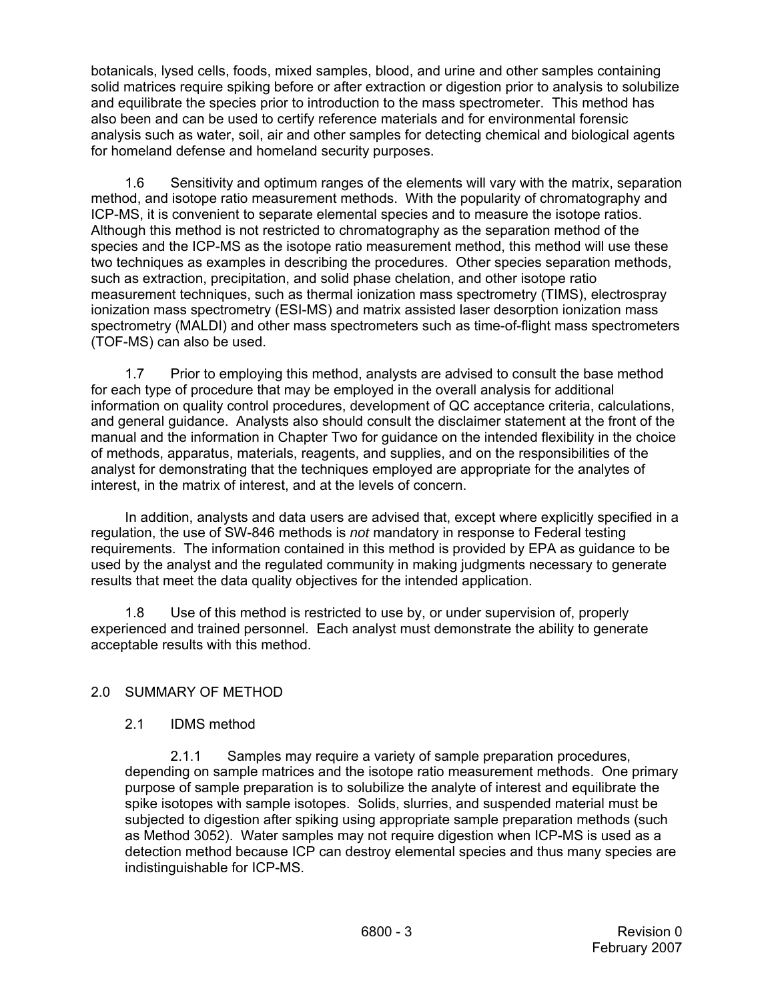botanicals, lysed cells, foods, mixed samples, blood, and urine and other samples containing solid matrices require spiking before or after extraction or digestion prior to analysis to solubilize and equilibrate the species prior to introduction to the mass spectrometer. This method has also been and can be used to certify reference materials and for environmental forensic analysis such as water, soil, air and other samples for detecting chemical and biological agents for homeland defense and homeland security purposes.

1.6 Sensitivity and optimum ranges of the elements will vary with the matrix, separation method, and isotope ratio measurement methods. With the popularity of chromatography and ICP-MS, it is convenient to separate elemental species and to measure the isotope ratios. Although this method is not restricted to chromatography as the separation method of the species and the ICP-MS as the isotope ratio measurement method, this method will use these two techniques as examples in describing the procedures. Other species separation methods, such as extraction, precipitation, and solid phase chelation, and other isotope ratio measurement techniques, such as thermal ionization mass spectrometry (TIMS), electrospray ionization mass spectrometry (ESI-MS) and matrix assisted laser desorption ionization mass spectrometry (MALDI) and other mass spectrometers such as time-of-flight mass spectrometers (TOF-MS) can also be used.

1.7 Prior to employing this method, analysts are advised to consult the base method for each type of procedure that may be employed in the overall analysis for additional information on quality control procedures, development of QC acceptance criteria, calculations, and general guidance. Analysts also should consult the disclaimer statement at the front of the manual and the information in Chapter Two for guidance on the intended flexibility in the choice of methods, apparatus, materials, reagents, and supplies, and on the responsibilities of the analyst for demonstrating that the techniques employed are appropriate for the analytes of interest, in the matrix of interest, and at the levels of concern.

In addition, analysts and data users are advised that, except where explicitly specified in a regulation, the use of SW-846 methods is *not* mandatory in response to Federal testing requirements. The information contained in this method is provided by EPA as guidance to be used by the analyst and the regulated community in making judgments necessary to generate results that meet the data quality objectives for the intended application.

1.8 Use of this method is restricted to use by, or under supervision of, properly experienced and trained personnel. Each analyst must demonstrate the ability to generate acceptable results with this method.

# 2.0 SUMMARY OF METHOD

# 2.1 IDMS method

2.1.1 Samples may require a variety of sample preparation procedures, depending on sample matrices and the isotope ratio measurement methods. One primary purpose of sample preparation is to solubilize the analyte of interest and equilibrate the spike isotopes with sample isotopes. Solids, slurries, and suspended material must be subjected to digestion after spiking using appropriate sample preparation methods (such as Method 3052). Water samples may not require digestion when ICP-MS is used as a detection method because ICP can destroy elemental species and thus many species are indistinguishable for ICP-MS.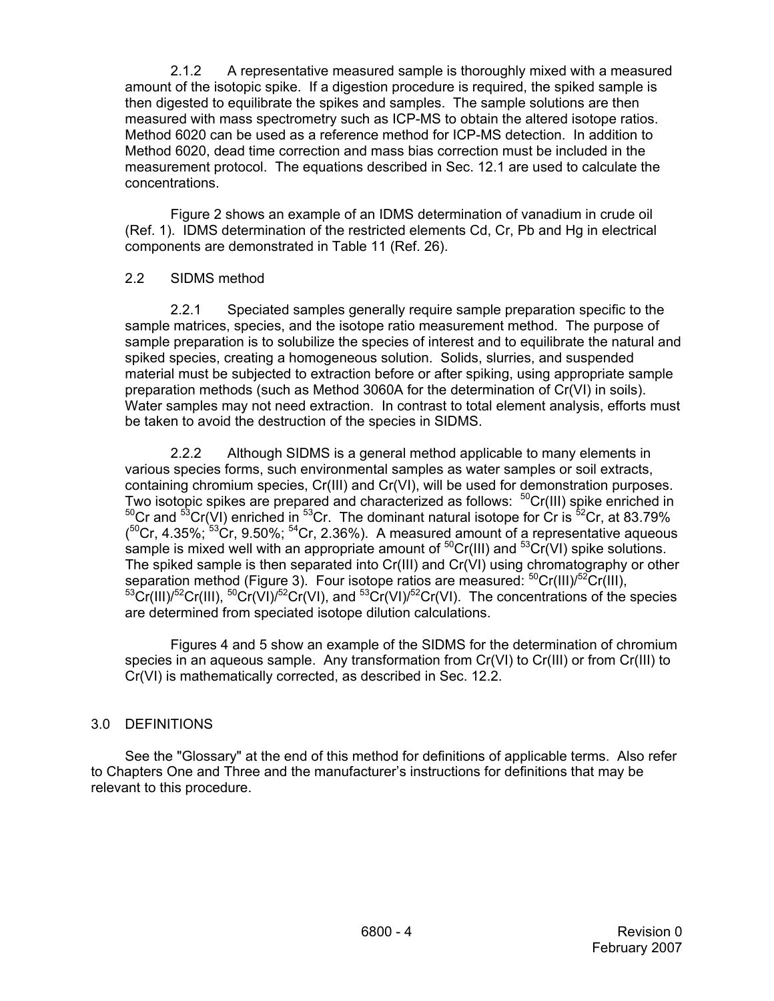2.1.2 A representative measured sample is thoroughly mixed with a measured amount of the isotopic spike. If a digestion procedure is required, the spiked sample is then digested to equilibrate the spikes and samples. The sample solutions are then measured with mass spectrometry such as ICP-MS to obtain the altered isotope ratios. Method 6020 can be used as a reference method for ICP-MS detection. In addition to Method 6020, dead time correction and mass bias correction must be included in the measurement protocol. The equations described in Sec. 12.1 are used to calculate the concentrations.

Figure 2 shows an example of an IDMS determination of vanadium in crude oil (Ref. 1). IDMS determination of the restricted elements Cd, Cr, Pb and Hg in electrical components are demonstrated in Table 11 (Ref. 26).

## 2.2 SIDMS method

2.2.1 Speciated samples generally require sample preparation specific to the sample matrices, species, and the isotope ratio measurement method. The purpose of sample preparation is to solubilize the species of interest and to equilibrate the natural and spiked species, creating a homogeneous solution. Solids, slurries, and suspended material must be subjected to extraction before or after spiking, using appropriate sample preparation methods (such as Method 3060A for the determination of Cr(VI) in soils). Water samples may not need extraction. In contrast to total element analysis, efforts must be taken to avoid the destruction of the species in SIDMS.

2.2.2 Although SIDMS is a general method applicable to many elements in various species forms, such environmental samples as water samples or soil extracts, containing chromium species, Cr(III) and Cr(VI), will be used for demonstration purposes. Two isotopic spikes are prepared and characterized as follows: <sup>50</sup>Cr(III) spike enriched in  $50Cr$  and  $53Cr(VI)$  enriched in  $53Cr$ . The dominant natural isotope for Cr is  $52Cr$ , at 83.79%  $(50Cr, 4.35\%; 53Cr, 9.50\%; 54Cr, 2.36\%)$ . A measured amount of a representative aqueous sample is mixed well with an appropriate amount of  ${}^{50}Cr(III)$  and  ${}^{53}Cr(VI)$  spike solutions. The spiked sample is then separated into Cr(III) and Cr(VI) using chromatography or other separation method (Figure 3). Four isotope ratios are measured: <sup>50</sup>Cr(III)/<sup>52</sup>Cr(III),  ${}^{53}Cr(HJ)^{52}Cr(HJ), {}^{50}Cr(VJ)^{52}Cr(VJ),$  and  ${}^{53}Cr(VJ)^{52}Cr(VJ)$ . The concentrations of the species are determined from speciated isotope dilution calculations.

Figures 4 and 5 show an example of the SIDMS for the determination of chromium species in an aqueous sample. Any transformation from Cr(VI) to Cr(III) or from Cr(III) to Cr(VI) is mathematically corrected, as described in Sec. 12.2.

## 3.0 DEFINITIONS

See the "Glossary" at the end of this method for definitions of applicable terms. Also refer to Chapters One and Three and the manufacturer's instructions for definitions that may be relevant to this procedure.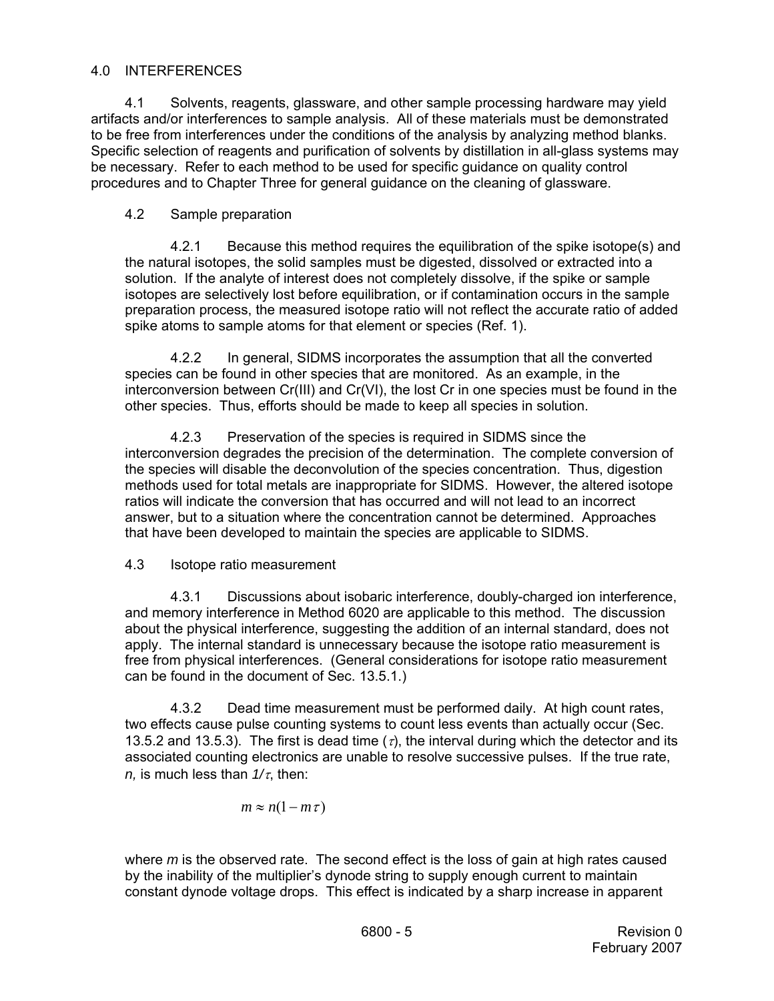# 4.0 INTERFERENCES

4.1 Solvents, reagents, glassware, and other sample processing hardware may yield artifacts and/or interferences to sample analysis. All of these materials must be demonstrated to be free from interferences under the conditions of the analysis by analyzing method blanks. Specific selection of reagents and purification of solvents by distillation in all-glass systems may be necessary. Refer to each method to be used for specific guidance on quality control procedures and to Chapter Three for general guidance on the cleaning of glassware.

# 4.2 Sample preparation

4.2.1 Because this method requires the equilibration of the spike isotope(s) and the natural isotopes, the solid samples must be digested, dissolved or extracted into a solution. If the analyte of interest does not completely dissolve, if the spike or sample isotopes are selectively lost before equilibration, or if contamination occurs in the sample preparation process, the measured isotope ratio will not reflect the accurate ratio of added spike atoms to sample atoms for that element or species (Ref. 1).

4.2.2 In general, SIDMS incorporates the assumption that all the converted species can be found in other species that are monitored. As an example, in the interconversion between Cr(III) and Cr(VI), the lost Cr in one species must be found in the other species. Thus, efforts should be made to keep all species in solution.

4.2.3 Preservation of the species is required in SIDMS since the interconversion degrades the precision of the determination. The complete conversion of the species will disable the deconvolution of the species concentration. Thus, digestion methods used for total metals are inappropriate for SIDMS. However, the altered isotope ratios will indicate the conversion that has occurred and will not lead to an incorrect answer, but to a situation where the concentration cannot be determined. Approaches that have been developed to maintain the species are applicable to SIDMS.

## 4.3 Isotope ratio measurement

4.3.1 Discussions about isobaric interference, doubly-charged ion interference, and memory interference in Method 6020 are applicable to this method. The discussion about the physical interference, suggesting the addition of an internal standard, does not apply. The internal standard is unnecessary because the isotope ratio measurement is free from physical interferences. (General considerations for isotope ratio measurement can be found in the document of Sec. 13.5.1.)

4.3.2 Dead time measurement must be performed daily. At high count rates, two effects cause pulse counting systems to count less events than actually occur (Sec. 13.5.2 and 13.5.3). The first is dead time  $(\tau)$ , the interval during which the detector and its associated counting electronics are unable to resolve successive pulses. If the true rate, *n,* is much less than *1/*τ, then:

$$
m \approx n(1 - m\tau)
$$

where *m* is the observed rate. The second effect is the loss of gain at high rates caused by the inability of the multiplier's dynode string to supply enough current to maintain constant dynode voltage drops. This effect is indicated by a sharp increase in apparent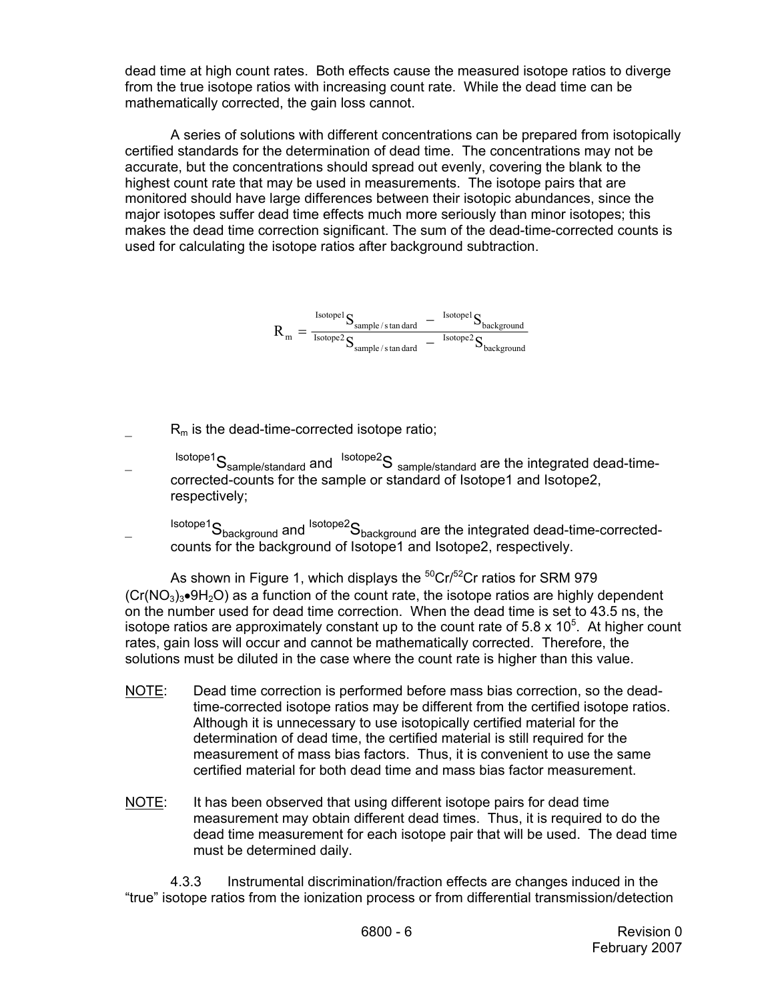dead time at high count rates. Both effects cause the measured isotope ratios to diverge from the true isotope ratios with increasing count rate. While the dead time can be mathematically corrected, the gain loss cannot.

A series of solutions with different concentrations can be prepared from isotopically certified standards for the determination of dead time. The concentrations may not be accurate, but the concentrations should spread out evenly, covering the blank to the highest count rate that may be used in measurements. The isotope pairs that are monitored should have large differences between their isotopic abundances, since the major isotopes suffer dead time effects much more seriously than minor isotopes; this makes the dead time correction significant. The sum of the dead-time-corrected counts is used for calculating the isotope ratios after background subtraction.

$$
R_{m}=\frac{\frac{\text{Isotope1}}{\text{Isotope2}}S_{\text{sample/s tan dard}}-\frac{\text{Isotope1}}{\text{Isotope2}}S_{\text{background}}}{S_{\text{sample/s tan dard}}-\frac{\text{Isotope1}}{\text{Isotope2}}S_{\text{background}}}
$$

 $R_m$  is the dead-time-corrected isotope ratio;

 $I<sub>sotope1</sub>S<sub>sample/standard</sub>$  and  $I<sub>sotope2</sub>S<sub>sample/standard</sub>$  are the integrated dead-timecorrected-counts for the sample or standard of Isotope1 and Isotope2, respectively;

 $sotope<sup>1</sup>S<sub>background</sub>$  and  $sotope<sup>2</sup>S<sub>background</sub>$  are the integrated dead-time-correctedcounts for the background of Isotope1 and Isotope2, respectively.

As shown in Figure 1, which displays the  $50Cr/52Cr$  ratios for SRM 979  $(Cr(NO<sub>3</sub>)<sub>3</sub>•9H<sub>2</sub>O)$  as a function of the count rate, the isotope ratios are highly dependent on the number used for dead time correction. When the dead time is set to 43.5 ns, the isotope ratios are approximately constant up to the count rate of 5.8 x  $10^5$ . At higher count rates, gain loss will occur and cannot be mathematically corrected. Therefore, the solutions must be diluted in the case where the count rate is higher than this value.

- NOTE: Dead time correction is performed before mass bias correction, so the deadtime-corrected isotope ratios may be different from the certified isotope ratios. Although it is unnecessary to use isotopically certified material for the determination of dead time, the certified material is still required for the measurement of mass bias factors. Thus, it is convenient to use the same certified material for both dead time and mass bias factor measurement.
- NOTE: It has been observed that using different isotope pairs for dead time measurement may obtain different dead times. Thus, it is required to do the dead time measurement for each isotope pair that will be used. The dead time must be determined daily.

4.3.3 Instrumental discrimination/fraction effects are changes induced in the "true" isotope ratios from the ionization process or from differential transmission/detection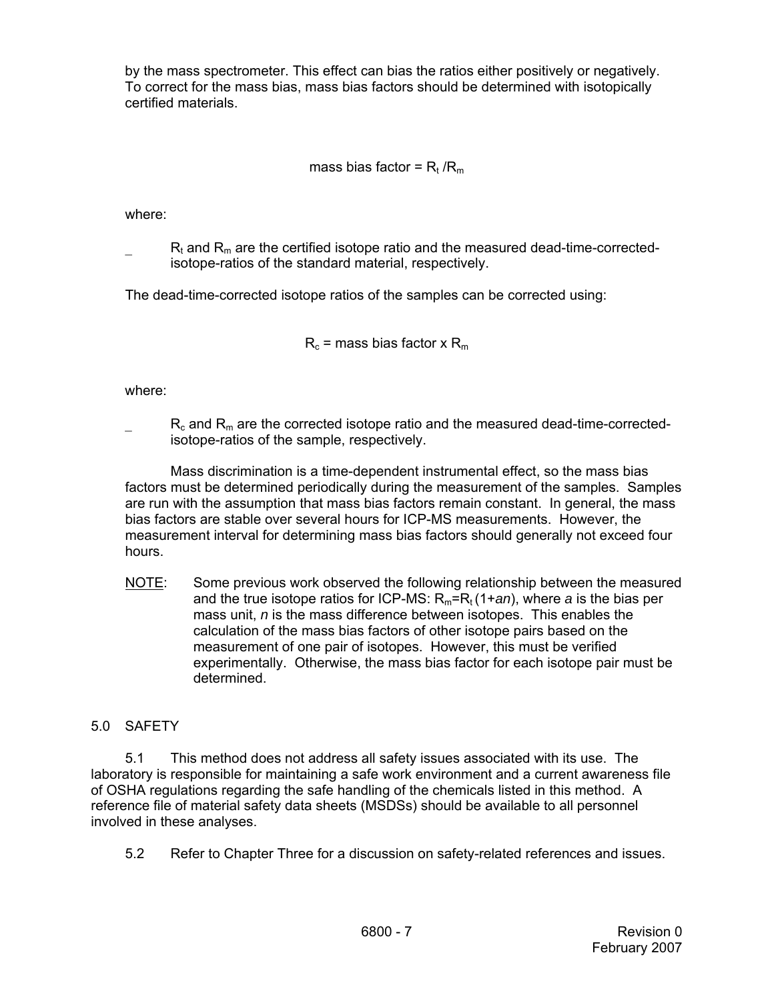by the mass spectrometer. This effect can bias the ratios either positively or negatively. To correct for the mass bias, mass bias factors should be determined with isotopically certified materials.

# mass bias factor =  $R_t / R_m$

where:

 $R_t$  and  $R_m$  are the certified isotope ratio and the measured dead-time-correctedisotope-ratios of the standard material, respectively.

The dead-time-corrected isotope ratios of the samples can be corrected using:

 $R_c$  = mass bias factor x  $R_m$ 

where:

 $R_c$  and  $R_m$  are the corrected isotope ratio and the measured dead-time-correctedisotope-ratios of the sample, respectively.

Mass discrimination is a time-dependent instrumental effect, so the mass bias factors must be determined periodically during the measurement of the samples. Samples are run with the assumption that mass bias factors remain constant. In general, the mass bias factors are stable over several hours for ICP-MS measurements. However, the measurement interval for determining mass bias factors should generally not exceed four hours.

NOTE: Some previous work observed the following relationship between the measured and the true isotope ratios for ICP-MS:  $R_m = R_t (1 + an)$ , where *a* is the bias per mass unit, *n* is the mass difference between isotopes. This enables the calculation of the mass bias factors of other isotope pairs based on the measurement of one pair of isotopes. However, this must be verified experimentally. Otherwise, the mass bias factor for each isotope pair must be determined.

# 5.0 SAFETY

5.1 This method does not address all safety issues associated with its use. The laboratory is responsible for maintaining a safe work environment and a current awareness file of OSHA regulations regarding the safe handling of the chemicals listed in this method. A reference file of material safety data sheets (MSDSs) should be available to all personnel involved in these analyses.

5.2 Refer to Chapter Three for a discussion on safety-related references and issues.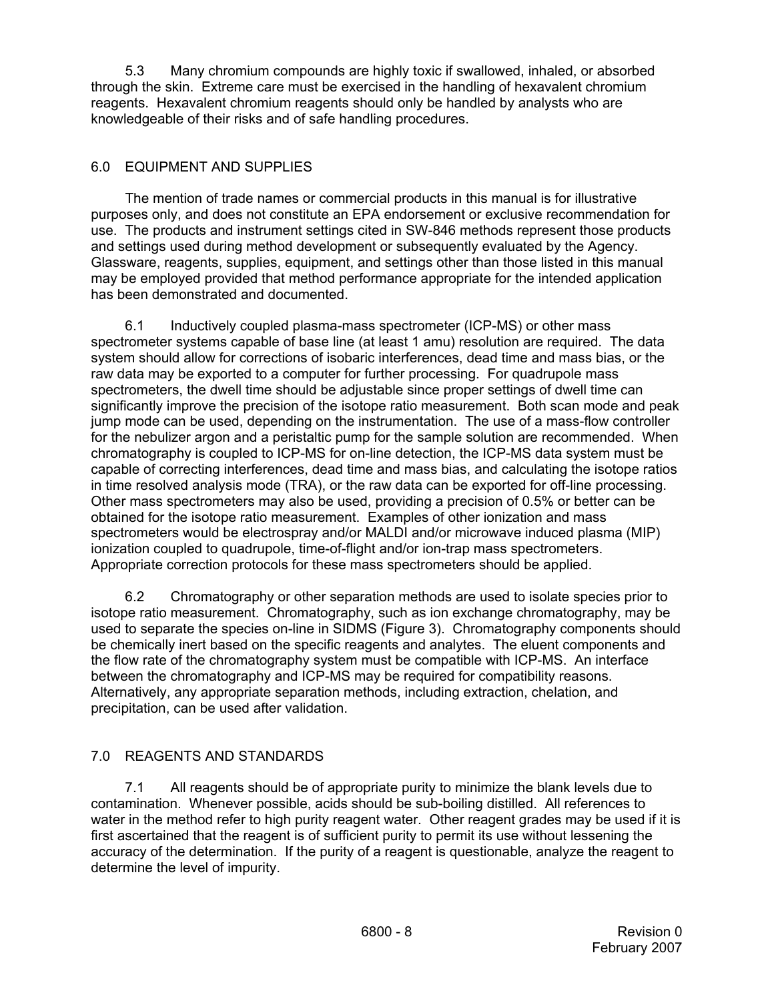5.3 Many chromium compounds are highly toxic if swallowed, inhaled, or absorbed through the skin. Extreme care must be exercised in the handling of hexavalent chromium reagents. Hexavalent chromium reagents should only be handled by analysts who are knowledgeable of their risks and of safe handling procedures.

# 6.0 EQUIPMENT AND SUPPLIES

 The mention of trade names or commercial products in this manual is for illustrative purposes only, and does not constitute an EPA endorsement or exclusive recommendation for use. The products and instrument settings cited in SW-846 methods represent those products and settings used during method development or subsequently evaluated by the Agency. Glassware, reagents, supplies, equipment, and settings other than those listed in this manual may be employed provided that method performance appropriate for the intended application has been demonstrated and documented.

6.1 Inductively coupled plasma-mass spectrometer (ICP-MS) or other mass spectrometer systems capable of base line (at least 1 amu) resolution are required. The data system should allow for corrections of isobaric interferences, dead time and mass bias, or the raw data may be exported to a computer for further processing. For quadrupole mass spectrometers, the dwell time should be adjustable since proper settings of dwell time can significantly improve the precision of the isotope ratio measurement. Both scan mode and peak jump mode can be used, depending on the instrumentation. The use of a mass-flow controller for the nebulizer argon and a peristaltic pump for the sample solution are recommended. When chromatography is coupled to ICP-MS for on-line detection, the ICP-MS data system must be capable of correcting interferences, dead time and mass bias, and calculating the isotope ratios in time resolved analysis mode (TRA), or the raw data can be exported for off-line processing. Other mass spectrometers may also be used, providing a precision of 0.5% or better can be obtained for the isotope ratio measurement. Examples of other ionization and mass spectrometers would be electrospray and/or MALDI and/or microwave induced plasma (MIP) ionization coupled to quadrupole, time-of-flight and/or ion-trap mass spectrometers. Appropriate correction protocols for these mass spectrometers should be applied.

6.2 Chromatography or other separation methods are used to isolate species prior to isotope ratio measurement. Chromatography, such as ion exchange chromatography, may be used to separate the species on-line in SIDMS (Figure 3). Chromatography components should be chemically inert based on the specific reagents and analytes. The eluent components and the flow rate of the chromatography system must be compatible with ICP-MS. An interface between the chromatography and ICP-MS may be required for compatibility reasons. Alternatively, any appropriate separation methods, including extraction, chelation, and precipitation, can be used after validation.

# 7.0 REAGENTS AND STANDARDS

7.1 All reagents should be of appropriate purity to minimize the blank levels due to contamination. Whenever possible, acids should be sub-boiling distilled. All references to water in the method refer to high purity reagent water. Other reagent grades may be used if it is first ascertained that the reagent is of sufficient purity to permit its use without lessening the accuracy of the determination. If the purity of a reagent is questionable, analyze the reagent to determine the level of impurity.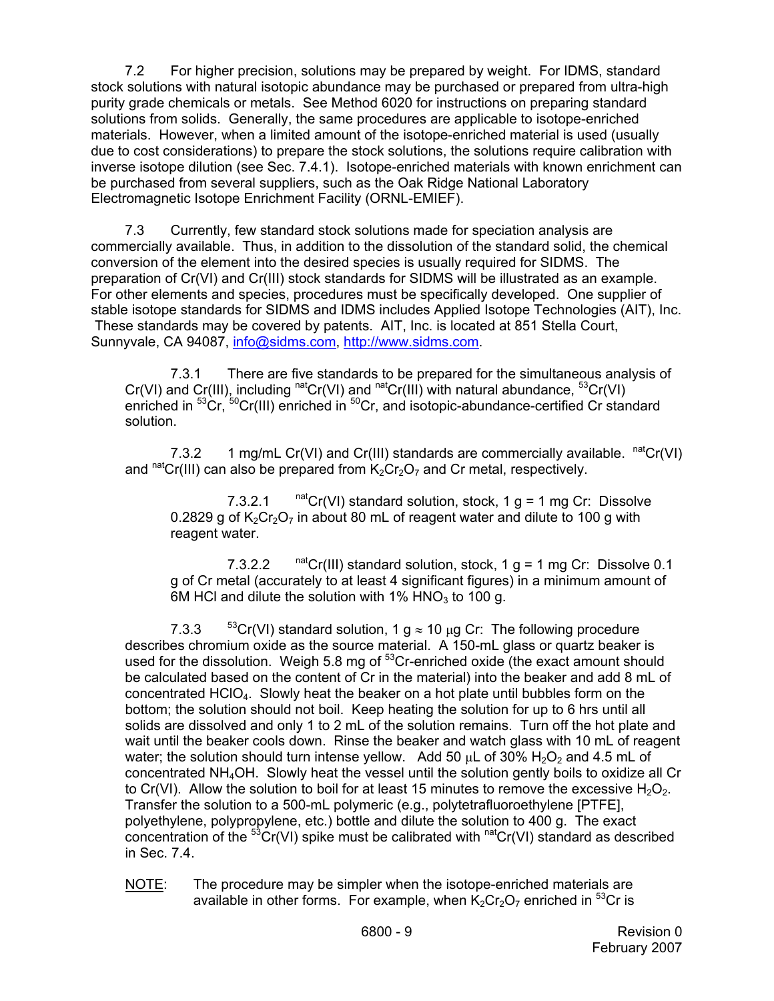7.2 For higher precision, solutions may be prepared by weight. For IDMS, standard stock solutions with natural isotopic abundance may be purchased or prepared from ultra-high purity grade chemicals or metals. See Method 6020 for instructions on preparing standard solutions from solids. Generally, the same procedures are applicable to isotope-enriched materials. However, when a limited amount of the isotope-enriched material is used (usually due to cost considerations) to prepare the stock solutions, the solutions require calibration with inverse isotope dilution (see Sec. 7.4.1). Isotope-enriched materials with known enrichment can be purchased from several suppliers, such as the Oak Ridge National Laboratory Electromagnetic Isotope Enrichment Facility (ORNL-EMIEF).

7.3 Currently, few standard stock solutions made for speciation analysis are commercially available. Thus, in addition to the dissolution of the standard solid, the chemical conversion of the element into the desired species is usually required for SIDMS. The preparation of Cr(VI) and Cr(III) stock standards for SIDMS will be illustrated as an example. For other elements and species, procedures must be specifically developed. One supplier of stable isotope standards for SIDMS and IDMS includes Applied Isotope Technologies (AIT), Inc. These standards may be covered by patents. AIT, Inc. is located at 851 Stella Court, Sunnyvale, CA 94087, info@sidms.com, http://www.sidms.com.

7.3.1 There are five standards to be prepared for the simultaneous analysis of Cr(VI) and Cr(III), including  $<sup>nat</sup>Cr(VI)$  and  $<sup>nat</sup>Cr(III)$  with natural abundance,  $<sup>53</sup>Cr(VI)$ </sup></sup></sup> enriched in <sup>53</sup>Cr, <sup>50</sup>Cr(III) enriched in <sup>50</sup>Cr, and isotopic-abundance-certified Cr standard solution.

7.3.2 1 mg/mL Cr(VI) and Cr(III) standards are commercially available.  $<sup>nat</sup>Cr(VI)$ </sup> and natCr(III) can also be prepared from  $K_2Cr_2O_7$  and Cr metal, respectively.

7.3.2.1  $^{\text{nat}}$ Cr(VI) standard solution, stock, 1 g = 1 mg Cr: Dissolve 0.2829 g of  $K_2Cr_2O_7$  in about 80 mL of reagent water and dilute to 100 g with reagent water.

7.3.2.2  $^{\text{nat}}$ Cr(III) standard solution, stock, 1 g = 1 mg Cr: Dissolve 0.1 g of Cr metal (accurately to at least 4 significant figures) in a minimum amount of 6M HCl and dilute the solution with  $1\%$  HNO<sub>3</sub> to 100 g.

7.3.3  $53Cr(VI)$  standard solution, 1 g  $\approx$  10 µg Cr: The following procedure describes chromium oxide as the source material. A 150-mL glass or quartz beaker is used for the dissolution. Weigh 5.8 mg of <sup>53</sup>Cr-enriched oxide (the exact amount should be calculated based on the content of Cr in the material) into the beaker and add 8 mL of concentrated  $HGIO_4$ . Slowly heat the beaker on a hot plate until bubbles form on the bottom; the solution should not boil. Keep heating the solution for up to 6 hrs until all solids are dissolved and only 1 to 2 mL of the solution remains. Turn off the hot plate and wait until the beaker cools down. Rinse the beaker and watch glass with 10 mL of reagent water; the solution should turn intense yellow. Add 50  $\mu$ L of 30% H<sub>2</sub>O<sub>2</sub> and 4.5 mL of concentrated NH4OH. Slowly heat the vessel until the solution gently boils to oxidize all Cr to Cr(VI). Allow the solution to boil for at least 15 minutes to remove the excessive  $H_2O_2$ . Transfer the solution to a 500-mL polymeric (e.g., polytetrafluoroethylene [PTFE], polyethylene, polypropylene, etc.) bottle and dilute the solution to 400 g. The exact concentration of the  ${}^{53}Cr(VI)$  spike must be calibrated with  ${}^{nat}Cr(VI)$  standard as described in Sec. 7.4.

NOTE: The procedure may be simpler when the isotope-enriched materials are available in other forms. For example, when  $K_2Cr_2O_7$  enriched in  ${}^{53}Cr$  is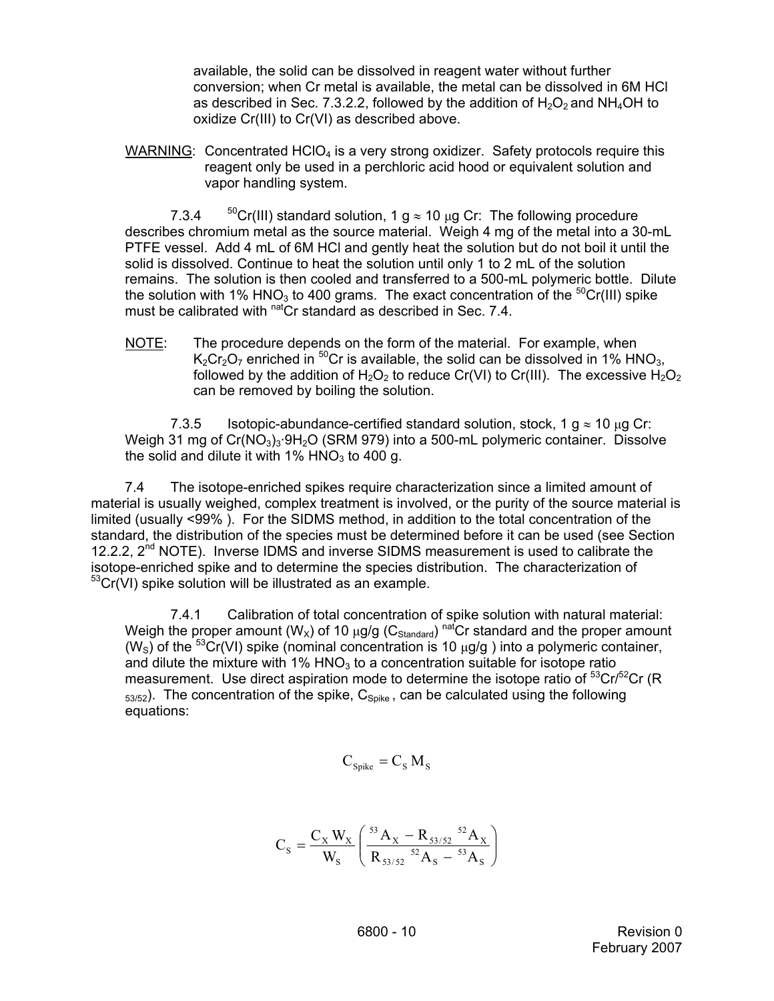available, the solid can be dissolved in reagent water without further conversion; when Cr metal is available, the metal can be dissolved in 6M HCl as described in Sec. 7.3.2.2, followed by the addition of  $H_2O_2$  and NH<sub>4</sub>OH to oxidize Cr(III) to Cr(VI) as described above.

WARNING: Concentrated  $HClO<sub>4</sub>$  is a very strong oxidizer. Safety protocols require this reagent only be used in a perchloric acid hood or equivalent solution and vapor handling system.

7.3.4  $50$ Cr(III) standard solution, 1 g  $\approx$  10  $\mu$ g Cr: The following procedure describes chromium metal as the source material. Weigh 4 mg of the metal into a 30-mL PTFE vessel. Add 4 mL of 6M HCl and gently heat the solution but do not boil it until the solid is dissolved. Continue to heat the solution until only 1 to 2 mL of the solution remains. The solution is then cooled and transferred to a 500-mL polymeric bottle. Dilute the solution with 1% HNO<sub>3</sub> to 400 grams. The exact concentration of the  ${}^{50}Cr(III)$  spike must be calibrated with nat<sub>C</sub>r standard as described in Sec. 7.4.

NOTE: The procedure depends on the form of the material. For example, when  $K_2Cr_2O_7$  enriched in <sup>50</sup>Cr is available, the solid can be dissolved in 1% HNO<sub>3</sub>, followed by the addition of  $H_2O_2$  to reduce Cr(VI) to Cr(III). The excessive  $H_2O_2$ can be removed by boiling the solution.

7.3.5 Isotopic-abundance-certified standard solution, stock, 1  $q \approx 10 \mu q$  Cr: Weigh 31 mg of  $Cr(NO<sub>3</sub>)<sub>3</sub>·9H<sub>2</sub>O$  (SRM 979) into a 500-mL polymeric container. Dissolve the solid and dilute it with  $1\%$  HNO<sub>3</sub> to 400 g.

7.4 The isotope-enriched spikes require characterization since a limited amount of material is usually weighed, complex treatment is involved, or the purity of the source material is limited (usually <99% ). For the SIDMS method, in addition to the total concentration of the standard, the distribution of the species must be determined before it can be used (see Section 12.2.2,  $2<sup>nd</sup>$  NOTE). Inverse IDMS and inverse SIDMS measurement is used to calibrate the isotope-enriched spike and to determine the species distribution. The characterization of <sup>53</sup>Cr(VI) spike solution will be illustrated as an example.

7.4.1 Calibration of total concentration of spike solution with natural material: Weigh the proper amount (W<sub>X</sub>) of 10  $\mu$ g/g (C<sub>Standard</sub>) natCr standard and the proper amount (W<sub>S</sub>) of the <sup>53</sup>Cr(VI) spike (nominal concentration is 10  $\mu$ g/g) into a polymeric container, and dilute the mixture with 1%  $HNO<sub>3</sub>$  to a concentration suitable for isotope ratio measurement. Use direct aspiration mode to determine the isotope ratio of  ${}^{53}$ Cr/ ${}^{52}$ Cr (R)  $_{53/52}$ ). The concentration of the spike,  $C_{Solve}$ , can be calculated using the following equations:

$$
C_{\text{Spike}} = C_{\text{S}} M_{\text{S}}
$$

$$
C_{S} = \frac{C_{X} W_{X}}{W_{S}} \left( \frac{^{53} A_{X} - R_{53/52} {^{52} A_{X}}}{R_{53/52} {^{52} A_{S}} - {^{53} A_{S}}} \right)
$$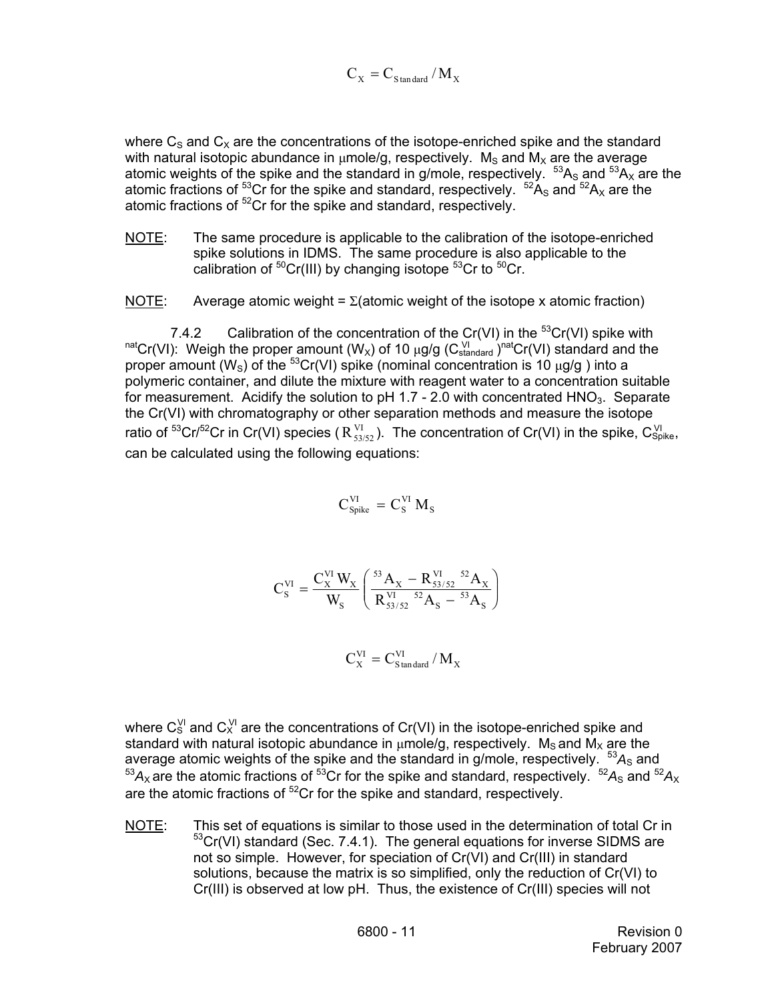$$
C_{\rm X}=C_{\rm Standard}\,/\,M_{\rm X}
$$

where  $C_S$  and  $C_X$  are the concentrations of the isotope-enriched spike and the standard with natural isotopic abundance in  $\mu$ mole/g, respectively. M<sub>s</sub> and M<sub>x</sub> are the average atomic weights of the spike and the standard in g/mole, respectively.  ${}^{53}A_S$  and  ${}^{53}A_X$  are the atomic fractions of <sup>53</sup>Cr for the spike and standard, respectively.  $52A_S$  and  $52A_X$  are the atomic fractions of <sup>52</sup>Cr for the spike and standard, respectively.

NOTE: The same procedure is applicable to the calibration of the isotope-enriched spike solutions in IDMS. The same procedure is also applicable to the calibration of  ${}^{50}Cr(HI)$  by changing isotope  ${}^{53}Cr$  to  ${}^{50}Cr$ .

NOTE: Average atomic weight =  $\Sigma$ (atomic weight of the isotope x atomic fraction)

7.4.2 Calibration of the concentration of the Cr(VI) in the  ${}^{53}Cr(VI)$  spike with natCr(VI): Weigh the proper amount (W<sub>x</sub>) of 10 µg/g (C<sub>standard</sub>)<sup>nat</sup>Cr(VI) standard and the proper amount (W<sub>S</sub>) of the <sup>53</sup>Cr(VI) spike (nominal concentration is 10  $\mu$ g/g) into a polymeric container, and dilute the mixture with reagent water to a concentration suitable for measurement. Acidify the solution to  $pH$  1.7 - 2.0 with concentrated  $HNO<sub>3</sub>$ . Separate the Cr(VI) with chromatography or other separation methods and measure the isotope ratio of <sup>53</sup>Cr/<sup>52</sup>Cr in Cr(VI) species (  $R_{53/52}^{VI}$  ). The concentration of Cr(VI) in the spike, C<sub>Spike</sub>, can be calculated using the following equations:

$$
C_{\text{Spike}}^{\text{VI}}\,=\,C_{\text{S}}^{\text{VI}}\,M_{\text{S}}
$$

$$
C_S^{VI} = \frac{C_X^{VI} W_X}{W_S} \left( \frac{^{53} A_X - R_{53/52}^{VI} {^{52} A_X}}{R_{53/52}^{VI} {^{52} A_S} - {^{53} A_S}} \right)
$$

X VI  $C_{\text{X}}^{\text{VI}} = C_{\text{Standard}}^{\text{VI}} / M$ 

where  $C_S^{\vee l}$  and  $C_X^{\vee l}$  are the concentrations of Cr(VI) in the isotope-enriched spike and standard with natural isotopic abundance in  $\mu$ mole/g, respectively. M<sub>s</sub> and M<sub>x</sub> are the average atomic weights of the spike and the standard in g/mole, respectively.  $53A<sub>S</sub>$  and  $^{53}A_{\rm X}$  are the atomic fractions of  $^{53}$ Cr for the spike and standard, respectively.  $^{52}A_{\rm S}$  and  $^{52}A_{\rm X}$ are the atomic fractions of  ${}^{52}Cr$  for the spike and standard, respectively.

NOTE: This set of equations is similar to those used in the determination of total Cr in 53Cr(VI) standard (Sec. 7.4.1). The general equations for inverse SIDMS are not so simple. However, for speciation of Cr(VI) and Cr(III) in standard solutions, because the matrix is so simplified, only the reduction of Cr(VI) to Cr(III) is observed at low pH. Thus, the existence of Cr(III) species will not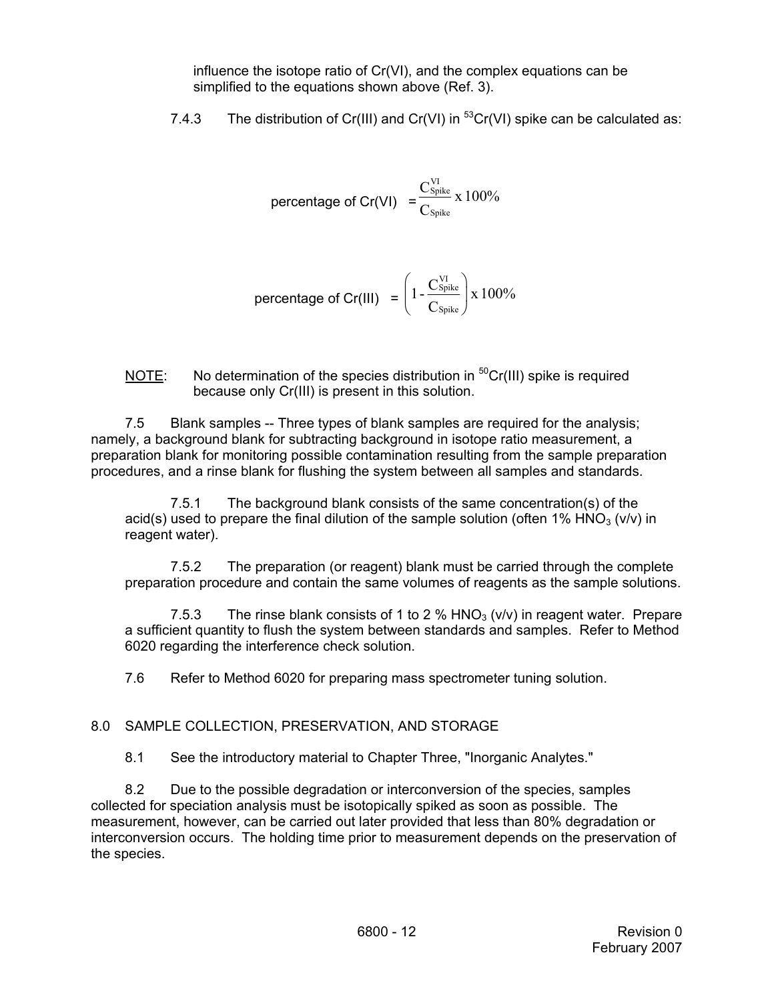influence the isotope ratio of Cr(VI), and the complex equations can be simplified to the equations shown above (Ref. 3).

7.4.3 The distribution of Cr(III) and Cr(VI) in  ${}^{53}Cr(VI)$  spike can be calculated as:

$$
percentage of Cr(VI) = \frac{C_{\text{Spike}}^{VI}}{C_{\text{Spike}}} \times 100\%
$$

$$
\text{percentage of Cr(III)} = \left(1 - \frac{C_{\text{Spike}}^{\text{VI}}}{C_{\text{Spike}}}\right) \times 100\%
$$

NOTE: No determination of the species distribution in  ${}^{50}Cr(III)$  spike is required because only Cr(III) is present in this solution.

7.5 Blank samples -- Three types of blank samples are required for the analysis; namely, a background blank for subtracting background in isotope ratio measurement, a preparation blank for monitoring possible contamination resulting from the sample preparation procedures, and a rinse blank for flushing the system between all samples and standards.

7.5.1 The background blank consists of the same concentration(s) of the acid(s) used to prepare the final dilution of the sample solution (often 1% HNO<sub>3</sub> (v/v) in reagent water).

7.5.2 The preparation (or reagent) blank must be carried through the complete preparation procedure and contain the same volumes of reagents as the sample solutions.

7.5.3 The rinse blank consists of 1 to 2 %  $HNO<sub>3</sub>$  (v/v) in reagent water. Prepare a sufficient quantity to flush the system between standards and samples. Refer to Method 6020 regarding the interference check solution.

7.6 Refer to Method 6020 for preparing mass spectrometer tuning solution.

# 8.0 SAMPLE COLLECTION, PRESERVATION, AND STORAGE

8.1 See the introductory material to Chapter Three, "Inorganic Analytes."

8.2 Due to the possible degradation or interconversion of the species, samples collected for speciation analysis must be isotopically spiked as soon as possible. The measurement, however, can be carried out later provided that less than 80% degradation or interconversion occurs. The holding time prior to measurement depends on the preservation of the species.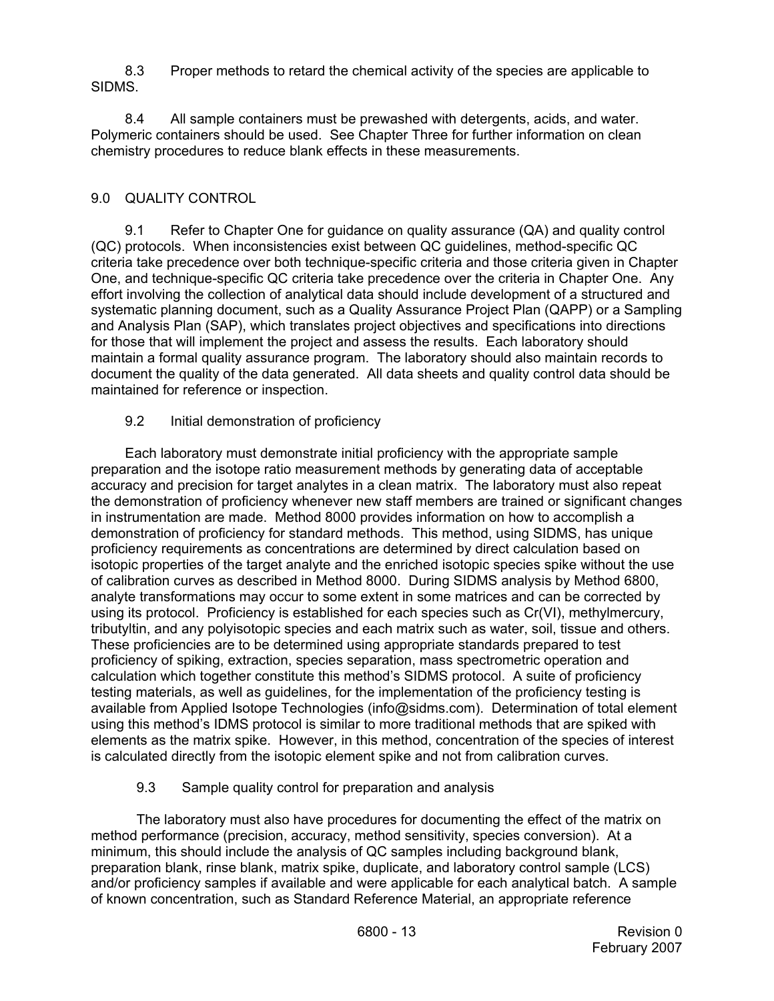8.3 Proper methods to retard the chemical activity of the species are applicable to SIDMS.

8.4 All sample containers must be prewashed with detergents, acids, and water. Polymeric containers should be used. See Chapter Three for further information on clean chemistry procedures to reduce blank effects in these measurements.

# 9.0 QUALITY CONTROL

9.1 Refer to Chapter One for guidance on quality assurance (QA) and quality control (QC) protocols. When inconsistencies exist between QC guidelines, method-specific QC criteria take precedence over both technique-specific criteria and those criteria given in Chapter One, and technique-specific QC criteria take precedence over the criteria in Chapter One. Any effort involving the collection of analytical data should include development of a structured and systematic planning document, such as a Quality Assurance Project Plan (QAPP) or a Sampling and Analysis Plan (SAP), which translates project objectives and specifications into directions for those that will implement the project and assess the results. Each laboratory should maintain a formal quality assurance program. The laboratory should also maintain records to document the quality of the data generated. All data sheets and quality control data should be maintained for reference or inspection.

# 9.2 Initial demonstration of proficiency

Each laboratory must demonstrate initial proficiency with the appropriate sample preparation and the isotope ratio measurement methods by generating data of acceptable accuracy and precision for target analytes in a clean matrix. The laboratory must also repeat the demonstration of proficiency whenever new staff members are trained or significant changes in instrumentation are made. Method 8000 provides information on how to accomplish a demonstration of proficiency for standard methods. This method, using SIDMS, has unique proficiency requirements as concentrations are determined by direct calculation based on isotopic properties of the target analyte and the enriched isotopic species spike without the use of calibration curves as described in Method 8000. During SIDMS analysis by Method 6800, analyte transformations may occur to some extent in some matrices and can be corrected by using its protocol. Proficiency is established for each species such as Cr(VI), methylmercury, tributyltin, and any polyisotopic species and each matrix such as water, soil, tissue and others. These proficiencies are to be determined using appropriate standards prepared to test proficiency of spiking, extraction, species separation, mass spectrometric operation and calculation which together constitute this method's SIDMS protocol. A suite of proficiency testing materials, as well as guidelines, for the implementation of the proficiency testing is available from Applied Isotope Technologies (info@sidms.com). Determination of total element using this method's IDMS protocol is similar to more traditional methods that are spiked with elements as the matrix spike. However, in this method, concentration of the species of interest is calculated directly from the isotopic element spike and not from calibration curves.

## 9.3 Sample quality control for preparation and analysis

 The laboratory must also have procedures for documenting the effect of the matrix on method performance (precision, accuracy, method sensitivity, species conversion). At a minimum, this should include the analysis of QC samples including background blank, preparation blank, rinse blank, matrix spike, duplicate, and laboratory control sample (LCS) and/or proficiency samples if available and were applicable for each analytical batch. A sample of known concentration, such as Standard Reference Material, an appropriate reference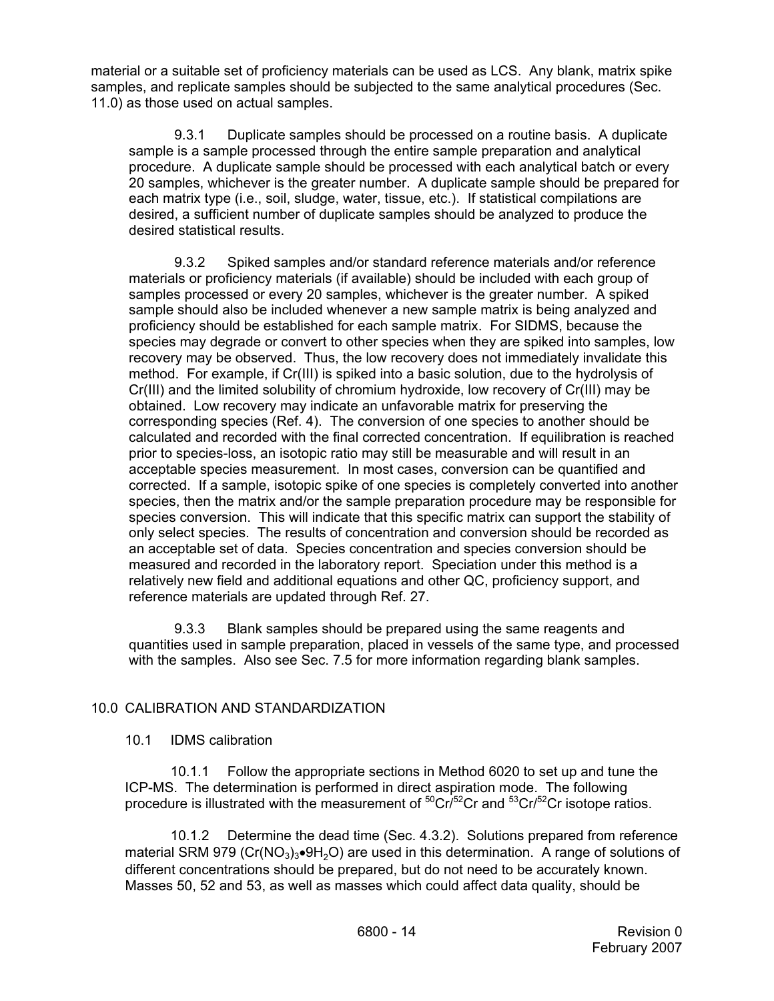material or a suitable set of proficiency materials can be used as LCS. Any blank, matrix spike samples, and replicate samples should be subjected to the same analytical procedures (Sec. 11.0) as those used on actual samples.

9.3.1 Duplicate samples should be processed on a routine basis. A duplicate sample is a sample processed through the entire sample preparation and analytical procedure. A duplicate sample should be processed with each analytical batch or every 20 samples, whichever is the greater number. A duplicate sample should be prepared for each matrix type (i.e., soil, sludge, water, tissue, etc.). If statistical compilations are desired, a sufficient number of duplicate samples should be analyzed to produce the desired statistical results.

9.3.2 Spiked samples and/or standard reference materials and/or reference materials or proficiency materials (if available) should be included with each group of samples processed or every 20 samples, whichever is the greater number. A spiked sample should also be included whenever a new sample matrix is being analyzed and proficiency should be established for each sample matrix. For SIDMS, because the species may degrade or convert to other species when they are spiked into samples, low recovery may be observed. Thus, the low recovery does not immediately invalidate this method. For example, if Cr(III) is spiked into a basic solution, due to the hydrolysis of Cr(III) and the limited solubility of chromium hydroxide, low recovery of Cr(III) may be obtained. Low recovery may indicate an unfavorable matrix for preserving the corresponding species (Ref. 4). The conversion of one species to another should be calculated and recorded with the final corrected concentration. If equilibration is reached prior to species-loss, an isotopic ratio may still be measurable and will result in an acceptable species measurement. In most cases, conversion can be quantified and corrected. If a sample, isotopic spike of one species is completely converted into another species, then the matrix and/or the sample preparation procedure may be responsible for species conversion. This will indicate that this specific matrix can support the stability of only select species. The results of concentration and conversion should be recorded as an acceptable set of data. Species concentration and species conversion should be measured and recorded in the laboratory report. Speciation under this method is a relatively new field and additional equations and other QC, proficiency support, and reference materials are updated through Ref. 27.

9.3.3 Blank samples should be prepared using the same reagents and quantities used in sample preparation, placed in vessels of the same type, and processed with the samples. Also see Sec. 7.5 for more information regarding blank samples.

# 10.0 CALIBRATION AND STANDARDIZATION

## 10.1 IDMS calibration

10.1.1 Follow the appropriate sections in Method 6020 to set up and tune the ICP-MS. The determination is performed in direct aspiration mode. The following procedure is illustrated with the measurement of  ${}^{50}$ Cr/ ${}^{52}$ Cr and  ${}^{53}$ Cr/ ${}^{52}$ Cr isotope ratios.

10.1.2 Determine the dead time (Sec. 4.3.2). Solutions prepared from reference material SRM 979 ( $Cr(NO<sub>3</sub>)<sub>3</sub>$  $\bullet$ 9H<sub>2</sub>O) are used in this determination. A range of solutions of different concentrations should be prepared, but do not need to be accurately known. Masses 50, 52 and 53, as well as masses which could affect data quality, should be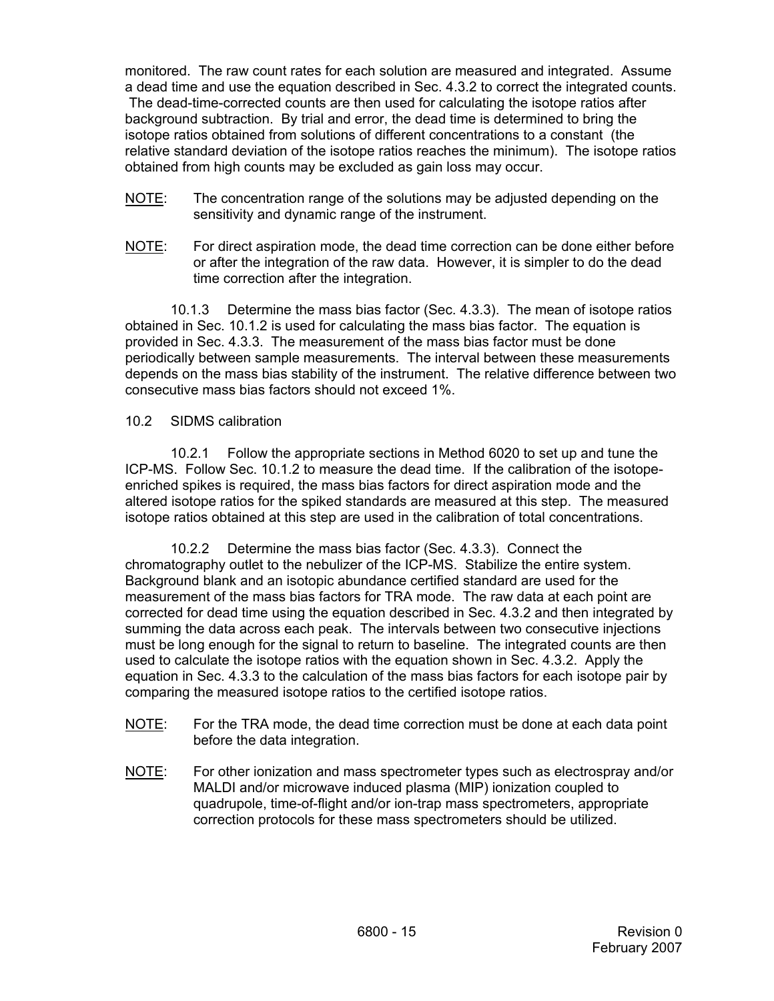monitored. The raw count rates for each solution are measured and integrated. Assume a dead time and use the equation described in Sec. 4.3.2 to correct the integrated counts. The dead-time-corrected counts are then used for calculating the isotope ratios after background subtraction. By trial and error, the dead time is determined to bring the isotope ratios obtained from solutions of different concentrations to a constant (the relative standard deviation of the isotope ratios reaches the minimum). The isotope ratios obtained from high counts may be excluded as gain loss may occur.

- NOTE: The concentration range of the solutions may be adjusted depending on the sensitivity and dynamic range of the instrument.
- NOTE: For direct aspiration mode, the dead time correction can be done either before or after the integration of the raw data. However, it is simpler to do the dead time correction after the integration.

10.1.3 Determine the mass bias factor (Sec. 4.3.3). The mean of isotope ratios obtained in Sec. 10.1.2 is used for calculating the mass bias factor. The equation is provided in Sec. 4.3.3. The measurement of the mass bias factor must be done periodically between sample measurements. The interval between these measurements depends on the mass bias stability of the instrument. The relative difference between two consecutive mass bias factors should not exceed 1%.

## 10.2 SIDMS calibration

10.2.1 Follow the appropriate sections in Method 6020 to set up and tune the ICP-MS. Follow Sec. 10.1.2 to measure the dead time. If the calibration of the isotopeenriched spikes is required, the mass bias factors for direct aspiration mode and the altered isotope ratios for the spiked standards are measured at this step. The measured isotope ratios obtained at this step are used in the calibration of total concentrations.

10.2.2 Determine the mass bias factor (Sec. 4.3.3). Connect the chromatography outlet to the nebulizer of the ICP-MS. Stabilize the entire system. Background blank and an isotopic abundance certified standard are used for the measurement of the mass bias factors for TRA mode. The raw data at each point are corrected for dead time using the equation described in Sec. 4.3.2 and then integrated by summing the data across each peak. The intervals between two consecutive injections must be long enough for the signal to return to baseline. The integrated counts are then used to calculate the isotope ratios with the equation shown in Sec. 4.3.2. Apply the equation in Sec. 4.3.3 to the calculation of the mass bias factors for each isotope pair by comparing the measured isotope ratios to the certified isotope ratios.

- NOTE: For the TRA mode, the dead time correction must be done at each data point before the data integration.
- NOTE: For other ionization and mass spectrometer types such as electrospray and/or MALDI and/or microwave induced plasma (MIP) ionization coupled to quadrupole, time-of-flight and/or ion-trap mass spectrometers, appropriate correction protocols for these mass spectrometers should be utilized.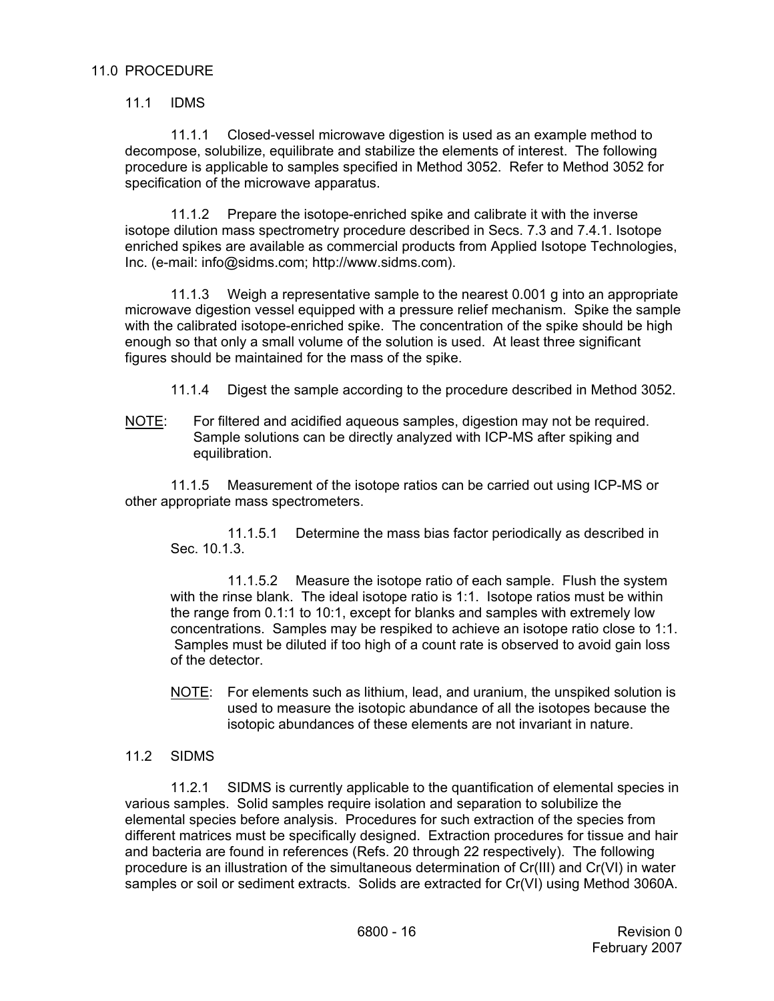## 11.1 IDMS

11.1.1 Closed-vessel microwave digestion is used as an example method to decompose, solubilize, equilibrate and stabilize the elements of interest. The following procedure is applicable to samples specified in Method 3052. Refer to Method 3052 for specification of the microwave apparatus.

11.1.2 Prepare the isotope-enriched spike and calibrate it with the inverse isotope dilution mass spectrometry procedure described in Secs. 7.3 and 7.4.1. Isotope enriched spikes are available as commercial products from Applied Isotope Technologies, Inc. (e-mail: info@sidms.com; http://www.sidms.com).

11.1.3 Weigh a representative sample to the nearest 0.001 g into an appropriate microwave digestion vessel equipped with a pressure relief mechanism. Spike the sample with the calibrated isotope-enriched spike. The concentration of the spike should be high enough so that only a small volume of the solution is used. At least three significant figures should be maintained for the mass of the spike.

- 11.1.4 Digest the sample according to the procedure described in Method 3052.
- NOTE: For filtered and acidified aqueous samples, digestion may not be required. Sample solutions can be directly analyzed with ICP-MS after spiking and equilibration.

11.1.5 Measurement of the isotope ratios can be carried out using ICP-MS or other appropriate mass spectrometers.

11.1.5.1 Determine the mass bias factor periodically as described in Sec. 10.1.3.

11.1.5.2 Measure the isotope ratio of each sample. Flush the system with the rinse blank. The ideal isotope ratio is 1:1. Isotope ratios must be within the range from 0.1:1 to 10:1, except for blanks and samples with extremely low concentrations. Samples may be respiked to achieve an isotope ratio close to 1:1. Samples must be diluted if too high of a count rate is observed to avoid gain loss of the detector.

NOTE: For elements such as lithium, lead, and uranium, the unspiked solution is used to measure the isotopic abundance of all the isotopes because the isotopic abundances of these elements are not invariant in nature.

## 11.2 SIDMS

11.2.1 SIDMS is currently applicable to the quantification of elemental species in various samples. Solid samples require isolation and separation to solubilize the elemental species before analysis. Procedures for such extraction of the species from different matrices must be specifically designed. Extraction procedures for tissue and hair and bacteria are found in references (Refs. 20 through 22 respectively). The following procedure is an illustration of the simultaneous determination of Cr(III) and Cr(VI) in water samples or soil or sediment extracts. Solids are extracted for Cr(VI) using Method 3060A.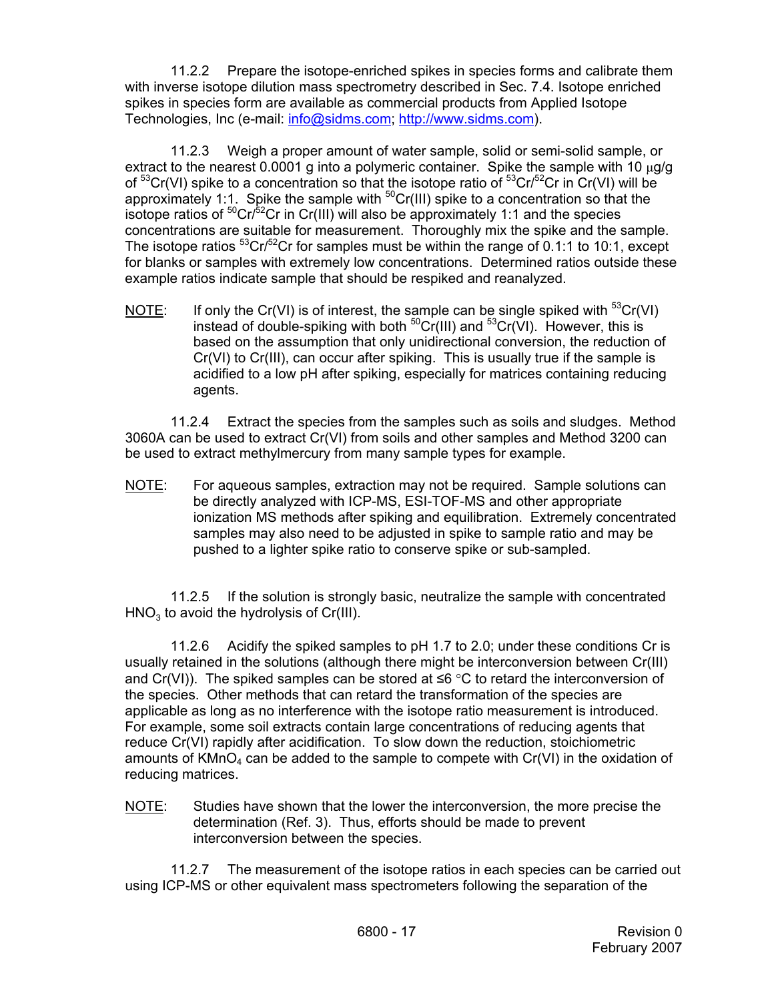11.2.2 Prepare the isotope-enriched spikes in species forms and calibrate them with inverse isotope dilution mass spectrometry described in Sec. 7.4. Isotope enriched spikes in species form are available as commercial products from Applied Isotope Technologies, Inc (e-mail: info@sidms.com; http://www.sidms.com).

11.2.3 Weigh a proper amount of water sample, solid or semi-solid sample, or extract to the nearest 0.0001 g into a polymeric container. Spike the sample with 10  $\mu$ g/g of  ${}^{53}$ Cr(VI) spike to a concentration so that the isotope ratio of  ${}^{53}$ Cr/ ${}^{52}$ Cr in Cr(VI) will be approximately 1:1. Spike the sample with  ${}^{50}Cr(H)$  spike to a concentration so that the isotope ratios of  ${}^{50}Cr/{}^{52}Cr$  in Cr(III) will also be approximately 1:1 and the species concentrations are suitable for measurement. Thoroughly mix the spike and the sample. The isotope ratios  ${}^{53}Cr/{}^{52}Cr$  for samples must be within the range of 0.1:1 to 10:1, except for blanks or samples with extremely low concentrations. Determined ratios outside these example ratios indicate sample that should be respiked and reanalyzed.

NOTE: If only the Cr(VI) is of interest, the sample can be single spiked with  ${}^{53}Cr(VI)$ instead of double-spiking with both  ${}^{50}Cr(HI)$  and  ${}^{53}Cr(VI)$ . However, this is based on the assumption that only unidirectional conversion, the reduction of Cr(VI) to Cr(III), can occur after spiking. This is usually true if the sample is acidified to a low pH after spiking, especially for matrices containing reducing agents.

11.2.4 Extract the species from the samples such as soils and sludges. Method 3060A can be used to extract Cr(VI) from soils and other samples and Method 3200 can be used to extract methylmercury from many sample types for example.

NOTE: For aqueous samples, extraction may not be required. Sample solutions can be directly analyzed with ICP-MS, ESI-TOF-MS and other appropriate ionization MS methods after spiking and equilibration. Extremely concentrated samples may also need to be adjusted in spike to sample ratio and may be pushed to a lighter spike ratio to conserve spike or sub-sampled.

11.2.5 If the solution is strongly basic, neutralize the sample with concentrated  $HNO<sub>3</sub>$  to avoid the hydrolysis of Cr(III).

11.2.6 Acidify the spiked samples to pH 1.7 to 2.0; under these conditions Cr is usually retained in the solutions (although there might be interconversion between Cr(III) and Cr(VI)). The spiked samples can be stored at  $\leq 6$  °C to retard the interconversion of the species. Other methods that can retard the transformation of the species are applicable as long as no interference with the isotope ratio measurement is introduced. For example, some soil extracts contain large concentrations of reducing agents that reduce Cr(VI) rapidly after acidification. To slow down the reduction, stoichiometric amounts of  $KMnO<sub>4</sub>$  can be added to the sample to compete with  $Cr(VI)$  in the oxidation of reducing matrices.

NOTE: Studies have shown that the lower the interconversion, the more precise the determination (Ref. 3). Thus, efforts should be made to prevent interconversion between the species.

11.2.7 The measurement of the isotope ratios in each species can be carried out using ICP-MS or other equivalent mass spectrometers following the separation of the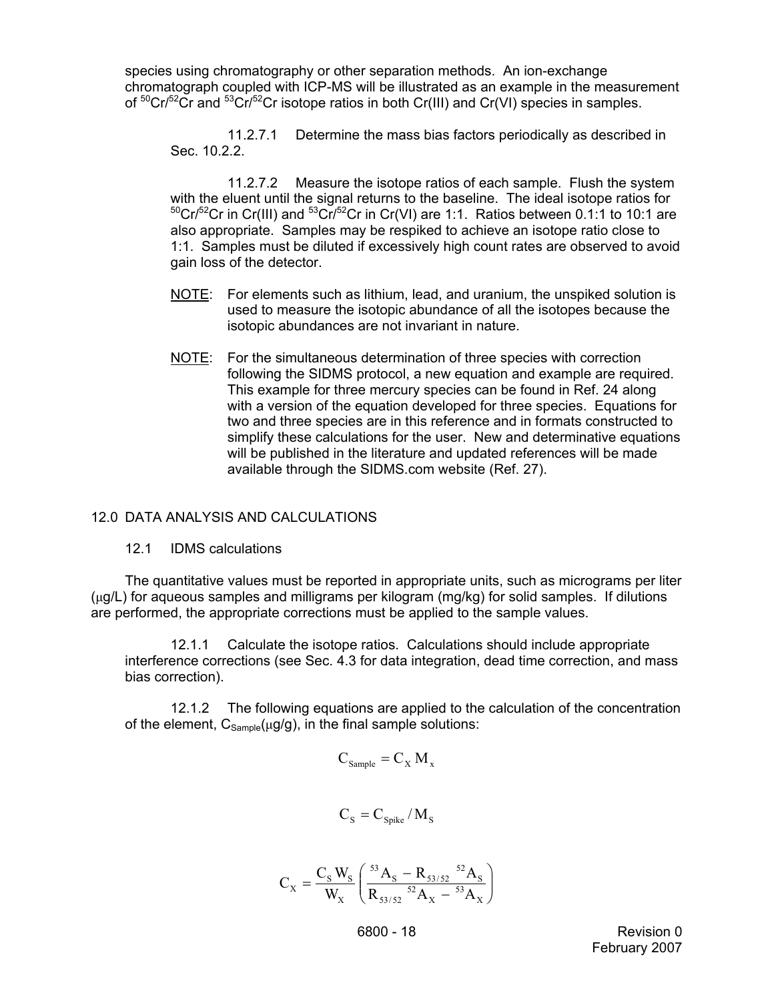species using chromatography or other separation methods. An ion-exchange chromatograph coupled with ICP-MS will be illustrated as an example in the measurement of  ${}^{50}$ Cr/ ${}^{52}$ Cr and  ${}^{53}$ Cr/ ${}^{52}$ Cr isotope ratios in both Cr(III) and Cr(VI) species in samples.

11.2.7.1 Determine the mass bias factors periodically as described in Sec. 10.2.2.

11.2.7.2 Measure the isotope ratios of each sample. Flush the system with the eluent until the signal returns to the baseline. The ideal isotope ratios for  $50Cr/52Cr$  in Cr(III) and  $53Cr/52Cr$  in Cr(VI) are 1:1. Ratios between 0.1:1 to 10:1 are also appropriate. Samples may be respiked to achieve an isotope ratio close to 1:1. Samples must be diluted if excessively high count rates are observed to avoid gain loss of the detector.

- NOTE: For elements such as lithium, lead, and uranium, the unspiked solution is used to measure the isotopic abundance of all the isotopes because the isotopic abundances are not invariant in nature.
- NOTE: For the simultaneous determination of three species with correction following the SIDMS protocol, a new equation and example are required. This example for three mercury species can be found in Ref. 24 along with a version of the equation developed for three species. Equations for two and three species are in this reference and in formats constructed to simplify these calculations for the user. New and determinative equations will be published in the literature and updated references will be made available through the SIDMS.com website (Ref. 27).

# 12.0 DATA ANALYSIS AND CALCULATIONS

12.1 IDMS calculations

The quantitative values must be reported in appropriate units, such as micrograms per liter (µg/L) for aqueous samples and milligrams per kilogram (mg/kg) for solid samples. If dilutions are performed, the appropriate corrections must be applied to the sample values.

12.1.1 Calculate the isotope ratios. Calculations should include appropriate interference corrections (see Sec. 4.3 for data integration, dead time correction, and mass bias correction).

12.1.2 The following equations are applied to the calculation of the concentration of the element,  $C_{Sample}(µq/q)$ , in the final sample solutions:

$$
C_{\text{Sample}} = C_X M_x
$$

$$
C_{\rm S} = C_{\rm Spike} / M_{\rm S}
$$

$$
C_{\rm X} = \frac{C_{\rm S}\,W_{\rm S}}{W_{\rm X}}\left(\frac{^{53}A_{\rm S}-R_{53/52}~^{52}A_{\rm S}}{R_{53/52}~^{52}A_{\rm X}-^{53}A_{\rm X}}\right)
$$

 6800 - 18 Revision 0 February 2007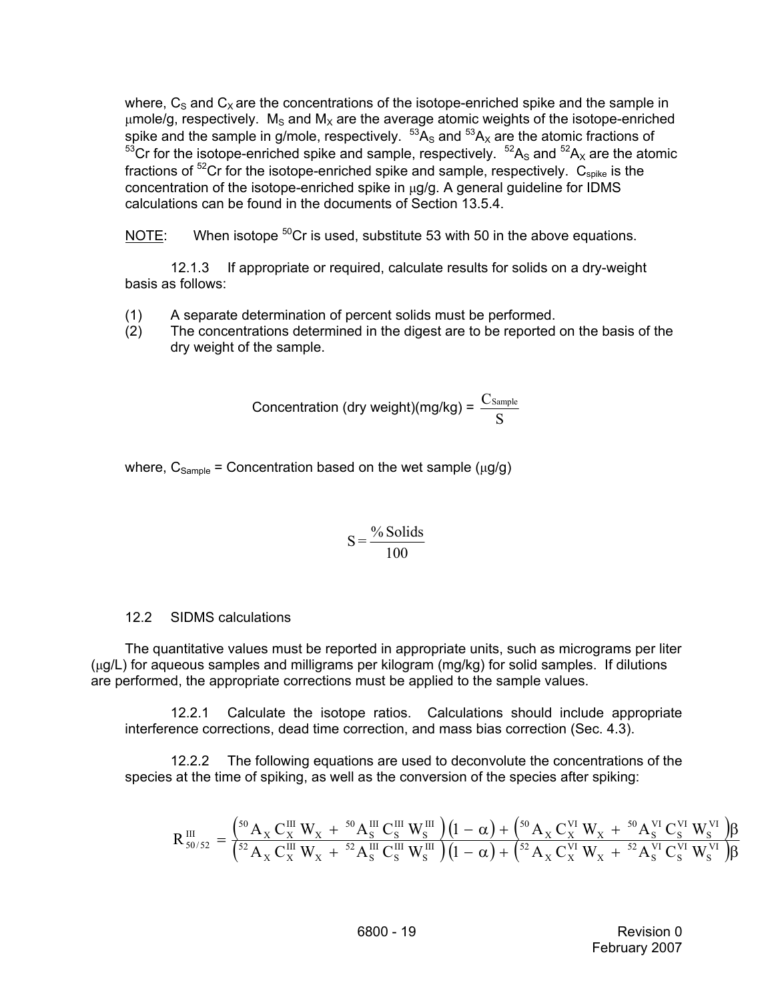where,  $C_S$  and  $C_X$  are the concentrations of the isotope-enriched spike and the sample in  $\mu$ mole/g, respectively. M<sub>S</sub> and M<sub>x</sub> are the average atomic weights of the isotope-enriched spike and the sample in g/mole, respectively.  $^{53}A_S$  and  $^{53}A_X$  are the atomic fractions of  $53<sup>53</sup>Cr$  for the isotope-enriched spike and sample, respectively.  $5<sup>2</sup>A<sub>S</sub>$  and  $5<sup>2</sup>A<sub>X</sub>$  are the atomic fractions of  ${}^{52}Cr$  for the isotope-enriched spike and sample, respectively.  $C_{spike}$  is the concentration of the isotope-enriched spike in  $\mu$ g/g. A general guideline for IDMS calculations can be found in the documents of Section 13.5.4.

NOTE: When isotope  ${}^{50}$ Cr is used, substitute 53 with 50 in the above equations.

12.1.3 If appropriate or required, calculate results for solids on a dry-weight basis as follows:

- (1) A separate determination of percent solids must be performed.
- (2) The concentrations determined in the digest are to be reported on the basis of the dry weight of the sample.

$$
Concentration (dry weight)(mg/kg) = \frac{C_{Sample}}{S}
$$

where,  $C_{Sample}$  = Concentration based on the wet sample ( $\mu$ g/g)

$$
S = \frac{\% \text{ Solids}}{100}
$$

#### 12.2 SIDMS calculations

The quantitative values must be reported in appropriate units, such as micrograms per liter (µg/L) for aqueous samples and milligrams per kilogram (mg/kg) for solid samples. If dilutions are performed, the appropriate corrections must be applied to the sample values.

12.2.1 Calculate the isotope ratios. Calculations should include appropriate interference corrections, dead time correction, and mass bias correction (Sec. 4.3).

12.2.2 The following equations are used to deconvolute the concentrations of the species at the time of spiking, as well as the conversion of the species after spiking:

$$
R_{50/52}^{III} = \frac{\left(50 \, \text{A}_{X} \, \text{C}_{X}^{III} \, \text{W}_{X} \; + \; 50 \, \text{A}_{S}^{III} \, \text{C}_{S}^{III} \, \text{W}_{S}^{III}\right)\left(1-\alpha\right) + \left(50 \, \text{A}_{X} \, \text{C}_{X}^{VI} \, \text{W}_{X} \; + \; 50 \, \text{A}_{S}^{VI} \, \text{C}_{S}^{VI} \, \text{W}_{S}^{VI}\right)\beta}{\left(52 \, \text{A}_{X} \, \text{C}_{X}^{III} \, \text{W}_{X} \; + \; 52 \, \text{A}_{S}^{III} \, \text{C}_{S}^{III} \, \text{W}_{S}^{III}\right)\left(1-\alpha\right) + \left(52 \, \text{A}_{X} \, \text{C}_{X}^{VI} \, \text{W}_{X} \; + \; 52 \, \text{A}_{S}^{VI} \, \text{C}_{S}^{VI} \, \text{W}_{S}^{VI}\right)\beta}
$$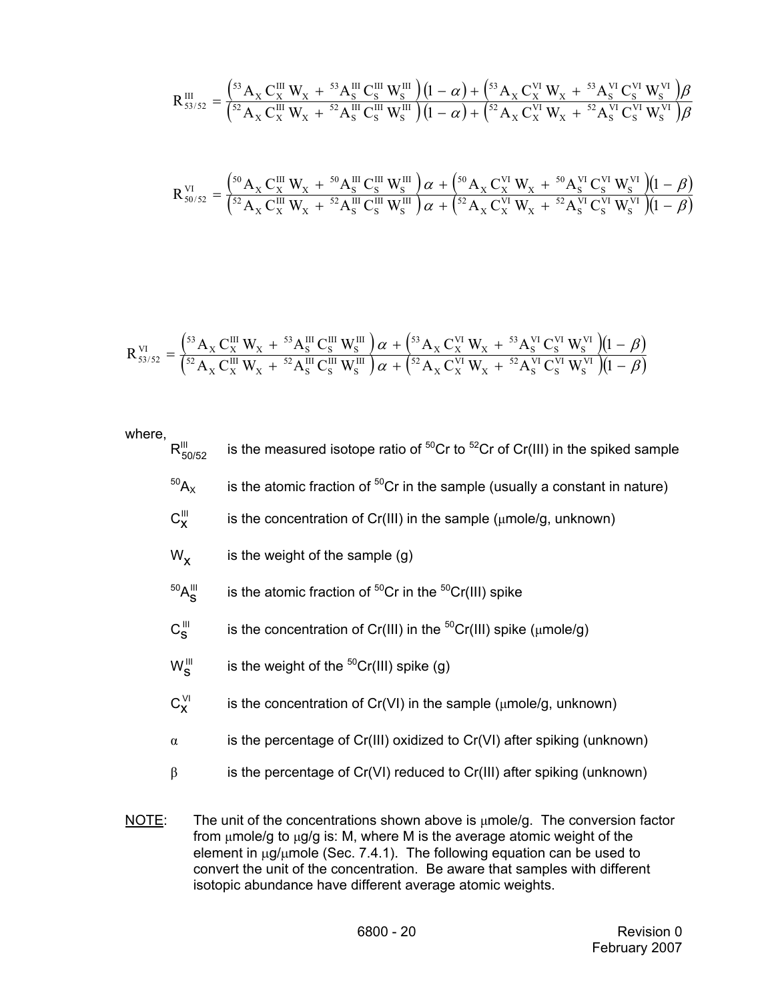$$
R_{53/52}^{III}=\frac{\left(^{53}A_X\,C_X^{III}\,W_X\,+\,^{53}A_S^{III}\,C_S^{III}\,W_S^{III}\right)\left(1-\alpha\right)+\left(^{53}A_X\,C_X^{VI}\,W_X\,+\,^{53}A_S^{VI}\,C_S^{VI}\,W_S^{VI}\right)\!\beta}{\left(^{52}A_X\,C_X^{III}\,W_X\,+\,^{52}A_S^{III}\,C_S^{III}\,W_S^{III}\right)\left(1-\alpha\right)+\left(^{52}A_X\,C_X^{VI}\,W_X\,+\,^{52}A_S^{VI}\,C_S^{VI}\,W_S^{VI}\right)\!\beta}
$$

$$
R_{50/52}^{VI} = \frac{\left(50 \, \text{A}_{X} \, \text{C}_{X}^{III} \, \text{W}_{X} + 50 \, \text{A}_{S}^{III} \, \text{C}_{S}^{III} \, \text{W}_{S}^{III}\right) \alpha + \left(50 \, \text{A}_{X} \, \text{C}_{X}^{VI} \, \text{W}_{X} + 50 \, \text{A}_{S}^{VI} \, \text{C}_{S}^{VI} \, \text{W}_{S}^{VI}\right)\left(1 - \beta\right)}{\left(52 \, \text{A}_{X} \, \text{C}_{X}^{III} \, \text{W}_{X} + 52 \, \text{A}_{S}^{III} \, \text{C}_{S}^{III} \, \text{W}_{S}^{III}\right) \alpha + \left(52 \, \text{A}_{X} \, \text{C}_{X}^{VI} \, \text{W}_{X} + 52 \, \text{A}_{S}^{VI} \, \text{C}_{S}^{VI} \, \text{W}_{S}^{VI}\right)\left(1 - \beta\right)}
$$

$$
R^{\rm VI}_{\rm 53/52}=\frac{\left(^{53}A_{\rm X}\,C^{\rm III}_{\rm X}\,W_{\rm X}\, +\, {^{53}A}_{\rm S}^{\rm III}\,C^{\rm III}_{\rm S}\,W^{\rm III}_{\rm S}\right)\alpha\, +\,\left(^{53}A_{\rm X}\,C^{\rm VI}_{\rm X}\,W_{\rm X}\, +\, {^{53}A}_{\rm S}^{\rm VI}\,C^{\rm VI}_{\rm S}\,W^{\rm VI}_{\rm S}\right)\!\!\!\!\!\left(1-\beta\right)}{\left(^{52}A_{\rm X}\,C^{\rm III}_{\rm X}\,W_{\rm X}\, +\, {^{52}A}_{\rm S}^{\rm III}\,C^{\rm III}_{\rm S}\,W^{\rm III}_{\rm S}\right)\alpha\, +\,\left(^{52}A_{\rm X}\,C^{\rm VI}_{\rm X}\,W_{\rm X}\, +\, {^{52}A}_{\rm S}^{\rm VI}\,C^{\rm VI}_{\rm S}\,W^{\rm VI}_{\rm S}\right)\!\!\!\!\!\left(1-\beta\right)}
$$

where,

- $R_{50/52}^{III}$ is the measured isotope ratio of  ${}^{50}Cr$  to  ${}^{52}Cr$  of Cr(III) in the spiked sample
- $50A<sub>X</sub>$  is the atomic fraction of  $50Cr$  in the sample (usually a constant in nature)
- $C_X^{III}$ is the concentration of Cr(III) in the sample ( $\mu$ mole/g, unknown)
- $W_x$  is the weight of the sample (g)
- $50A_S$ is the atomic fraction of  ${}^{50}Cr$  in the  ${}^{50}Cr(III)$  spike
- $C_S^{\text{III}}$ is the concentration of Cr(III) in the  ${}^{50}Cr(III)$  spike ( $\mu$ mole/g)
- $W_{\mathbf{S}}^{\text{III}}$ is the weight of the  ${}^{50}Cr(III)$  spike (g)
- $C_{\mathbf{y}}^{\vee l}$ is the concentration of Cr(VI) in the sample ( $\mu$ mole/g, unknown)
- $\alpha$  is the percentage of Cr(III) oxidized to Cr(VI) after spiking (unknown)
- β is the percentage of Cr(VI) reduced to Cr(III) after spiking (unknown)
- NOTE: The unit of the concentrations shown above is  $\mu$ mole/g. The conversion factor from µmole/g to µg/g is: M, where M is the average atomic weight of the element in  $\mu q/\mu$ mole (Sec. 7.4.1). The following equation can be used to convert the unit of the concentration. Be aware that samples with different isotopic abundance have different average atomic weights.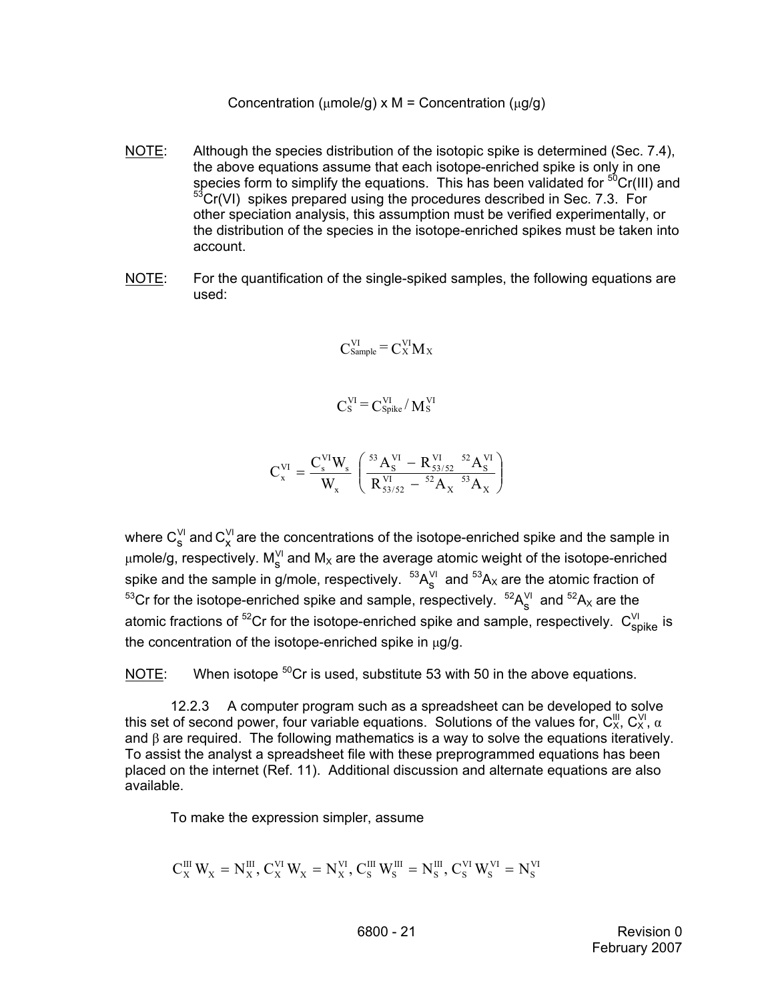Concentration ( $\mu$ mole/g) x M = Concentration ( $\mu$ g/g)

- NOTE: Although the species distribution of the isotopic spike is determined (Sec. 7.4), the above equations assume that each isotope-enriched spike is only in one species form to simplify the equations. This has been validated for  $50Cr(III)$  and  $53$ Cr(VI) spikes prepared using the procedures described in Sec. 7.3. For other speciation analysis, this assumption must be verified experimentally, or the distribution of the species in the isotope-enriched spikes must be taken into account.
- NOTE: For the quantification of the single-spiked samples, the following equations are used:

$$
C_{\text{Sample}}^{\text{VI}} = C_{\text{X}}^{\text{VI}} M_{\text{X}}
$$

$$
C_{\rm S}^{\rm VI}\,{=}\,C_{\rm Spike}^{\rm VI}/\,M_{\rm S}^{\rm VI}
$$

$$
C_x^{VI} = \frac{C_s^{VI} W_s}{W_x} \left( \frac{^{53} A_S^{VI} - R_{53/52}^{VI}}{R_{53/52}^{VI} - {^{52}} A_X^{VI}} \right)
$$

where  $\text{C}_\text{s}^\text{\tiny\rm VI}$  and  $\text{C}_\text{x}^\text{\tiny\rm VI}$  are the concentrations of the isotope-enriched spike and the sample in  $\mu$ mole/g, respectively. M $^{\vee\prime}_\mathrm{s}$  and M<sub>x</sub> are the average atomic weight of the isotope-enriched spike and the sample in g/mole, respectively.  ${}^{53}{\sf A}^{\lor|}_\mathbf{S}$  and  ${}^{53}{\sf A}_\times$  are the atomic fraction of  $^{53}$ Cr for the isotope-enriched spike and sample, respectively.  $^{52}A_S^{\vee l}$  and  $^{52}A_X$  are the atomic fractions of <sup>52</sup>Cr for the isotope-enriched spike and sample, respectively.  $\, {\sf C}_{\sf spike}^{\lor \mathsf{l}} \,$  is the concentration of the isotope-enriched spike in  $\mu$ g/g.

NOTE: When isotope  ${}^{50}$ Cr is used, substitute 53 with 50 in the above equations.

12.2.3 A computer program such as a spreadsheet can be developed to solve this set of second power, four variable equations. Solutions of the values for,  $C_X^{\text{III}}$ ,  $C_X^{\text{VI}}$ ,  $\alpha$ and β are required. The following mathematics is a way to solve the equations iteratively. To assist the analyst a spreadsheet file with these preprogrammed equations has been placed on the internet (Ref. 11). Additional discussion and alternate equations are also available.

To make the expression simpler, assume

$$
C_x^{III}\,W_x=N_x^{III},\,C_x^{VI}\,W_x=N_x^{VI},\,C_s^{III}\,W_s^{III}=N_s^{III},\,C_s^{VI}\,W_s^{VI}=N_s^{VI}
$$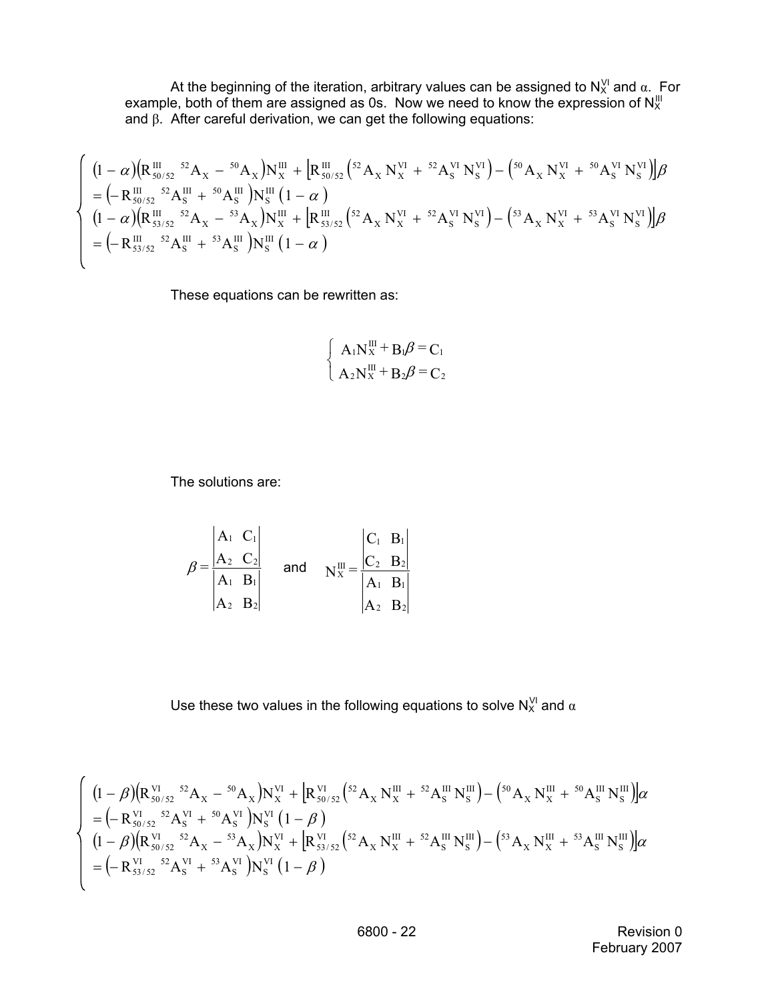At the beginning of the iteration, arbitrary values can be assigned to  $N^{\vee}_{\times}$  and  $\alpha$ . For example, both of them are assigned as 0s. Now we need to know the expression of  $N_X^{\text{III}}$ and β. After careful derivation, we can get the following equations:

$$
\begin{cases}\n(1-\alpha)\left(R_{50/52}^{\text{III}} \, {}^{52}\text{A}_{\text{X}} - {}^{50}\text{A}_{\text{X}}\right)N_{\text{X}}^{\text{III}} + \left[R_{50/52}^{\text{III}} \left({}^{52}\text{A}_{\text{X}} \, N_{\text{X}}^{\text{VI}} + {}^{52}\text{A}_{\text{S}}^{\text{VI}} \, N_{\text{S}}^{\text{VI}}\right) - \left({}^{50}\text{A}_{\text{X}} \, N_{\text{X}}^{\text{VI}} + {}^{50}\text{A}_{\text{S}}^{\text{VI}} \, N_{\text{S}}^{\text{VI}}\right)\right]\beta \\
= \left(-R_{50/52}^{\text{III}} \, {}^{52}\text{A}_{\text{S}}^{\text{II}} + {}^{50}\text{A}_{\text{S}}^{\text{III}}\right)N_{\text{S}}^{\text{III}}\left(1-\alpha\right) \\
(1-\alpha)\left(R_{53/52}^{\text{III}} \, {}^{52}\text{A}_{\text{X}} - {}^{53}\text{A}_{\text{X}}\right)N_{\text{X}}^{\text{III}} + \left[R_{53/52}^{\text{III}} \left({}^{52}\text{A}_{\text{X}} \, N_{\text{X}}^{\text{VI}} + {}^{52}\text{A}_{\text{S}}^{\text{VI}} \, N_{\text{S}}^{\text{VI}}\right) - \left({}^{53}\text{A}_{\text{X}} \, N_{\text{X}}^{\text{VI}} + {}^{53}\text{A}_{\text{S}}^{\text{VI}} \, N_{\text{S}}^{\text{VI}}\right)\right]\beta \\
= \left(-R_{53/52}^{\text{III}} \, {}^{52}\text{A}_{\text{S}}^{\text{III}} + {}^{53}\text{A}_{\text{S}}^{\text{III}}\right)N_{\text{S}}^{\text{III}}\left(1-\alpha\right)\n\end{cases}
$$

These equations can be rewritten as:

$$
\begin{cases}\n\mathbf{A}_1 \mathbf{N}_X^{\text{III}} + \mathbf{B}_1 \boldsymbol{\beta} = \mathbf{C}_1 \\
\mathbf{A}_2 \mathbf{N}_X^{\text{III}} + \mathbf{B}_2 \boldsymbol{\beta} = \mathbf{C}_2\n\end{cases}
$$

The solutions are:

$$
\beta = \frac{\begin{vmatrix} A_1 & C_1 \\ A_2 & C_2 \end{vmatrix}}{\begin{vmatrix} A_1 & B_1 \\ A_2 & B_2 \end{vmatrix}} \quad \text{and} \quad N_x^{\text{III}} = \frac{\begin{vmatrix} C_1 & B_1 \\ C_2 & B_2 \end{vmatrix}}{\begin{vmatrix} A_1 & B_1 \\ A_2 & B_2 \end{vmatrix}}
$$

Use these two values in the following equations to solve  $N_X^{\vee}$  and  $\alpha$ 

$$
\left\{\n\begin{array}{l}\n(1-\beta)\left(R_{50/52}^{VI}\right)^{52}A_{X}-^{50}A_{X}\right)N_{X}^{VI} + \left[R_{50/52}^{VI}\left({}^{52}A_{X}\,N_{X}^{III}+{}^{52}A_{S}^{III}\,N_{S}^{III}\right) - \left({}^{50}A_{X}\,N_{X}^{III}+{}^{50}A_{S}^{III}\,N_{S}^{III}\right)\right]\alpha \\
=(-R_{50/52}^{VI}\,{}^{52}A_{S}^{VI}+{}^{50}A_{S}^{VI}\,N_{S}^{VI}\left(1-\beta\right) \\
(1-\beta)\left(R_{50/52}^{VI}\,{}^{52}A_{X}-{}^{53}A_{X}\right)N_{X}^{VI} + \left[R_{53/52}^{VI}\left({}^{52}A_{X}\,N_{X}^{III}+{}^{52}A_{S}^{III}\,N_{S}^{III}\right) - \left({}^{53}A_{X}\,N_{X}^{III}+{}^{53}A_{S}^{III}\,N_{S}^{III}\right)\right]\alpha \\
=(-R_{53/52}^{VI}\,{}^{52}A_{S}^{VI}+{}^{53}A_{S}^{VI}\,N_{S}^{VI}\left(1-\beta\right)\n\end{array}\n\right.
$$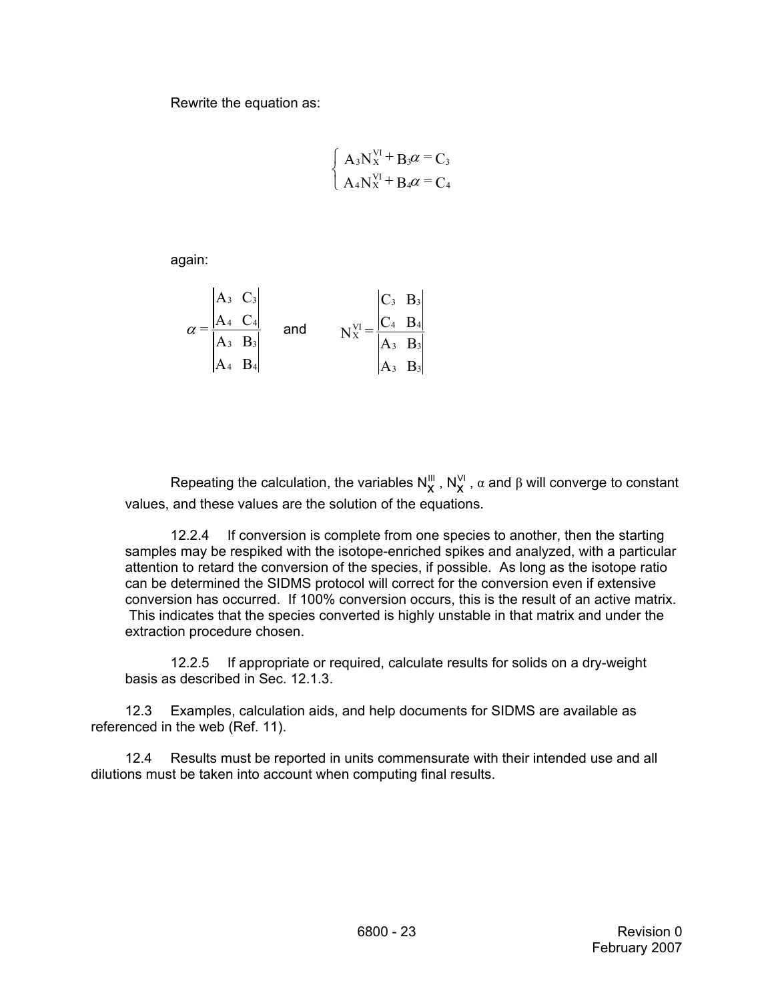Rewrite the equation as:

$$
\begin{cases}\nA_3N_X^{VI} + B_3\alpha = C_3 \\
A_4N_X^{VI} + B_4\alpha = C_4\n\end{cases}
$$

again:

$$
\alpha = \frac{\begin{vmatrix} A_3 & C_3 \ A_4 & C_4 \end{vmatrix}}{\begin{vmatrix} A_3 & B_3 \ A_4 & B_4 \end{vmatrix}} \quad \text{and} \quad N_X^{\text{VI}} = \frac{\begin{vmatrix} C_3 & B_3 \ C_4 & B_4 \end{vmatrix}}{\begin{vmatrix} A_3 & B_3 \ A_3 & B_3 \end{vmatrix}}
$$

Repeating the calculation, the variables  $N_X^{\text{III}}$  ,  $N_X^{\text{VI}}$  ,  $\alpha$  and  $\beta$  will converge to constant values, and these values are the solution of the equations.

12.2.4 If conversion is complete from one species to another, then the starting samples may be respiked with the isotope-enriched spikes and analyzed, with a particular attention to retard the conversion of the species, if possible. As long as the isotope ratio can be determined the SIDMS protocol will correct for the conversion even if extensive conversion has occurred. If 100% conversion occurs, this is the result of an active matrix. This indicates that the species converted is highly unstable in that matrix and under the extraction procedure chosen.

12.2.5 If appropriate or required, calculate results for solids on a dry-weight basis as described in Sec. 12.1.3.

12.3 Examples, calculation aids, and help documents for SIDMS are available as referenced in the web (Ref. 11).

12.4 Results must be reported in units commensurate with their intended use and all dilutions must be taken into account when computing final results.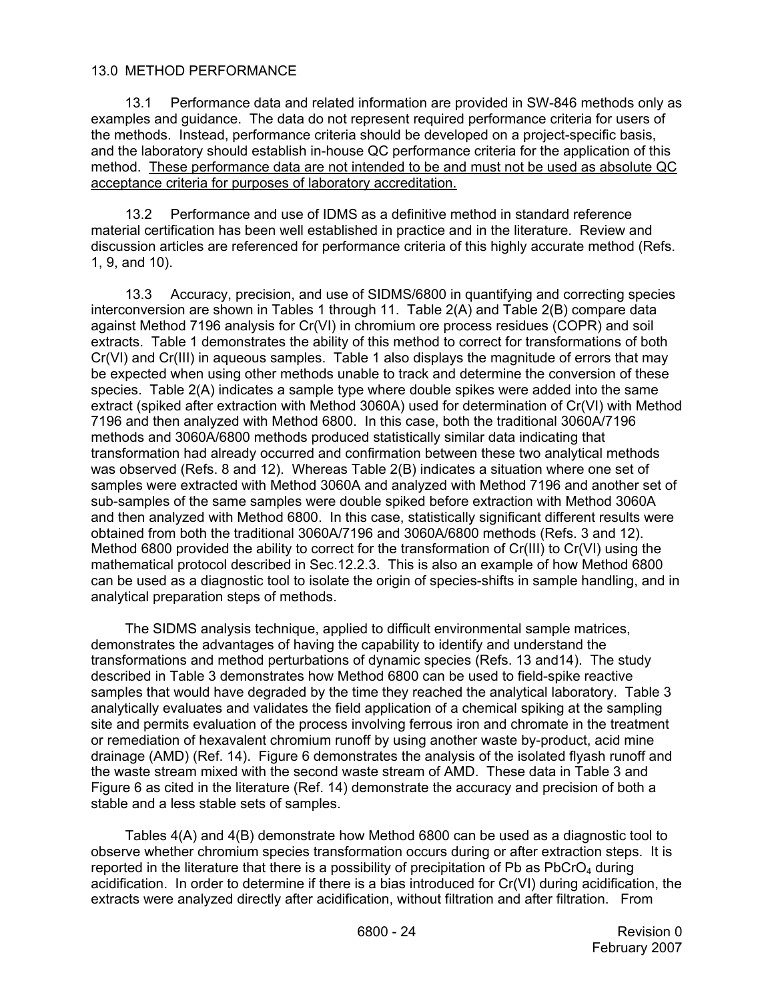## 13.0 METHOD PERFORMANCE

13.1 Performance data and related information are provided in SW-846 methods only as examples and guidance. The data do not represent required performance criteria for users of the methods. Instead, performance criteria should be developed on a project-specific basis, and the laboratory should establish in-house QC performance criteria for the application of this method. These performance data are not intended to be and must not be used as absolute QC acceptance criteria for purposes of laboratory accreditation.

13.2 Performance and use of IDMS as a definitive method in standard reference material certification has been well established in practice and in the literature. Review and discussion articles are referenced for performance criteria of this highly accurate method (Refs. 1, 9, and 10).

13.3 Accuracy, precision, and use of SIDMS/6800 in quantifying and correcting species interconversion are shown in Tables 1 through 11. Table 2(A) and Table 2(B) compare data against Method 7196 analysis for Cr(VI) in chromium ore process residues (COPR) and soil extracts. Table 1 demonstrates the ability of this method to correct for transformations of both Cr(VI) and Cr(III) in aqueous samples. Table 1 also displays the magnitude of errors that may be expected when using other methods unable to track and determine the conversion of these species. Table 2(A) indicates a sample type where double spikes were added into the same extract (spiked after extraction with Method 3060A) used for determination of Cr(VI) with Method 7196 and then analyzed with Method 6800. In this case, both the traditional 3060A/7196 methods and 3060A/6800 methods produced statistically similar data indicating that transformation had already occurred and confirmation between these two analytical methods was observed (Refs. 8 and 12). Whereas Table 2(B) indicates a situation where one set of samples were extracted with Method 3060A and analyzed with Method 7196 and another set of sub-samples of the same samples were double spiked before extraction with Method 3060A and then analyzed with Method 6800. In this case, statistically significant different results were obtained from both the traditional 3060A/7196 and 3060A/6800 methods (Refs. 3 and 12). Method 6800 provided the ability to correct for the transformation of Cr(III) to Cr(VI) using the mathematical protocol described in Sec.12.2.3. This is also an example of how Method 6800 can be used as a diagnostic tool to isolate the origin of species-shifts in sample handling, and in analytical preparation steps of methods.

The SIDMS analysis technique, applied to difficult environmental sample matrices, demonstrates the advantages of having the capability to identify and understand the transformations and method perturbations of dynamic species (Refs. 13 and14). The study described in Table 3 demonstrates how Method 6800 can be used to field-spike reactive samples that would have degraded by the time they reached the analytical laboratory. Table 3 analytically evaluates and validates the field application of a chemical spiking at the sampling site and permits evaluation of the process involving ferrous iron and chromate in the treatment or remediation of hexavalent chromium runoff by using another waste by-product, acid mine drainage (AMD) (Ref. 14). Figure 6 demonstrates the analysis of the isolated flyash runoff and the waste stream mixed with the second waste stream of AMD. These data in Table 3 and Figure 6 as cited in the literature (Ref. 14) demonstrate the accuracy and precision of both a stable and a less stable sets of samples.

Tables 4(A) and 4(B) demonstrate how Method 6800 can be used as a diagnostic tool to observe whether chromium species transformation occurs during or after extraction steps. It is reported in the literature that there is a possibility of precipitation of Pb as  $PbCrO<sub>4</sub>$  during acidification. In order to determine if there is a bias introduced for Cr(VI) during acidification, the extracts were analyzed directly after acidification, without filtration and after filtration. From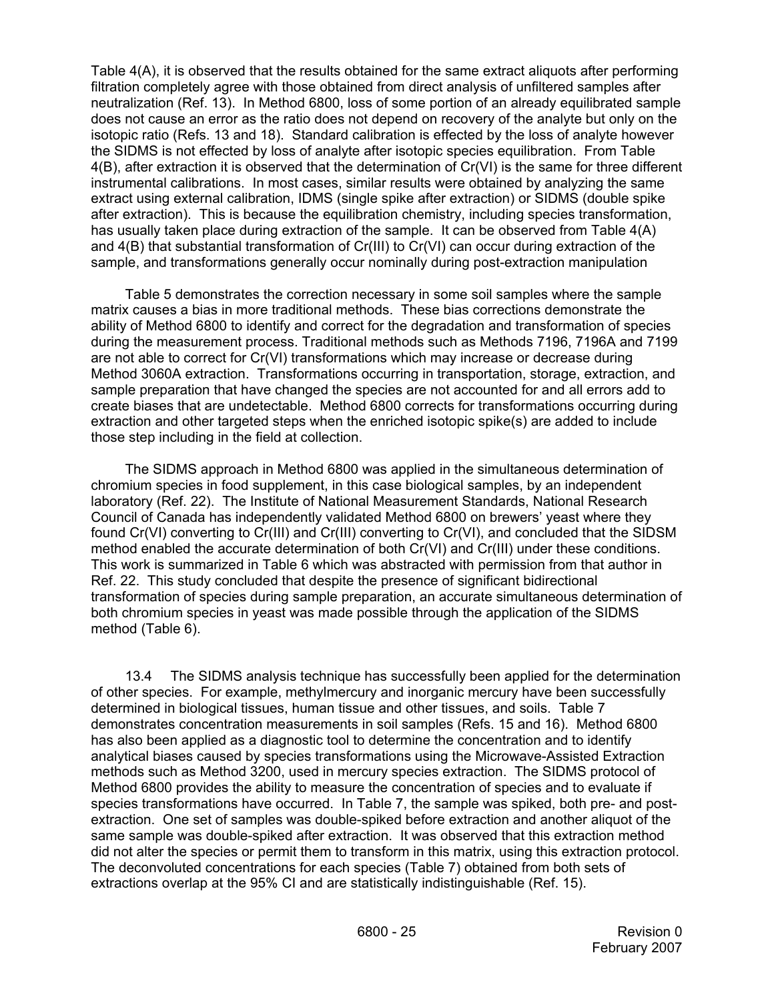Table 4(A), it is observed that the results obtained for the same extract aliquots after performing filtration completely agree with those obtained from direct analysis of unfiltered samples after neutralization (Ref. 13). In Method 6800, loss of some portion of an already equilibrated sample does not cause an error as the ratio does not depend on recovery of the analyte but only on the isotopic ratio (Refs. 13 and 18). Standard calibration is effected by the loss of analyte however the SIDMS is not effected by loss of analyte after isotopic species equilibration. From Table 4(B), after extraction it is observed that the determination of Cr(VI) is the same for three different instrumental calibrations. In most cases, similar results were obtained by analyzing the same extract using external calibration, IDMS (single spike after extraction) or SIDMS (double spike after extraction). This is because the equilibration chemistry, including species transformation, has usually taken place during extraction of the sample. It can be observed from Table 4(A) and 4(B) that substantial transformation of Cr(III) to Cr(VI) can occur during extraction of the sample, and transformations generally occur nominally during post-extraction manipulation

Table 5 demonstrates the correction necessary in some soil samples where the sample matrix causes a bias in more traditional methods. These bias corrections demonstrate the ability of Method 6800 to identify and correct for the degradation and transformation of species during the measurement process. Traditional methods such as Methods 7196, 7196A and 7199 are not able to correct for Cr(VI) transformations which may increase or decrease during Method 3060A extraction. Transformations occurring in transportation, storage, extraction, and sample preparation that have changed the species are not accounted for and all errors add to create biases that are undetectable. Method 6800 corrects for transformations occurring during extraction and other targeted steps when the enriched isotopic spike(s) are added to include those step including in the field at collection.

The SIDMS approach in Method 6800 was applied in the simultaneous determination of chromium species in food supplement, in this case biological samples, by an independent laboratory (Ref. 22). The Institute of National Measurement Standards, National Research Council of Canada has independently validated Method 6800 on brewers' yeast where they found Cr(VI) converting to Cr(III) and Cr(III) converting to Cr(VI), and concluded that the SIDSM method enabled the accurate determination of both Cr(VI) and Cr(III) under these conditions. This work is summarized in Table 6 which was abstracted with permission from that author in Ref. 22. This study concluded that despite the presence of significant bidirectional transformation of species during sample preparation, an accurate simultaneous determination of both chromium species in yeast was made possible through the application of the SIDMS method (Table 6).

13.4 The SIDMS analysis technique has successfully been applied for the determination of other species. For example, methylmercury and inorganic mercury have been successfully determined in biological tissues, human tissue and other tissues, and soils. Table 7 demonstrates concentration measurements in soil samples (Refs. 15 and 16). Method 6800 has also been applied as a diagnostic tool to determine the concentration and to identify analytical biases caused by species transformations using the Microwave-Assisted Extraction methods such as Method 3200, used in mercury species extraction. The SIDMS protocol of Method 6800 provides the ability to measure the concentration of species and to evaluate if species transformations have occurred. In Table 7, the sample was spiked, both pre- and postextraction. One set of samples was double-spiked before extraction and another aliquot of the same sample was double-spiked after extraction. It was observed that this extraction method did not alter the species or permit them to transform in this matrix, using this extraction protocol. The deconvoluted concentrations for each species (Table 7) obtained from both sets of extractions overlap at the 95% CI and are statistically indistinguishable (Ref. 15).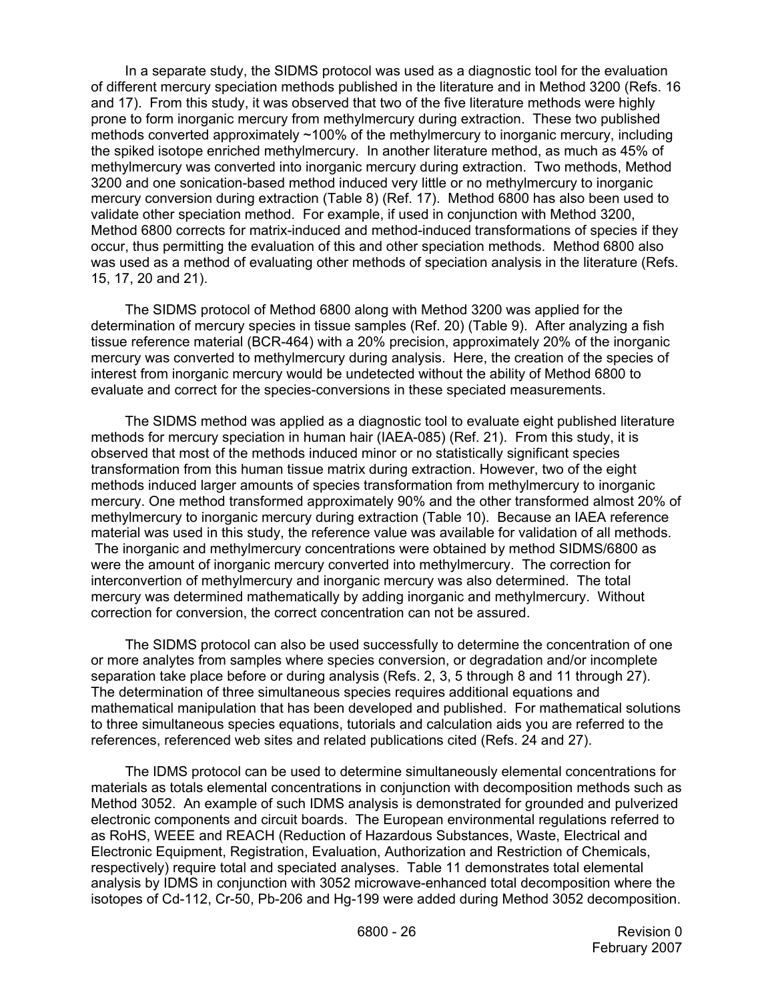In a separate study, the SIDMS protocol was used as a diagnostic tool for the evaluation of different mercury speciation methods published in the literature and in Method 3200 (Refs. 16 and 17). From this study, it was observed that two of the five literature methods were highly prone to form inorganic mercury from methylmercury during extraction. These two published methods converted approximately ~100% of the methylmercury to inorganic mercury, including the spiked isotope enriched methylmercury. In another literature method, as much as 45% of methylmercury was converted into inorganic mercury during extraction. Two methods, Method 3200 and one sonication-based method induced very little or no methylmercury to inorganic mercury conversion during extraction (Table 8) (Ref. 17). Method 6800 has also been used to validate other speciation method. For example, if used in conjunction with Method 3200, Method 6800 corrects for matrix-induced and method-induced transformations of species if they occur, thus permitting the evaluation of this and other speciation methods. Method 6800 also was used as a method of evaluating other methods of speciation analysis in the literature (Refs. 15, 17, 20 and 21).

The SIDMS protocol of Method 6800 along with Method 3200 was applied for the determination of mercury species in tissue samples (Ref. 20) (Table 9). After analyzing a fish tissue reference material (BCR-464) with a 20% precision, approximately 20% of the inorganic mercury was converted to methylmercury during analysis. Here, the creation of the species of interest from inorganic mercury would be undetected without the ability of Method 6800 to evaluate and correct for the species-conversions in these speciated measurements.

The SIDMS method was applied as a diagnostic tool to evaluate eight published literature methods for mercury speciation in human hair (IAEA-085) (Ref. 21). From this study, it is observed that most of the methods induced minor or no statistically significant species transformation from this human tissue matrix during extraction. However, two of the eight methods induced larger amounts of species transformation from methylmercury to inorganic mercury. One method transformed approximately 90% and the other transformed almost 20% of methylmercury to inorganic mercury during extraction (Table 10). Because an IAEA reference material was used in this study, the reference value was available for validation of all methods. The inorganic and methylmercury concentrations were obtained by method SIDMS/6800 as were the amount of inorganic mercury converted into methylmercury. The correction for interconvertion of methylmercury and inorganic mercury was also determined. The total mercury was determined mathematically by adding inorganic and methylmercury. Without correction for conversion, the correct concentration can not be assured.

 The SIDMS protocol can also be used successfully to determine the concentration of one or more analytes from samples where species conversion, or degradation and/or incomplete separation take place before or during analysis (Refs. 2, 3, 5 through 8 and 11 through 27). The determination of three simultaneous species requires additional equations and mathematical manipulation that has been developed and published. For mathematical solutions to three simultaneous species equations, tutorials and calculation aids you are referred to the references, referenced web sites and related publications cited (Refs. 24 and 27).

 The IDMS protocol can be used to determine simultaneously elemental concentrations for materials as totals elemental concentrations in conjunction with decomposition methods such as Method 3052. An example of such IDMS analysis is demonstrated for grounded and pulverized electronic components and circuit boards. The European environmental regulations referred to as RoHS, WEEE and REACH (Reduction of Hazardous Substances, Waste, Electrical and Electronic Equipment, Registration, Evaluation, Authorization and Restriction of Chemicals, respectively) require total and speciated analyses. Table 11 demonstrates total elemental analysis by IDMS in conjunction with 3052 microwave-enhanced total decomposition where the isotopes of Cd-112, Cr-50, Pb-206 and Hg-199 were added during Method 3052 decomposition.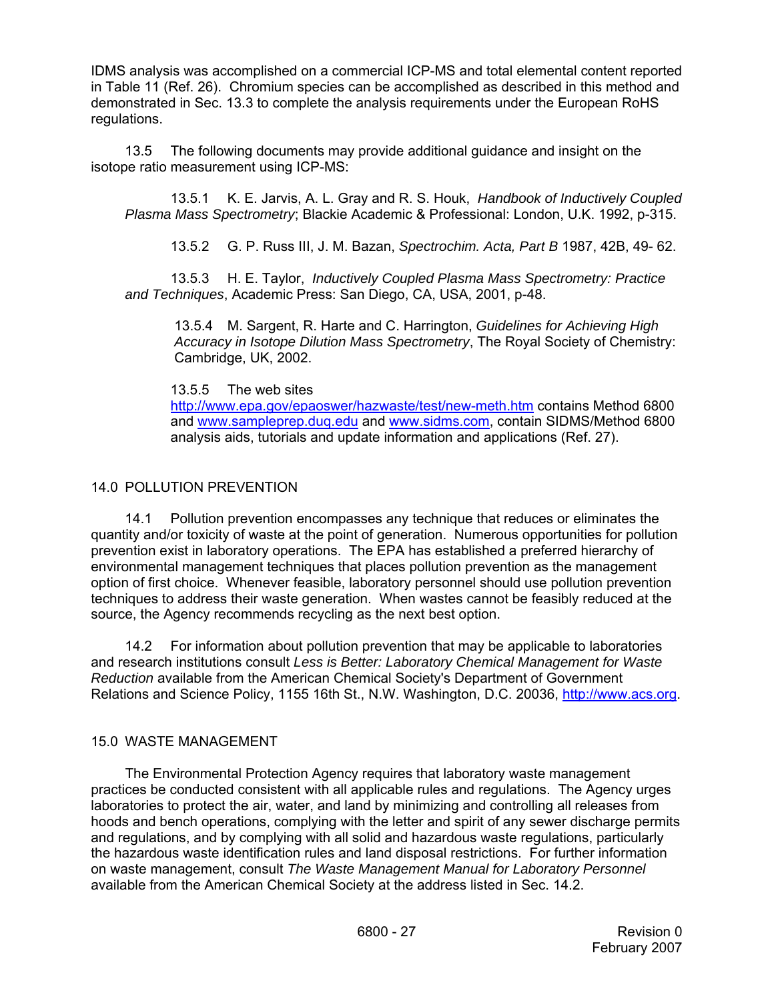IDMS analysis was accomplished on a commercial ICP-MS and total elemental content reported in Table 11 (Ref. 26). Chromium species can be accomplished as described in this method and demonstrated in Sec. 13.3 to complete the analysis requirements under the European RoHS regulations.

13.5 The following documents may provide additional guidance and insight on the isotope ratio measurement using ICP-MS:

13.5.1 K. E. Jarvis, A. L. Gray and R. S. Houk, *Handbook of Inductively Coupled Plasma Mass Spectrometry*; Blackie Academic & Professional: London, U.K. 1992, p-315.

13.5.2 G. P. Russ III, J. M. Bazan, *Spectrochim. Acta, Part B* 1987, 42B, 49- 62.

13.5.3 H. E. Taylor, *Inductively Coupled Plasma Mass Spectrometry: Practice and Techniques*, Academic Press: San Diego, CA, USA, 2001, p-48.

13.5.4 M. Sargent, R. Harte and C. Harrington, *Guidelines for Achieving High Accuracy in Isotope Dilution Mass Spectrometry*, The Royal Society of Chemistry: Cambridge, UK, 2002.

13.5.5 The web sites

http://www.epa.gov/epaoswer/hazwaste/test/new-meth.htm contains Method 6800 and www.sampleprep.duq.edu and www.sidms.com, contain SIDMS/Method 6800 analysis aids, tutorials and update information and applications (Ref. 27).

# 14.0 POLLUTION PREVENTION

14.1 Pollution prevention encompasses any technique that reduces or eliminates the quantity and/or toxicity of waste at the point of generation. Numerous opportunities for pollution prevention exist in laboratory operations. The EPA has established a preferred hierarchy of environmental management techniques that places pollution prevention as the management option of first choice. Whenever feasible, laboratory personnel should use pollution prevention techniques to address their waste generation. When wastes cannot be feasibly reduced at the source, the Agency recommends recycling as the next best option.

14.2 For information about pollution prevention that may be applicable to laboratories and research institutions consult *Less is Better: Laboratory Chemical Management for Waste Reduction* available from the American Chemical Society's Department of Government Relations and Science Policy, 1155 16th St., N.W. Washington, D.C. 20036, http://www.acs.org.

## 15.0 WASTE MANAGEMENT

The Environmental Protection Agency requires that laboratory waste management practices be conducted consistent with all applicable rules and regulations. The Agency urges laboratories to protect the air, water, and land by minimizing and controlling all releases from hoods and bench operations, complying with the letter and spirit of any sewer discharge permits and regulations, and by complying with all solid and hazardous waste regulations, particularly the hazardous waste identification rules and land disposal restrictions. For further information on waste management, consult *The Waste Management Manual for Laboratory Personnel*  available from the American Chemical Society at the address listed in Sec. 14.2.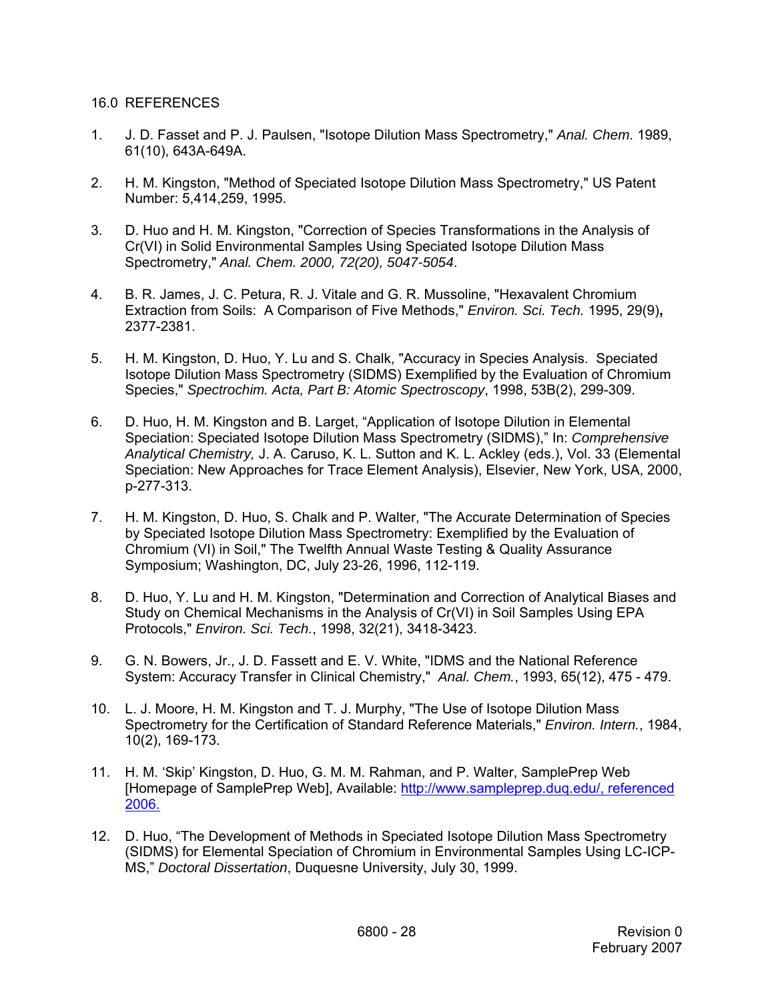### 16.0 REFERENCES

- 1. J. D. Fasset and P. J. Paulsen, "Isotope Dilution Mass Spectrometry," *Anal. Chem*. 1989, 61(10), 643A-649A.
- 2. H. M. Kingston, "Method of Speciated Isotope Dilution Mass Spectrometry," US Patent Number: 5,414,259, 1995.
- 3. D. Huo and H. M. Kingston, "Correction of Species Transformations in the Analysis of Cr(VI) in Solid Environmental Samples Using Speciated Isotope Dilution Mass Spectrometry," *Anal. Chem. 2000, 72(20), 5047-5054*.
- 4. B. R. James, J. C. Petura, R. J. Vitale and G. R. Mussoline, "Hexavalent Chromium Extraction from Soils: A Comparison of Five Methods," *Environ. Sci. Tech.* 1995, 29(9)**,**  2377-2381.
- 5. H. M. Kingston, D. Huo, Y. Lu and S. Chalk, "Accuracy in Species Analysis. Speciated Isotope Dilution Mass Spectrometry (SIDMS) Exemplified by the Evaluation of Chromium Species," *Spectrochim. Acta, Part B: Atomic Spectroscopy*, 1998, 53B(2), 299-309.
- 6. D. Huo, H. M. Kingston and B. Larget, "Application of Isotope Dilution in Elemental Speciation: Speciated Isotope Dilution Mass Spectrometry (SIDMS)," In: *Comprehensive Analytical Chemistry,* J. A. Caruso, K. L. Sutton and K. L. Ackley (eds.), Vol. 33 (Elemental Speciation: New Approaches for Trace Element Analysis), Elsevier, New York, USA, 2000, p-277-313.
- 7. H. M. Kingston, D. Huo, S. Chalk and P. Walter, "The Accurate Determination of Species by Speciated Isotope Dilution Mass Spectrometry: Exemplified by the Evaluation of Chromium (VI) in Soil," The Twelfth Annual Waste Testing & Quality Assurance Symposium; Washington, DC, July 23-26, 1996, 112-119.
- 8. D. Huo, Y. Lu and H. M. Kingston, "Determination and Correction of Analytical Biases and Study on Chemical Mechanisms in the Analysis of Cr(VI) in Soil Samples Using EPA Protocols," *Environ. Sci. Tech.*, 1998, 32(21), 3418-3423.
- 9. G. N. Bowers, Jr., J. D. Fassett and E. V. White, "IDMS and the National Reference System: Accuracy Transfer in Clinical Chemistry," *Anal. Chem.*, 1993, 65(12), 475 - 479.
- 10. L. J. Moore, H. M. Kingston and T. J. Murphy, "The Use of Isotope Dilution Mass Spectrometry for the Certification of Standard Reference Materials," *Environ. Intern.*, 1984, 10(2), 169-173.
- 11. H. M. 'Skip' Kingston, D. Huo, G. M. M. Rahman, and P. Walter, SamplePrep Web [Homepage of SamplePrep Web], Available: http://www.sampleprep.duq.edu/, referenced 2006.
- 12. D. Huo, "The Development of Methods in Speciated Isotope Dilution Mass Spectrometry (SIDMS) for Elemental Speciation of Chromium in Environmental Samples Using LC-ICP-MS," *Doctoral Dissertation*, Duquesne University, July 30, 1999.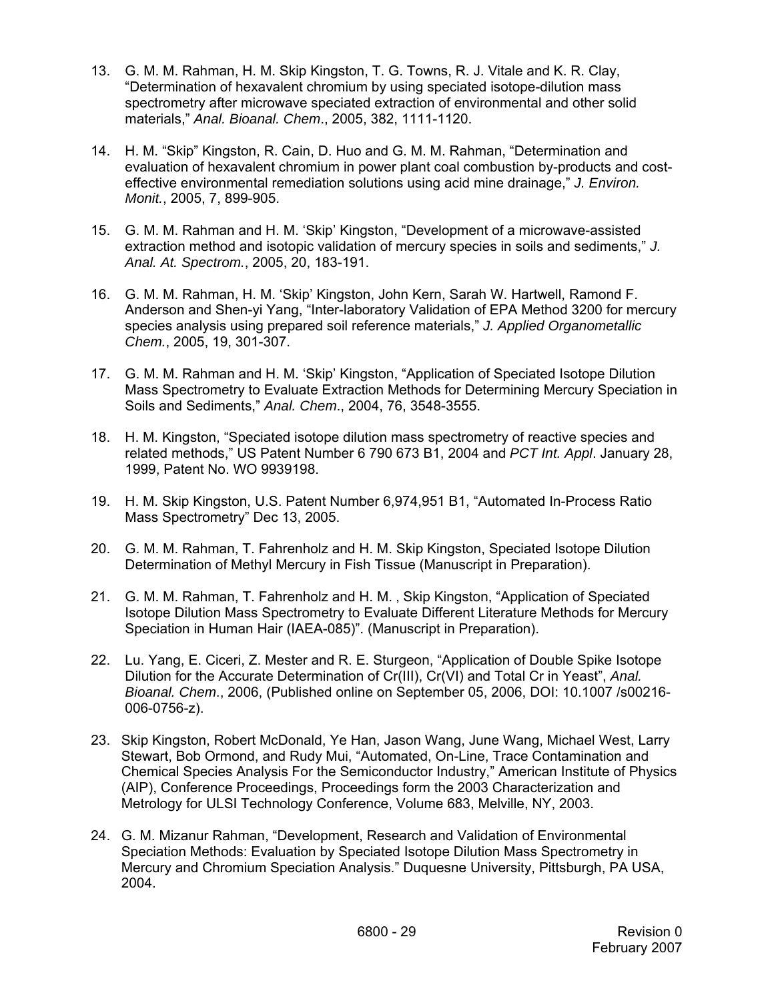- 13. G. M. M. Rahman, H. M. Skip Kingston, T. G. Towns, R. J. Vitale and K. R. Clay, "Determination of hexavalent chromium by using speciated isotope-dilution mass spectrometry after microwave speciated extraction of environmental and other solid materials," *Anal. Bioanal. Chem*., 2005, 382, 1111-1120.
- 14. H. M. "Skip" Kingston, R. Cain, D. Huo and G. M. M. Rahman, "Determination and evaluation of hexavalent chromium in power plant coal combustion by-products and costeffective environmental remediation solutions using acid mine drainage," *J. Environ. Monit.*, 2005, 7, 899-905.
- 15. G. M. M. Rahman and H. M. 'Skip' Kingston, "Development of a microwave-assisted extraction method and isotopic validation of mercury species in soils and sediments," *J. Anal. At. Spectrom.*, 2005, 20, 183-191.
- 16. G. M. M. Rahman, H. M. 'Skip' Kingston, John Kern, Sarah W. Hartwell, Ramond F. Anderson and Shen-yi Yang, "Inter-laboratory Validation of EPA Method 3200 for mercury species analysis using prepared soil reference materials," *J. Applied Organometallic Chem.*, 2005, 19, 301-307.
- 17. G. M. M. Rahman and H. M. 'Skip' Kingston, "Application of Speciated Isotope Dilution Mass Spectrometry to Evaluate Extraction Methods for Determining Mercury Speciation in Soils and Sediments," *Anal. Chem*., 2004, 76, 3548-3555.
- 18. H. M. Kingston, "Speciated isotope dilution mass spectrometry of reactive species and related methods," US Patent Number 6 790 673 B1, 2004 and *PCT Int. Appl*. January 28, 1999, Patent No. WO 9939198.
- 19. H. M. Skip Kingston, U.S. Patent Number 6,974,951 B1, "Automated In-Process Ratio Mass Spectrometry" Dec 13, 2005.
- 20. G. M. M. Rahman, T. Fahrenholz and H. M. Skip Kingston, Speciated Isotope Dilution Determination of Methyl Mercury in Fish Tissue (Manuscript in Preparation).
- 21. G. M. M. Rahman, T. Fahrenholz and H. M., Skip Kingston, "Application of Speciated Isotope Dilution Mass Spectrometry to Evaluate Different Literature Methods for Mercury Speciation in Human Hair (IAEA-085)". (Manuscript in Preparation).
- 22. Lu. Yang, E. Ciceri, Z. Mester and R. E. Sturgeon, "Application of Double Spike Isotope Dilution for the Accurate Determination of Cr(III), Cr(VI) and Total Cr in Yeast", *Anal. Bioanal. Chem*., 2006, (Published online on September 05, 2006, DOI: 10.1007 /s00216- 006-0756-z).
- 23. Skip Kingston, Robert McDonald, Ye Han, Jason Wang, June Wang, Michael West, Larry Stewart, Bob Ormond, and Rudy Mui, "Automated, On-Line, Trace Contamination and Chemical Species Analysis For the Semiconductor Industry," American Institute of Physics (AIP), Conference Proceedings, Proceedings form the 2003 Characterization and Metrology for ULSI Technology Conference, Volume 683, Melville, NY, 2003.
- 24. G. M. Mizanur Rahman, "Development, Research and Validation of Environmental Speciation Methods: Evaluation by Speciated Isotope Dilution Mass Spectrometry in Mercury and Chromium Speciation Analysis." Duquesne University, Pittsburgh, PA USA, 2004.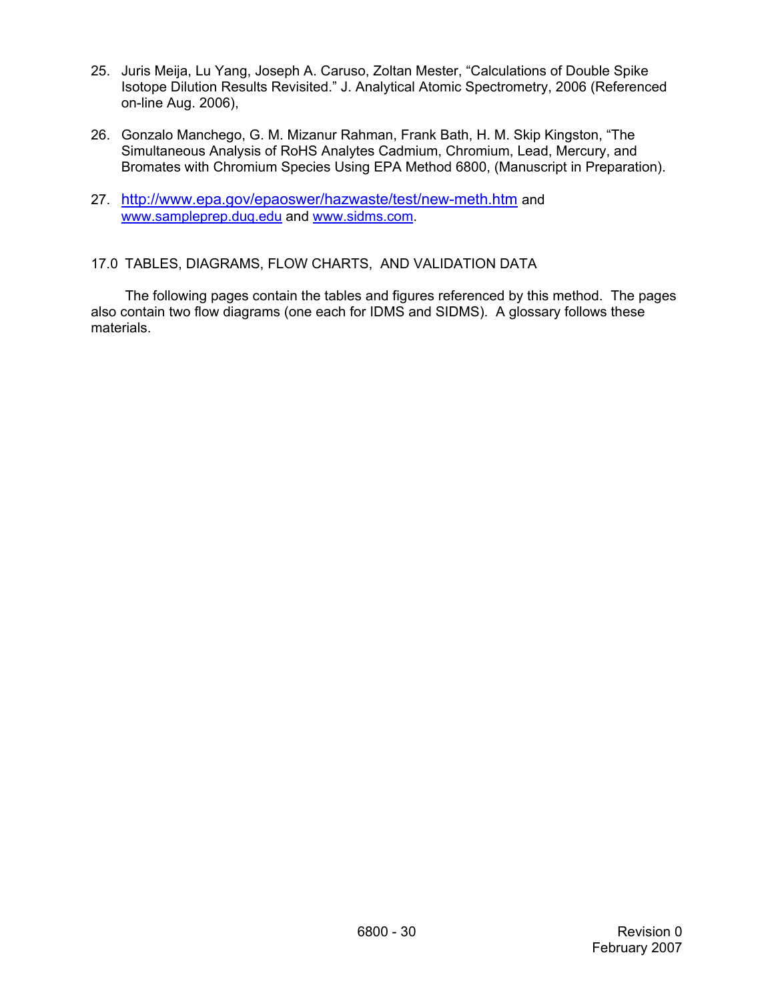- 25. Juris Meija, Lu Yang, Joseph A. Caruso, Zoltan Mester, "Calculations of Double Spike Isotope Dilution Results Revisited." J. Analytical Atomic Spectrometry, 2006 (Referenced on-line Aug. 2006),
- 26. Gonzalo Manchego, G. M. Mizanur Rahman, Frank Bath, H. M. Skip Kingston, "The Simultaneous Analysis of RoHS Analytes Cadmium, Chromium, Lead, Mercury, and Bromates with Chromium Species Using EPA Method 6800, (Manuscript in Preparation).
- 27. http://www.epa.gov/epaoswer/hazwaste/test/new-meth.htm and www.sampleprep.duq.edu and www.sidms.com.
- 17.0 TABLES, DIAGRAMS, FLOW CHARTS, AND VALIDATION DATA

The following pages contain the tables and figures referenced by this method. The pages also contain two flow diagrams (one each for IDMS and SIDMS). A glossary follows these materials.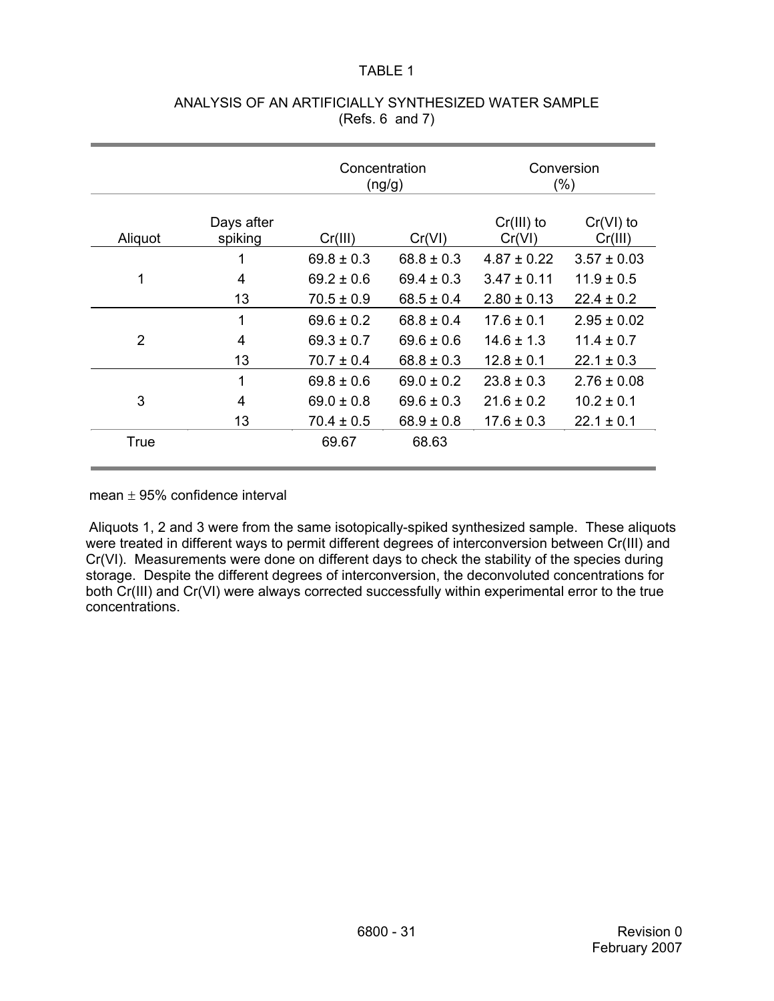# TABLE 1

|                |                       | Concentration<br>(ng/g) |                |                        | Conversion<br>(% )     |
|----------------|-----------------------|-------------------------|----------------|------------------------|------------------------|
| Aliquot        | Days after<br>spiking | Cr(III)                 | Cr(VI)         | $Cr(III)$ to<br>Cr(VI) | $Cr(VI)$ to<br>Cr(III) |
|                |                       | $69.8 \pm 0.3$          | $68.8 \pm 0.3$ | $4.87 \pm 0.22$        | $3.57 \pm 0.03$        |
| 1              | 4                     | $69.2 \pm 0.6$          | $69.4 \pm 0.3$ | $3.47 \pm 0.11$        | $11.9 \pm 0.5$         |
|                | 13                    | $70.5 \pm 0.9$          | $68.5 \pm 0.4$ | $2.80 \pm 0.13$        | $22.4 \pm 0.2$         |
|                | 1                     | $69.6 \pm 0.2$          | $68.8 \pm 0.4$ | $17.6 \pm 0.1$         | $2.95 \pm 0.02$        |
| $\overline{2}$ | 4                     | $69.3 \pm 0.7$          | $69.6 \pm 0.6$ | $14.6 \pm 1.3$         | $11.4 \pm 0.7$         |
|                | 13                    | $70.7 \pm 0.4$          | $68.8 \pm 0.3$ | $12.8 \pm 0.1$         | $22.1 \pm 0.3$         |
|                | 1                     | $69.8 \pm 0.6$          | $69.0 \pm 0.2$ | $23.8 \pm 0.3$         | $2.76 \pm 0.08$        |
| 3              | 4                     | $69.0 \pm 0.8$          | $69.6 \pm 0.3$ | $21.6 \pm 0.2$         | $10.2 \pm 0.1$         |
|                | 13                    | $70.4 \pm 0.5$          | $68.9 \pm 0.8$ | $17.6 \pm 0.3$         | $22.1 \pm 0.1$         |
| True           |                       | 69.67                   | 68.63          |                        |                        |

# ANALYSIS OF AN ARTIFICIALLY SYNTHESIZED WATER SAMPLE (Refs. 6 and 7)

mean  $\pm$  95% confidence interval

Aliquots 1, 2 and 3 were from the same isotopically-spiked synthesized sample. These aliquots were treated in different ways to permit different degrees of interconversion between Cr(III) and Cr(VI). Measurements were done on different days to check the stability of the species during storage. Despite the different degrees of interconversion, the deconvoluted concentrations for both Cr(III) and Cr(VI) were always corrected successfully within experimental error to the true concentrations.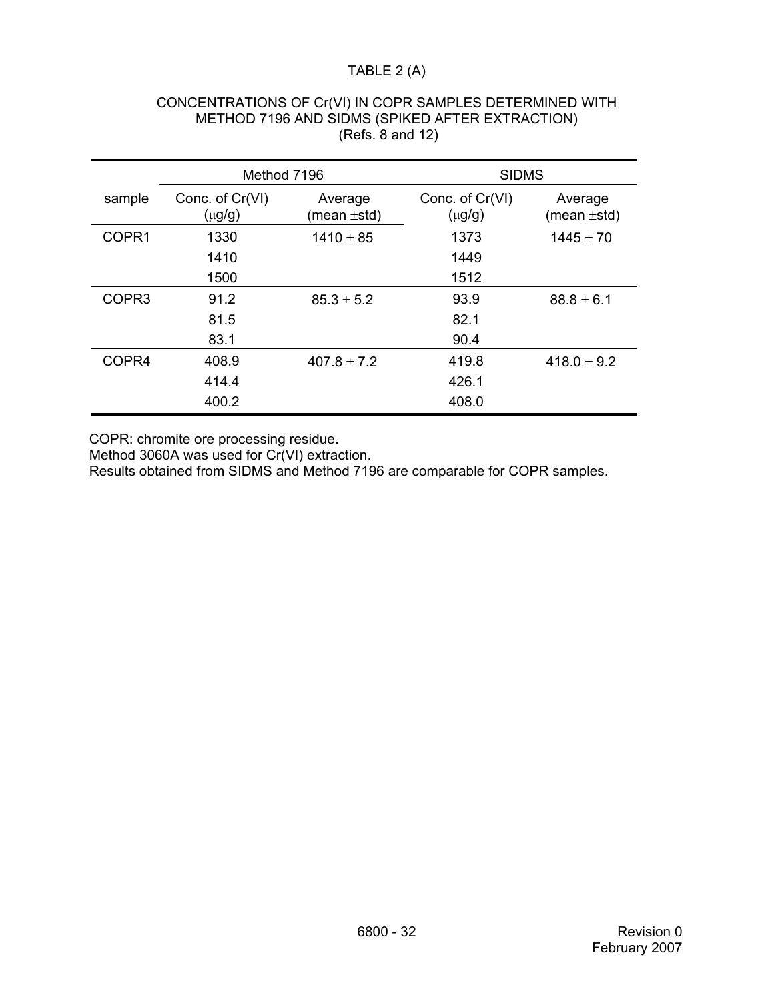# TABLE 2 (A)

|                   | Method 7196                    |                             | <b>SIDMS</b>                   |                             |
|-------------------|--------------------------------|-----------------------------|--------------------------------|-----------------------------|
| sample            | Conc. of Cr(VI)<br>$(\mu g/g)$ | Average<br>(mean $\pm$ std) | Conc. of Cr(VI)<br>$(\mu g/g)$ | Average<br>(mean $\pm$ std) |
| COPR1             | 1330                           | $1410 \pm 85$               | 1373                           | $1445 \pm 70$               |
|                   | 1410                           |                             | 1449                           |                             |
|                   | 1500                           |                             | 1512                           |                             |
| COPR <sub>3</sub> | 91.2                           | $85.3 \pm 5.2$              | 93.9                           | $88.8 \pm 6.1$              |
|                   | 81.5                           |                             | 82.1                           |                             |
|                   | 83.1                           |                             | 90.4                           |                             |
| COPR4             | 408.9                          | $407.8 \pm 7.2$             | 419.8                          | $418.0 \pm 9.2$             |
|                   | 414.4                          |                             | 426.1                          |                             |
|                   | 400.2                          |                             | 408.0                          |                             |

### CONCENTRATIONS OF Cr(VI) IN COPR SAMPLES DETERMINED WITH METHOD 7196 AND SIDMS (SPIKED AFTER EXTRACTION) (Refs. 8 and 12)

COPR: chromite ore processing residue.

Method 3060A was used for Cr(VI) extraction.

Results obtained from SIDMS and Method 7196 are comparable for COPR samples.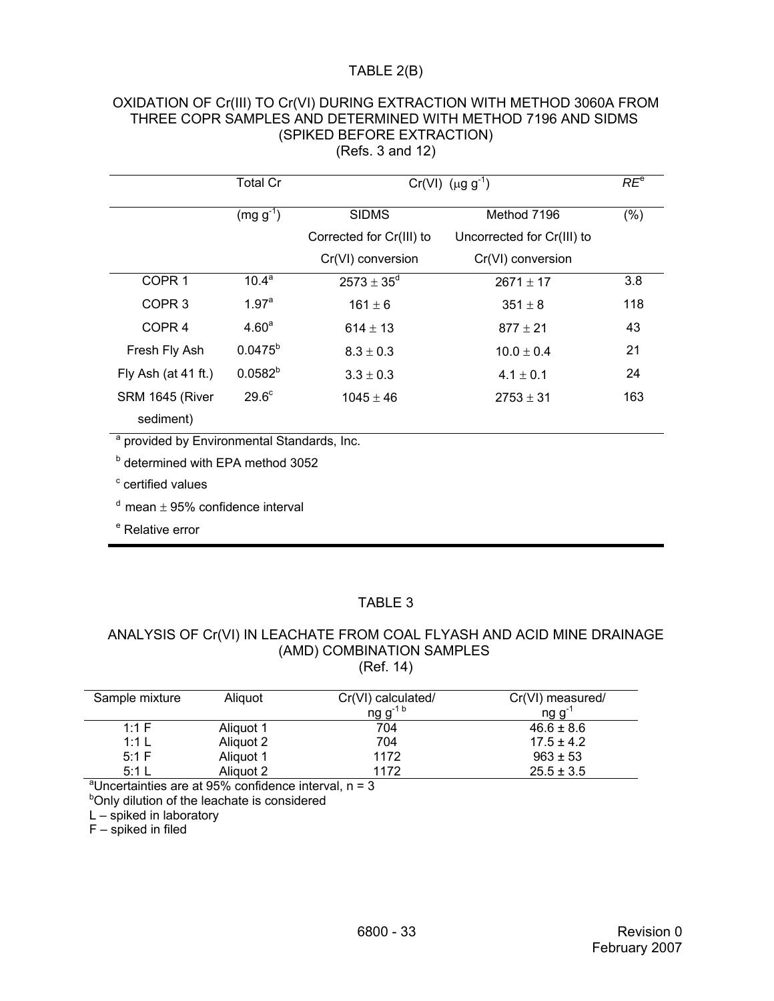## TABLE 2(B)

### OXIDATION OF Cr(III) TO Cr(VI) DURING EXTRACTION WITH METHOD 3060A FROM THREE COPR SAMPLES AND DETERMINED WITH METHOD 7196 AND SIDMS (SPIKED BEFORE EXTRACTION) (Refs. 3 and 12)

|                                                        | <b>Total Cr</b>   | $Cr(VI)$ (µg g <sup>-1</sup> ) | $RE^e$                     |     |
|--------------------------------------------------------|-------------------|--------------------------------|----------------------------|-----|
|                                                        | $(mg g^{-1})$     | <b>SIDMS</b>                   | Method 7196                | (%) |
|                                                        |                   | Corrected for Cr(III) to       | Uncorrected for Cr(III) to |     |
|                                                        |                   | Cr(VI) conversion              | Cr(VI) conversion          |     |
| COPR <sub>1</sub>                                      | 10.4 <sup>a</sup> | $2573 \pm 35^{\rm d}$          | $2671 \pm 17$              | 3.8 |
| COPR <sub>3</sub>                                      | 1.97 <sup>a</sup> | $161 \pm 6$                    | $351 \pm 8$                | 118 |
| COPR <sub>4</sub>                                      | 4.60 <sup>a</sup> | $614 \pm 13$                   | $877 \pm 21$               | 43  |
| Fresh Fly Ash                                          | $0.0475^{b}$      | $8.3 \pm 0.3$                  | $10.0 \pm 0.4$             | 21  |
| Fly Ash (at 41 ft.)                                    | $0.0582^{b}$      | $3.3 \pm 0.3$                  | $4.1 \pm 0.1$              | 24  |
| SRM 1645 (River                                        | 29.6 <sup>c</sup> | $1045 \pm 46$                  | $2753 \pm 31$              | 163 |
| sediment)                                              |                   |                                |                            |     |
| <sup>a</sup> provided by Environmental Standards, Inc. |                   |                                |                            |     |
| <b>b</b> determined with EPA method 3052               |                   |                                |                            |     |
| <sup>c</sup> certified values                          |                   |                                |                            |     |
| $^d$ mean $\pm$ 95% confidence interval                |                   |                                |                            |     |
| <sup>e</sup> Relative error                            |                   |                                |                            |     |

# TABLE 3

#### ANALYSIS OF Cr(VI) IN LEACHATE FROM COAL FLYASH AND ACID MINE DRAINAGE (AMD) COMBINATION SAMPLES (Ref. 14)

| Sample mixture                                                     | Aliguot   | Cr(VI) calculated/<br>ng $g^{-1 b}$ | Cr(VI) measured/<br>ng g <sup>-1</sup> |  |  |  |
|--------------------------------------------------------------------|-----------|-------------------------------------|----------------------------------------|--|--|--|
| 1:1 $F$                                                            | Aliquot 1 | 704                                 | $46.6 \pm 8.6$                         |  |  |  |
| 1:1 L                                                              | Aliquot 2 | 704                                 | $17.5 \pm 4.2$                         |  |  |  |
| 5:1 F                                                              | Aliquot 1 | 1172                                | $963 \pm 53$                           |  |  |  |
| $5:1$ L                                                            | Aliguot 2 | 1172                                | $25.5 \pm 3.5$                         |  |  |  |
| <sup>a</sup> Uncertainties are at 95% confidence interval, $n = 3$ |           |                                     |                                        |  |  |  |

<sup>b</sup>Only dilution of the leachate is considered

L – spiked in laboratory

F – spiked in filed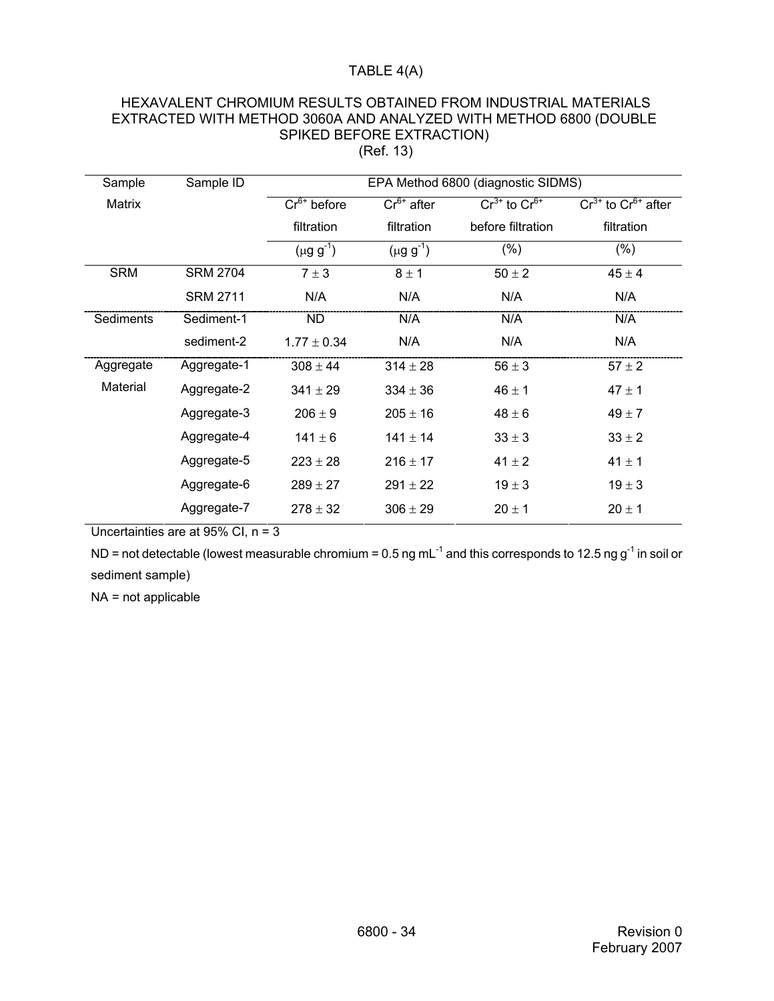# TABLE 4(A)

### HEXAVALENT CHROMIUM RESULTS OBTAINED FROM INDUSTRIAL MATERIALS EXTRACTED WITH METHOD 3060A AND ANALYZED WITH METHOD 6800 (DOUBLE SPIKED BEFORE EXTRACTION) (Ref. 13)

| Sample     | Sample ID       |                             |                  | EPA Method 6800 (diagnostic SIDMS) |                              |
|------------|-----------------|-----------------------------|------------------|------------------------------------|------------------------------|
| Matrix     |                 | $\overline{Cr}^{6+}$ before | $Cr6+$ after     | $Cr^{3+}$ to $Cr^{6+}$             | $Cr^{3+}$ to $Cr^{6+}$ after |
|            |                 | filtration                  | filtration       | before filtration                  | filtration                   |
|            |                 | $(\mu g g^{-1})$            | $(\mu g g^{-1})$ | $(\% )$                            | (% )                         |
| <b>SRM</b> | <b>SRM 2704</b> | $7 \pm 3$                   | $8 \pm 1$        | $50 \pm 2$                         | $45 \pm 4$                   |
|            | <b>SRM 2711</b> | N/A                         | N/A              | N/A                                | N/A                          |
| Sediments  | Sediment-1      | <b>ND</b>                   | N/A              | N/A                                | N/A                          |
|            | sediment-2      | $1.77 \pm 0.34$             | N/A              | N/A                                | N/A                          |
| Aggregate  | Aggregate-1     | $308 \pm 44$                | $314 \pm 28$     | $56 \pm 3$                         | $57 \pm 2$                   |
| Material   | Aggregate-2     | $341 \pm 29$                | $334 \pm 36$     | $46 \pm 1$                         | $47 \pm 1$                   |
|            | Aggregate-3     | $206 \pm 9$                 | $205 \pm 16$     | $48 \pm 6$                         | $49 \pm 7$                   |
|            | Aggregate-4     | $141 \pm 6$                 | $141 \pm 14$     | $33 \pm 3$                         | $33 \pm 2$                   |
|            | Aggregate-5     | $223 \pm 28$                | $216 \pm 17$     | $41 \pm 2$                         | $41 \pm 1$                   |
|            | Aggregate-6     | $289 \pm 27$                | $291 \pm 22$     | $19 \pm 3$                         | $19 \pm 3$                   |
|            | Aggregate-7     | $278 \pm 32$                | $306 \pm 29$     | $20 \pm 1$                         | $20 \pm 1$                   |

Uncertainties are at 95% CI, n = 3

ND = not detectable (lowest measurable chromium =  $0.5$  ng mL<sup>-1</sup> and this corresponds to 12.5 ng g<sup>-1</sup> in soil or sediment sample)

NA = not applicable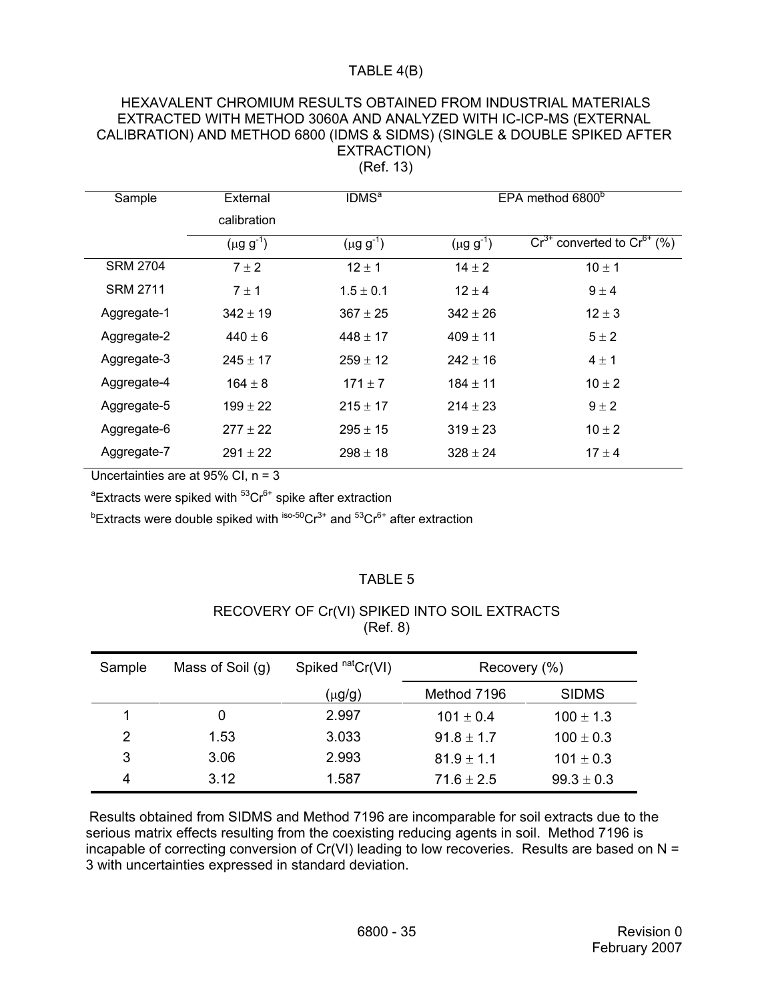# TABLE 4(B)

| HEXAVALENT CHROMIUM RESULTS OBTAINED FROM INDUSTRIAL MATERIALS            |
|---------------------------------------------------------------------------|
| EXTRACTED WITH METHOD 3060A AND ANALYZED WITH IC-ICP-MS (EXTERNAL         |
| CALIBRATION) AND METHOD 6800 (IDMS & SIDMS) (SINGLE & DOUBLE SPIKED AFTER |
| EXTRACTION)                                                               |
| (Ref. 13)                                                                 |

| Sample          | External         | IDMS <sup>a</sup> | EPA method 6800 <sup>b</sup> |                                      |
|-----------------|------------------|-------------------|------------------------------|--------------------------------------|
|                 | calibration      |                   |                              |                                      |
|                 | $(\mu g g^{-1})$ | $(\mu g g^{-1})$  | $(\mu g g^{-1})$             | $Cr^{3+}$ converted to $Cr^{6+}$ (%) |
| <b>SRM 2704</b> | $7 \pm 2$        | $12 \pm 1$        | $14 \pm 2$                   | $10 \pm 1$                           |
| <b>SRM 2711</b> | $7 \pm 1$        | $1.5 \pm 0.1$     | $12 \pm 4$                   | $9 \pm 4$                            |
| Aggregate-1     | $342 \pm 19$     | $367 \pm 25$      | $342 \pm 26$                 | $12 \pm 3$                           |
| Aggregate-2     | $440 \pm 6$      | $448 \pm 17$      | $409 \pm 11$                 | $5 \pm 2$                            |
| Aggregate-3     | $245 \pm 17$     | $259 \pm 12$      | $242 + 16$                   | $4 \pm 1$                            |
| Aggregate-4     | $164 \pm 8$      | $171 \pm 7$       | $184 \pm 11$                 | $10 \pm 2$                           |
| Aggregate-5     | $199 \pm 22$     | $215 \pm 17$      | $214 \pm 23$                 | $9 \pm 2$                            |
| Aggregate-6     | $277 \pm 22$     | $295 \pm 15$      | $319 \pm 23$                 | $10 \pm 2$                           |
| Aggregate-7     | $291 \pm 22$     | $298 \pm 18$      | $328 \pm 24$                 | $17 + 4$                             |
|                 |                  |                   |                              |                                      |

Uncertainties are at 95% CI, n = 3

<sup>a</sup>Extracts were spiked with <sup>53</sup>Cr<sup>6+</sup> spike after extraction

 $\mathrm{^{b}Ex}$ tracts were double spiked with  $\mathrm{^{iso\text{-}50}Cr^{3+}}$  and  $\mathrm{^{53}Cr^{6+}}$  after extraction

### TABLE 5

# RECOVERY OF Cr(VI) SPIKED INTO SOIL EXTRACTS (Ref. 8)

| Sample | Mass of Soil (g) | Spiked nat Cr(VI) | Recovery (%)   |                |
|--------|------------------|-------------------|----------------|----------------|
|        |                  | (μg/g)            | Method 7196    | <b>SIDMS</b>   |
|        | 0                | 2.997             | $101 \pm 0.4$  | $100 \pm 1.3$  |
| 2      | 1.53             | 3.033             | $91.8 \pm 1.7$ | $100 \pm 0.3$  |
| 3      | 3.06             | 2.993             | $81.9 \pm 1.1$ | $101 \pm 0.3$  |
| 4      | 3.12             | 1.587             | $71.6 \pm 2.5$ | $99.3 \pm 0.3$ |

Results obtained from SIDMS and Method 7196 are incomparable for soil extracts due to the serious matrix effects resulting from the coexisting reducing agents in soil. Method 7196 is incapable of correcting conversion of Cr(VI) leading to low recoveries. Results are based on N = 3 with uncertainties expressed in standard deviation.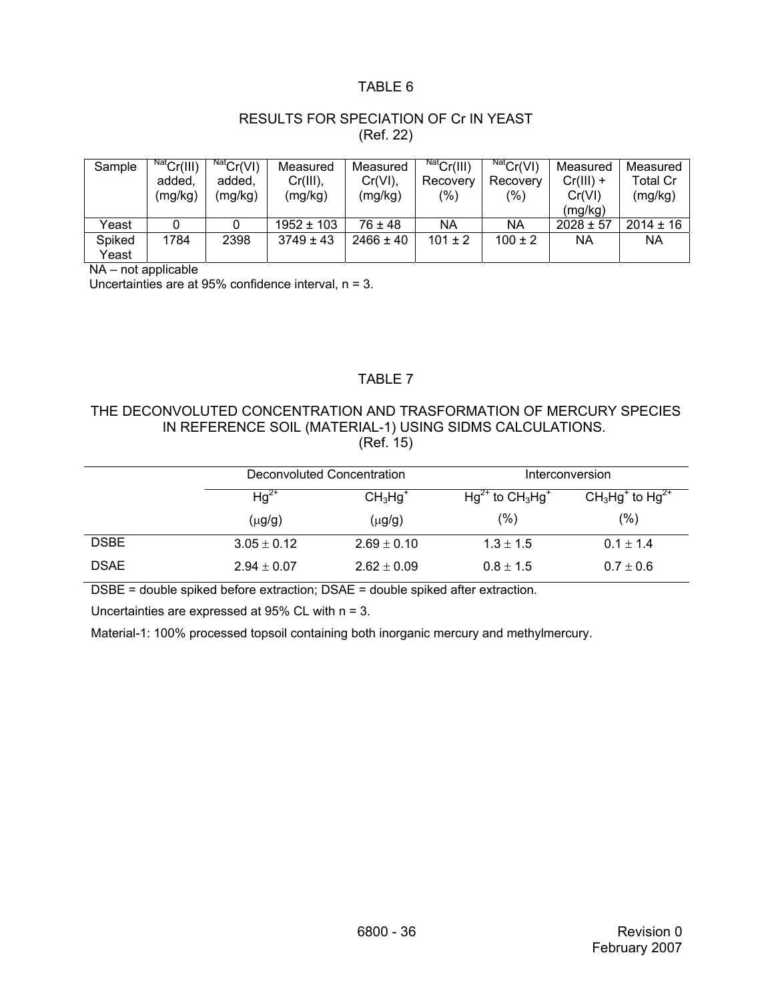## TABLE 6

# RESULTS FOR SPECIATION OF Cr IN YEAST (Ref. 22)

| Sample | $NatCr(III)$ | $NatCr(VI)$ | Measured       | Measured      | Nat <sub>Cr</sub> (III) | Nat <sub>Cr</sub> (VI) | Measured      | Measured      |
|--------|--------------|-------------|----------------|---------------|-------------------------|------------------------|---------------|---------------|
|        | added,       | added.      | $Cr(III)$ ,    | Cr(VI),       | Recovery                | Recovery               | $Cr(III) +$   | Total Cr      |
|        | (mg/kg)      | (mg/kg)     | (mg/kg)        | (mg/kg)       | (%)                     | $\frac{9}{6}$          | Cr(VI)        | (mg/kg)       |
|        |              |             |                |               |                         |                        | (mg/kg)       |               |
| Yeast  |              |             | $1952 \pm 103$ | $76 \pm 48$   | <b>NA</b>               | ΝA                     | $2028 \pm 57$ | $2014 \pm 16$ |
| Spiked | 1784         | 2398        | $3749 \pm 43$  | $2466 \pm 40$ | $101 \pm 2$             | $100 \pm 2$            | ΝA            | ΝA            |
| Yeast  |              |             |                |               |                         |                        |               |               |

NA – not applicable

Uncertainties are at 95% confidence interval, n = 3.

## TABLE 7

### THE DECONVOLUTED CONCENTRATION AND TRASFORMATION OF MERCURY SPECIES IN REFERENCE SOIL (MATERIAL-1) USING SIDMS CALCULATIONS. (Ref. 15)

|             | Deconvoluted Concentration |                 | Interconversion         |                    |  |
|-------------|----------------------------|-----------------|-------------------------|--------------------|--|
|             | $Hg^{2+}$<br>$CH3Hg+$      |                 | $Hg^{2+}$ to $CH_3Hg^+$ | $CH3Hg+$ to $Hg2+$ |  |
|             | $(\mu g/g)$                | $(\mu g/g)$     | $(\%)$                  | (%)                |  |
| <b>DSBE</b> | $3.05 \pm 0.12$            | $2.69 \pm 0.10$ | $1.3 \pm 1.5$           | $0.1 \pm 1.4$      |  |
| <b>DSAE</b> | $2.94 \pm 0.07$            | $2.62 \pm 0.09$ | $0.8 \pm 1.5$           | $0.7 \pm 0.6$      |  |

DSBE = double spiked before extraction; DSAE = double spiked after extraction.

Uncertainties are expressed at 95% CL with n = 3.

Material-1: 100% processed topsoil containing both inorganic mercury and methylmercury.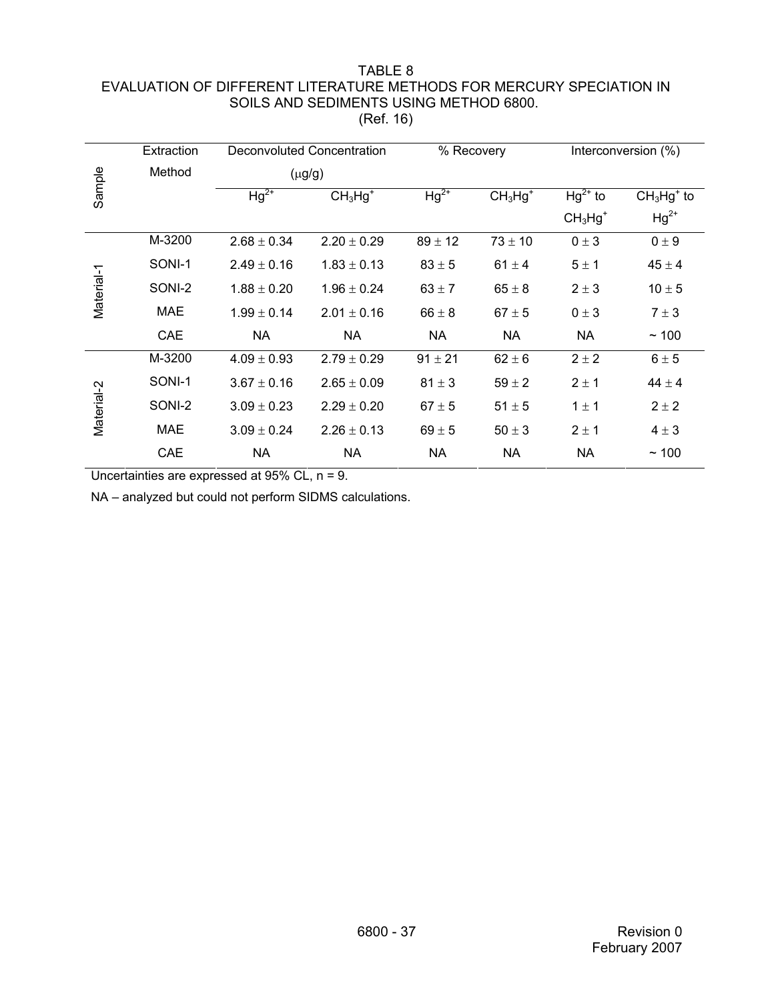### TABLE 8 EVALUATION OF DIFFERENT LITERATURE METHODS FOR MERCURY SPECIATION IN SOILS AND SEDIMENTS USING METHOD 6800. (Ref. 16)

|            | Extraction | Deconvoluted Concentration |                 | % Recovery  |            | Interconversion (%) |             |
|------------|------------|----------------------------|-----------------|-------------|------------|---------------------|-------------|
|            | Method     | $(\mu g/g)$                |                 |             |            |                     |             |
| Sample     |            | $Hg^{2+}$                  | $CH3Hg+$        | $Hg^{2+}$   | $CH3Hg+$   | $Hg^{2+}$ to        | $CH3Hg+$ to |
|            |            |                            |                 |             |            | $CH3Hg+$            | $Hg^{2+}$   |
| Material-1 | M-3200     | $2.68 \pm 0.34$            | $2.20 \pm 0.29$ | $89 \pm 12$ | $73\pm10$  | $0 \pm 3$           | $0 \pm 9$   |
|            | SONI-1     | $2.49 \pm 0.16$            | $1.83 \pm 0.13$ | $83 \pm 5$  | $61 \pm 4$ | $5 \pm 1$           | $45 \pm 4$  |
|            | SONI-2     | $1.88 \pm 0.20$            | $1.96 \pm 0.24$ | $63 \pm 7$  | $65 \pm 8$ | $2 \pm 3$           | $10 \pm 5$  |
|            | <b>MAE</b> | $1.99 \pm 0.14$            | $2.01 \pm 0.16$ | $66 \pm 8$  | $67 \pm 5$ | $0 \pm 3$           | $7 \pm 3$   |
|            | <b>CAE</b> | <b>NA</b>                  | <b>NA</b>       | <b>NA</b>   | NA         | NA                  | ~100        |
| Material-2 | M-3200     | $4.09 \pm 0.93$            | $2.79 \pm 0.29$ | $91 \pm 21$ | $62 \pm 6$ | $2 \pm 2$           | $6 \pm 5$   |
|            | SONI-1     | $3.67 \pm 0.16$            | $2.65 \pm 0.09$ | $81 \pm 3$  | $59 \pm 2$ | $2 \pm 1$           | $44 \pm 4$  |
|            | SONI-2     | $3.09 \pm 0.23$            | $2.29 \pm 0.20$ | $67 \pm 5$  | $51 \pm 5$ | $1 \pm 1$           | $2 \pm 2$   |
|            | <b>MAE</b> | $3.09 \pm 0.24$            | $2.26 \pm 0.13$ | $69 \pm 5$  | $50 \pm 3$ | $2 \pm 1$           | $4 \pm 3$   |
|            | CAE        | <b>NA</b>                  | NA              | NA          | NA         | <b>NA</b>           | ~100        |

Uncertainties are expressed at 95% CL, n = 9.

NA – analyzed but could not perform SIDMS calculations.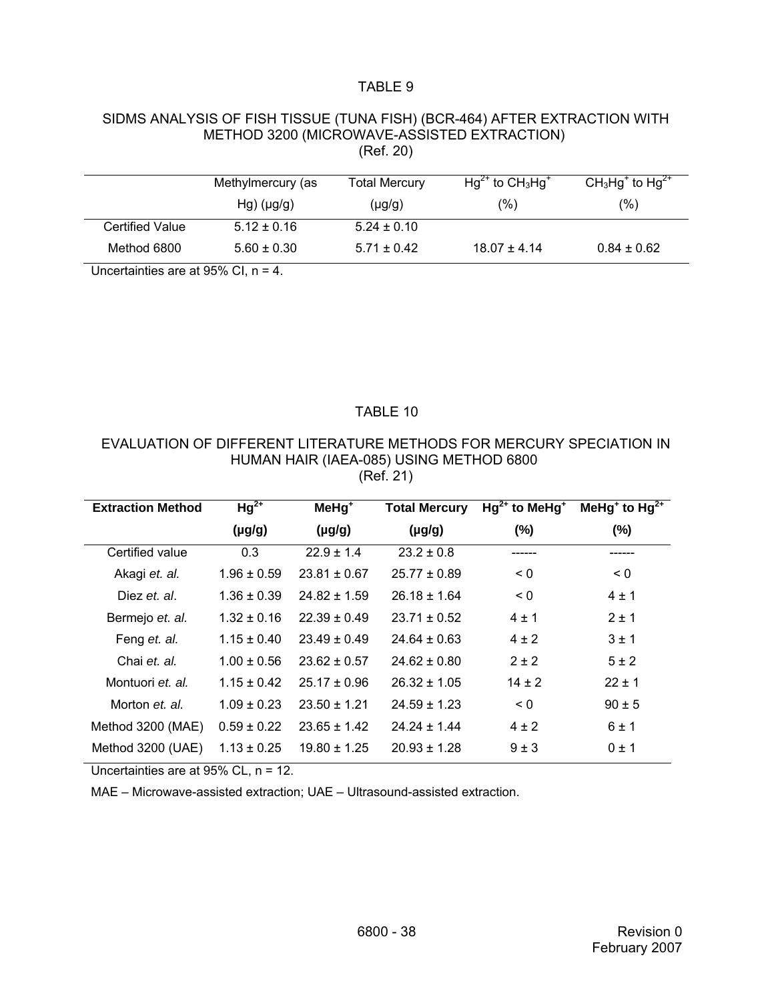### TABLE 9

#### SIDMS ANALYSIS OF FISH TISSUE (TUNA FISH) (BCR-464) AFTER EXTRACTION WITH METHOD 3200 (MICROWAVE-ASSISTED EXTRACTION) (Ref. 20)

|                        | Methylmercury (as  | <b>Total Mercury</b> | $Hg^{2+}$ to $CH_3Hg^+$ | $CH3Hg+$ to $Hg2+$ |
|------------------------|--------------------|----------------------|-------------------------|--------------------|
|                        | $Hg)$ ( $\mu$ g/g) | $(\mu g/g)$          | (%)                     | (%)                |
| <b>Certified Value</b> | $5.12 \pm 0.16$    | $5.24 \pm 0.10$      |                         |                    |
| Method 6800            | $5.60 \pm 0.30$    | $5.71 \pm 0.42$      | $18.07 \pm 4.14$        | $0.84 \pm 0.62$    |

Uncertainties are at 95% CI, n = 4.

### TABLE 10

### EVALUATION OF DIFFERENT LITERATURE METHODS FOR MERCURY SPECIATION IN HUMAN HAIR (IAEA-085) USING METHOD 6800 (Ref. 21)

| <b>Extraction Method</b> | $Hg^{2+}$       | $M$ eHg <sup>+</sup> | <b>Total Mercury</b> | $Hg^{2+}$ to MeHg <sup>+</sup> | MeHg <sup>+</sup> to Hg <sup>2+</sup> |
|--------------------------|-----------------|----------------------|----------------------|--------------------------------|---------------------------------------|
|                          | $(\mu g/g)$     | $(\mu g/g)$          | $(\mu g/g)$          | $(\%)$                         | $(\%)$                                |
| Certified value          | 0.3             | $22.9 \pm 1.4$       | $23.2 \pm 0.8$       |                                |                                       |
| Akagi et. al.            | $1.96 \pm 0.59$ | $23.81 \pm 0.67$     | $25.77 \pm 0.89$     | $\leq 0$                       | $\leq 0$                              |
| Diez et al.              | $1.36 \pm 0.39$ | $24.82 \pm 1.59$     | $26.18 \pm 1.64$     | $\leq 0$                       | $4 \pm 1$                             |
| Bermejo et. al.          | $1.32 \pm 0.16$ | $22.39 \pm 0.49$     | $23.71 \pm 0.52$     | $4 \pm 1$                      | $2 \pm 1$                             |
| Feng et. al.             | $1.15 \pm 0.40$ | $23.49 \pm 0.49$     | $24.64 \pm 0.63$     | $4 \pm 2$                      | $3 \pm 1$                             |
| Chai et. al.             | $1.00 \pm 0.56$ | $23.62 \pm 0.57$     | $24.62 \pm 0.80$     | $2 \pm 2$                      | $5 \pm 2$                             |
| Montuori et al.          | $1.15 \pm 0.42$ | $25.17 \pm 0.96$     | $26.32 \pm 1.05$     | $14 \pm 2$                     | $22 + 1$                              |
| Morton et. al.           | $1.09 \pm 0.23$ | $23.50 \pm 1.21$     | $24.59 \pm 1.23$     | $\leq 0$                       | $90 \pm 5$                            |
| Method 3200 (MAE)        | $0.59 \pm 0.22$ | $23.65 \pm 1.42$     | $24.24 \pm 1.44$     | $4 \pm 2$                      | 6±1                                   |
| Method 3200 (UAE)        | $1.13 \pm 0.25$ | $19.80 \pm 1.25$     | $20.93 \pm 1.28$     | $9 \pm 3$                      | $0 \pm 1$                             |

Uncertainties are at 95% CL, n = 12.

MAE – Microwave-assisted extraction; UAE – Ultrasound-assisted extraction.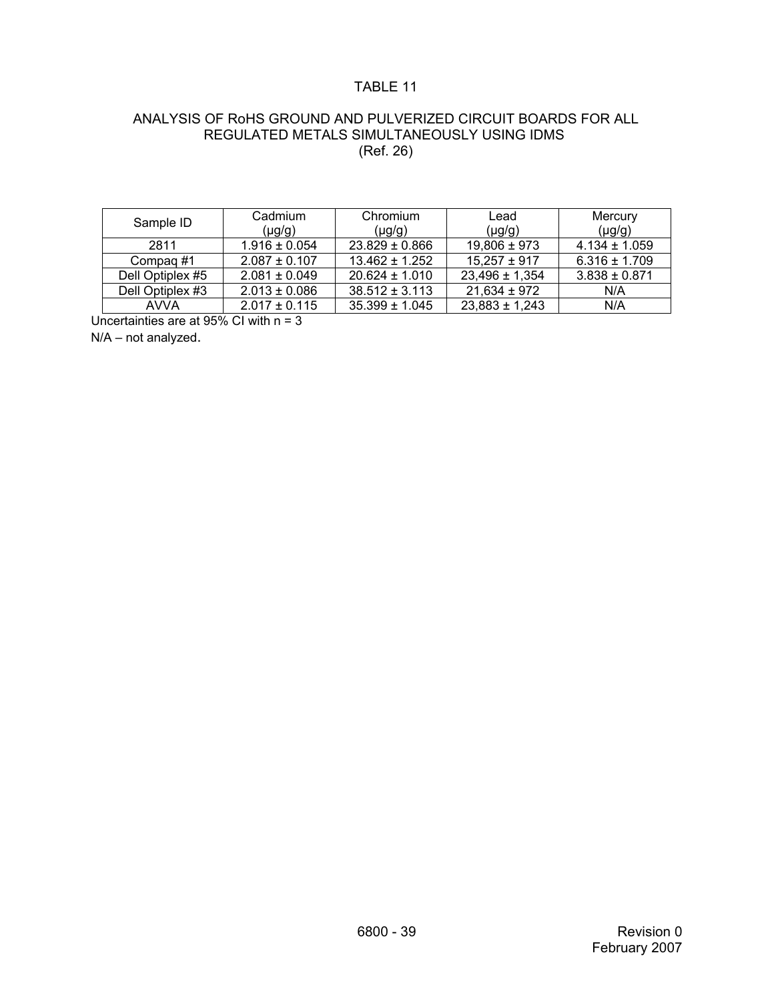# TABLE 11

### ANALYSIS OF RoHS GROUND AND PULVERIZED CIRCUIT BOARDS FOR ALL REGULATED METALS SIMULTANEOUSLY USING IDMS (Ref. 26)

| Sample ID        | Cadmium<br>(µg/g) | Chromium<br>$(\mu g/g)$ | Lead<br>(µg/g)     | Mercury<br>$(\mu g/g)$ |
|------------------|-------------------|-------------------------|--------------------|------------------------|
| 2811             | $1.916 \pm 0.054$ | $23.829 \pm 0.866$      | $19,806 \pm 973$   | $4.134 \pm 1.059$      |
| Compag#1         | $2.087 \pm 0.107$ | $13.462 \pm 1.252$      | $15.257 \pm 917$   | $6.316 \pm 1.709$      |
| Dell Optiplex #5 | $2.081 \pm 0.049$ | $20.624 \pm 1.010$      | $23,496 \pm 1,354$ | $3.838 \pm 0.871$      |
| Dell Optiplex #3 | $2.013 \pm 0.086$ | $38.512 \pm 3.113$      | $21,634 \pm 972$   | N/A                    |
| <b>AVVA</b>      | $2.017 \pm 0.115$ | $35.399 \pm 1.045$      | $23.883 \pm 1.243$ | N/A                    |

Uncertainties are at 95% CI with n = 3

N/A – not analyzed.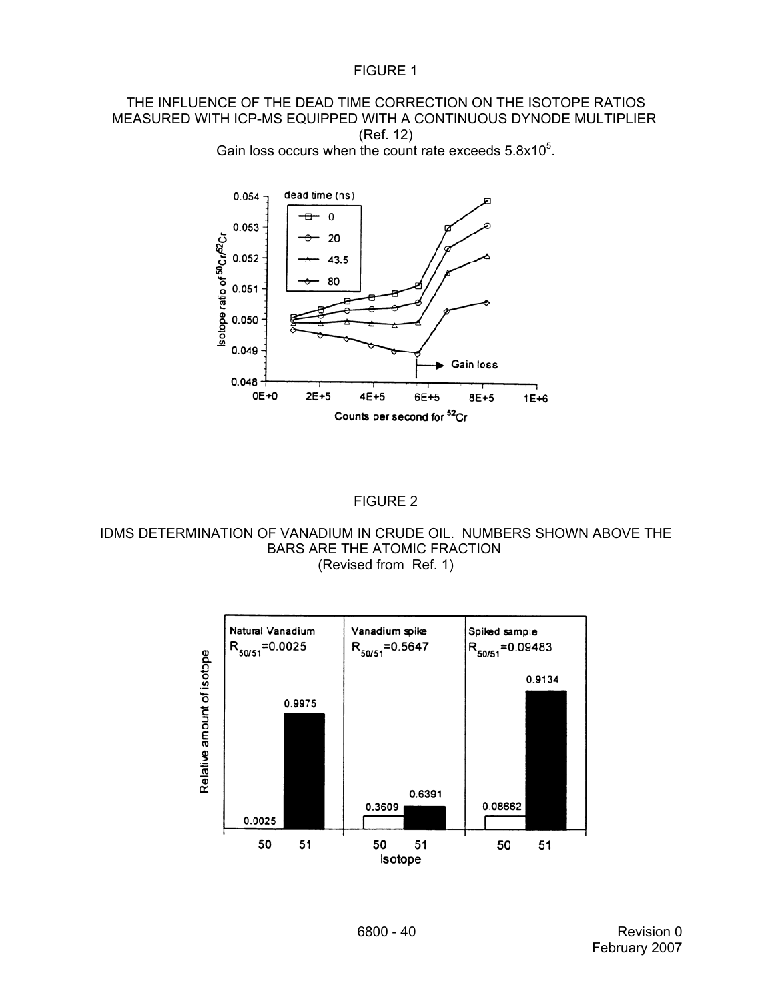### THE INFLUENCE OF THE DEAD TIME CORRECTION ON THE ISOTOPE RATIOS MEASURED WITH ICP-MS EQUIPPED WITH A CONTINUOUS DYNODE MULTIPLIER (Ref. 12) Gain loss occurs when the count rate exceeds  $5.8x10<sup>5</sup>$ .

dead time (ns) 0.054  $\mathsf{o}$ 0.053 20 0.052 43.5



# FIGURE 2

IDMS DETERMINATION OF VANADIUM IN CRUDE OIL. NUMBERS SHOWN ABOVE THE BARS ARE THE ATOMIC FRACTION (Revised from Ref. 1)

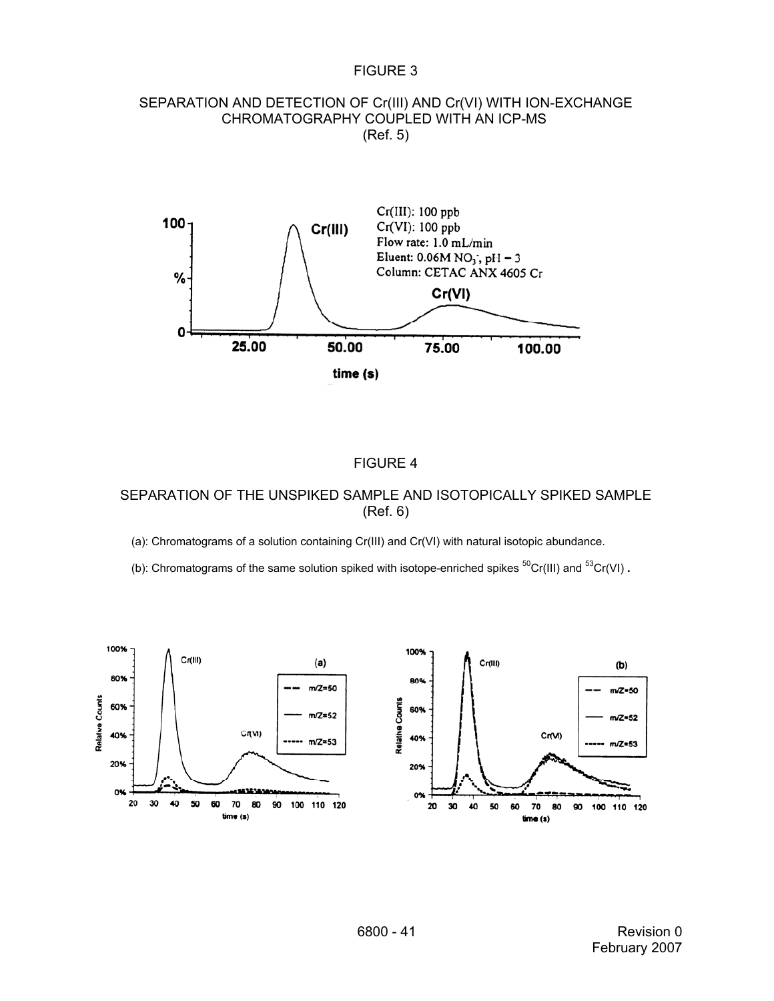### FIGURE 3

#### SEPARATION AND DETECTION OF Cr(III) AND Cr(VI) WITH ION-EXCHANGE CHROMATOGRAPHY COUPLED WITH AN ICP-MS (Ref. 5)



#### FIGURE 4

## SEPARATION OF THE UNSPIKED SAMPLE AND ISOTOPICALLY SPIKED SAMPLE (Ref. 6)

(a): Chromatograms of a solution containing Cr(III) and Cr(VI) with natural isotopic abundance.

(b): Chromatograms of the same solution spiked with isotope-enriched spikes <sup>50</sup>Cr(III) and <sup>53</sup>Cr(VI).

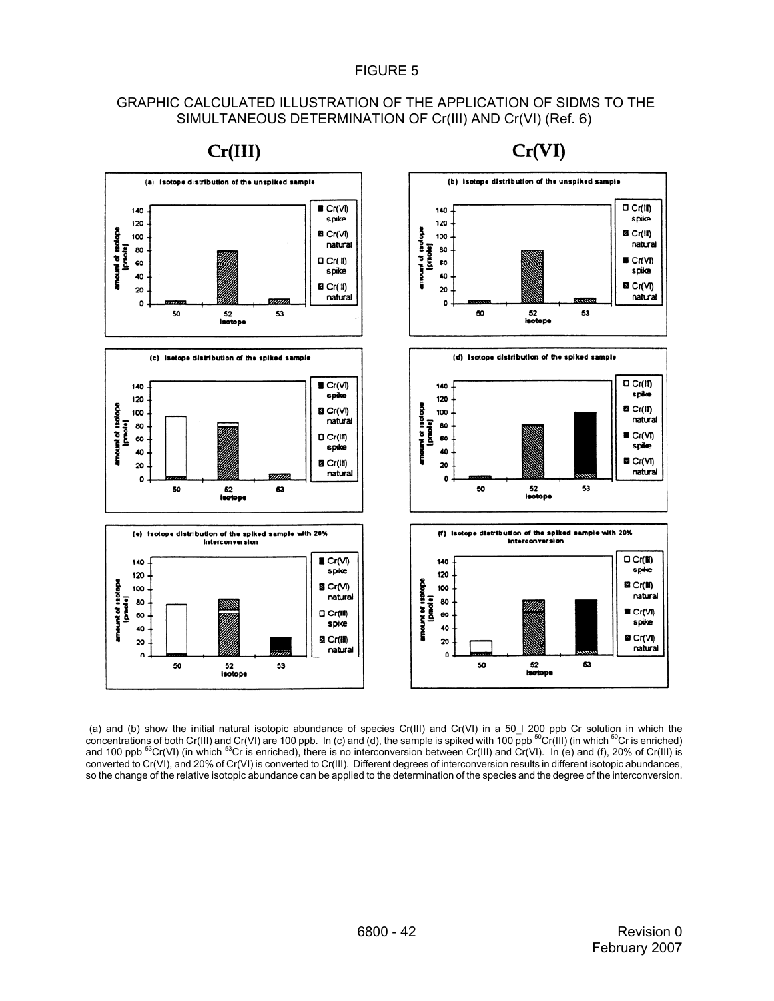### FIGURE 5

### GRAPHIC CALCULATED ILLUSTRATION OF THE APPLICATION OF SIDMS TO THE SIMULTANEOUS DETERMINATION OF Cr(III) AND Cr(VI) (Ref. 6)



 $Cr(III)$ 

 $Cr(VI)$ 

(a) and (b) show the initial natural isotopic abundance of species Cr(III) and Cr(VI) in a 50\_I 200 ppb Cr solution in which the concentrations of both Cr(III) and Cr(VI) are 100 ppb. In (c) and (d), the sample is spiked and 100 ppb  $^{53}Cr(VI)$  (in which  $^{53}Cr$  is enriched), there is no interconversion between Cr(III) and Cr(VI). In (e) and (f), 20% of Cr(III) is converted to Cr(VI), and 20% of Cr(VI) is converted to Cr(III). Different degrees of interconversion results in different isotopic abundances, so the change of the relative isotopic abundance can be applied to the determination of the species and the degree of the interconversion.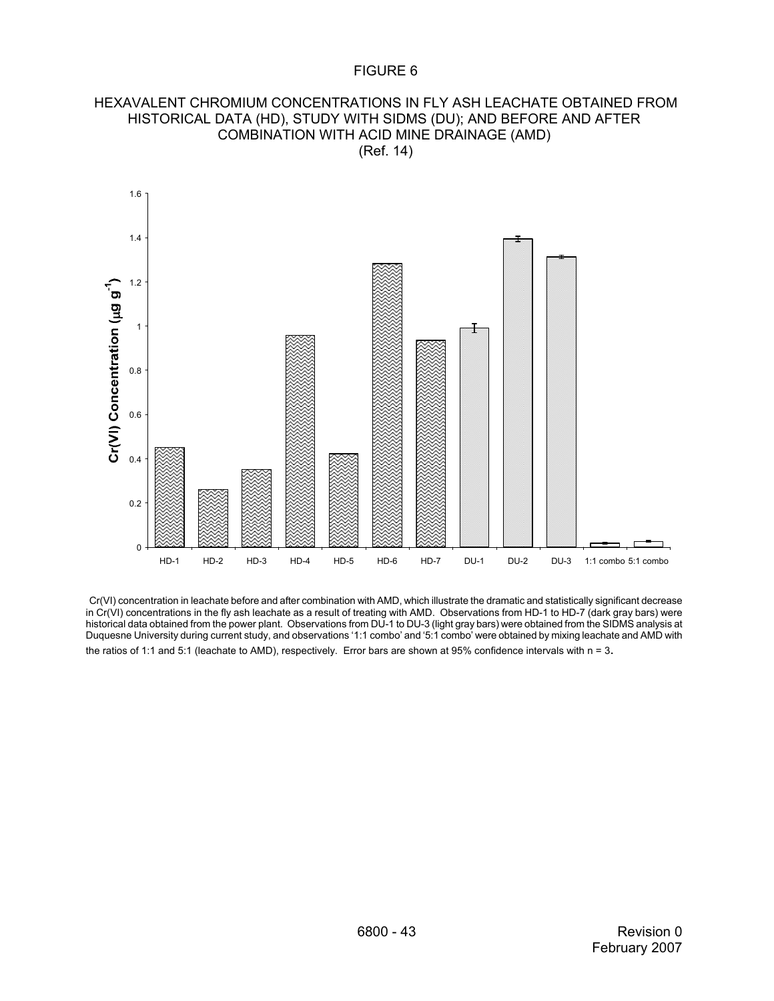### FIGURE 6

#### HEXAVALENT CHROMIUM CONCENTRATIONS IN FLY ASH LEACHATE OBTAINED FROM HISTORICAL DATA (HD), STUDY WITH SIDMS (DU); AND BEFORE AND AFTER COMBINATION WITH ACID MINE DRAINAGE (AMD) (Ref. 14)



Cr(VI) concentration in leachate before and after combination with AMD, which illustrate the dramatic and statistically significant decrease in Cr(VI) concentrations in the fly ash leachate as a result of treating with AMD. Observations from HD-1 to HD-7 (dark gray bars) were historical data obtained from the power plant. Observations from DU-1 to DU-3 (light gray bars) were obtained from the SIDMS analysis at Duquesne University during current study, and observations '1:1 combo' and '5:1 combo' were obtained by mixing leachate and AMD with the ratios of 1:1 and 5:1 (leachate to AMD), respectively. Error bars are shown at 95% confidence intervals with n = 3.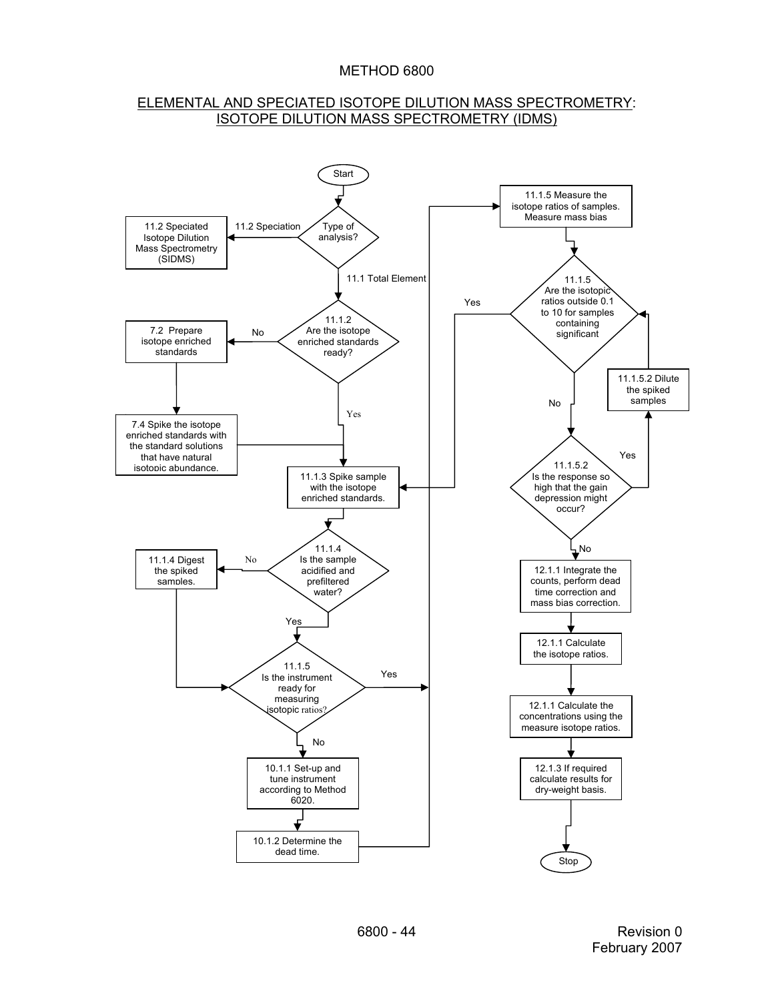### ELEMENTAL AND SPECIATED ISOTOPE DILUTION MASS SPECTROMETRY: ISOTOPE DILUTION MASS SPECTROMETRY (IDMS)

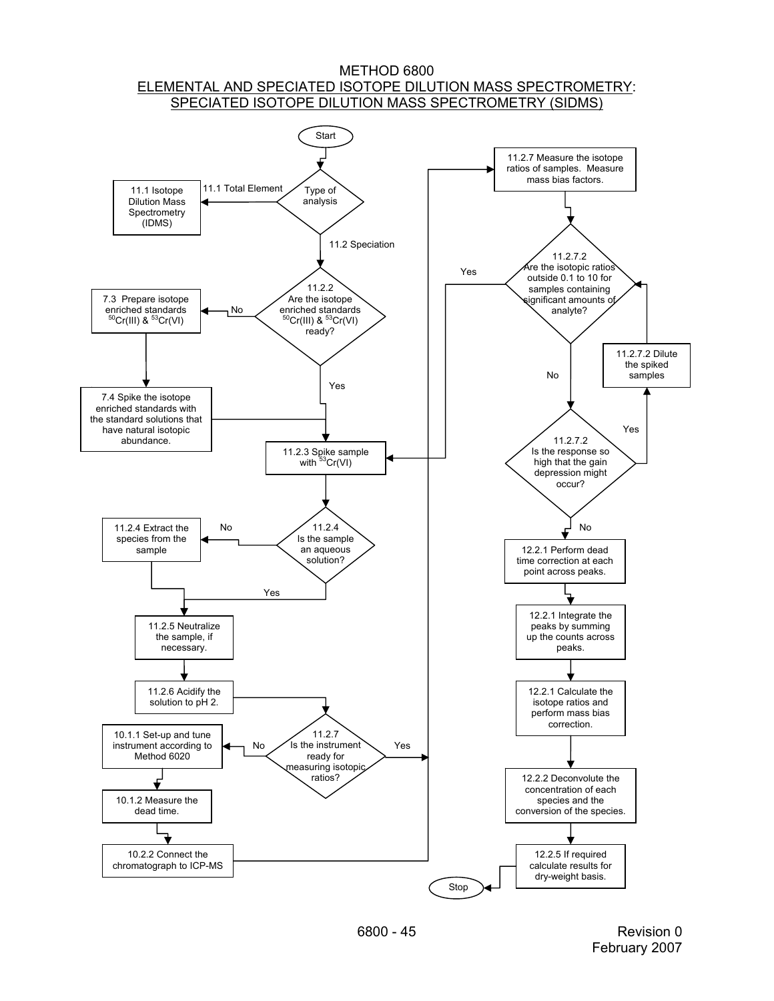#### METHOD 6800 ELEMENTAL AND SPECIATED ISOTOPE DILUTION MASS SPECTROMETRY: SPECIATED ISOTOPE DILUTION MASS SPECTROMETRY (SIDMS)

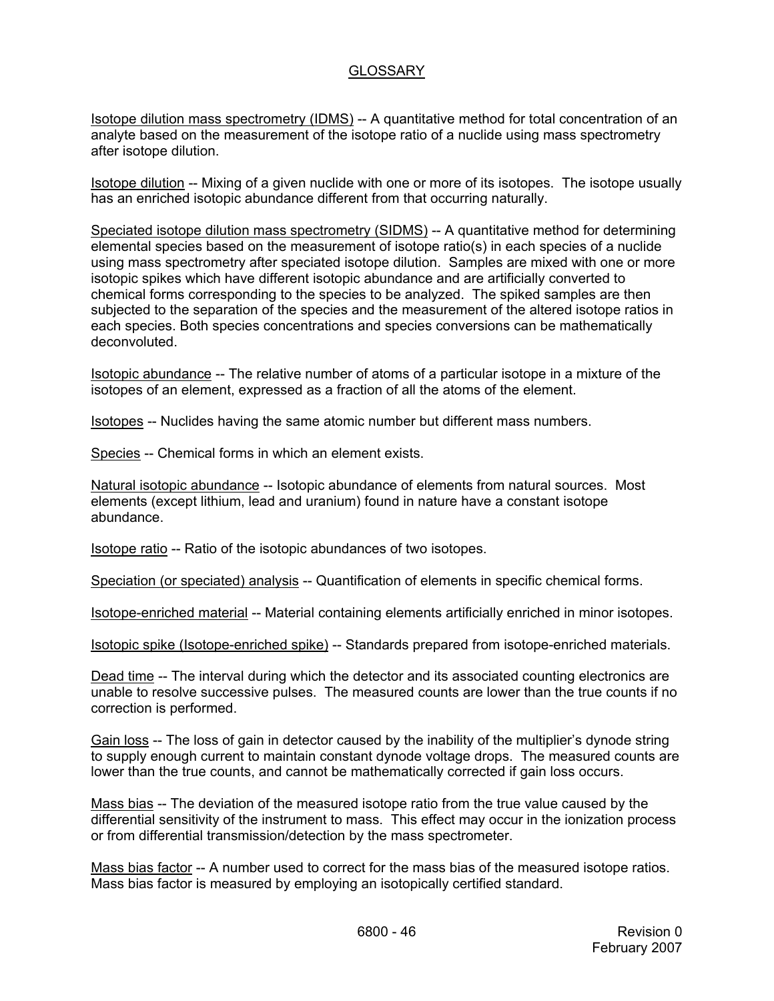# **GLOSSARY**

Isotope dilution mass spectrometry (IDMS) -- A quantitative method for total concentration of an analyte based on the measurement of the isotope ratio of a nuclide using mass spectrometry after isotope dilution.

Isotope dilution -- Mixing of a given nuclide with one or more of its isotopes. The isotope usually has an enriched isotopic abundance different from that occurring naturally.

Speciated isotope dilution mass spectrometry (SIDMS) -- A quantitative method for determining elemental species based on the measurement of isotope ratio(s) in each species of a nuclide using mass spectrometry after speciated isotope dilution. Samples are mixed with one or more isotopic spikes which have different isotopic abundance and are artificially converted to chemical forms corresponding to the species to be analyzed. The spiked samples are then subjected to the separation of the species and the measurement of the altered isotope ratios in each species. Both species concentrations and species conversions can be mathematically deconvoluted.

Isotopic abundance -- The relative number of atoms of a particular isotope in a mixture of the isotopes of an element, expressed as a fraction of all the atoms of the element.

Isotopes -- Nuclides having the same atomic number but different mass numbers.

Species -- Chemical forms in which an element exists.

Natural isotopic abundance -- Isotopic abundance of elements from natural sources. Most elements (except lithium, lead and uranium) found in nature have a constant isotope abundance.

Isotope ratio -- Ratio of the isotopic abundances of two isotopes.

Speciation (or speciated) analysis -- Quantification of elements in specific chemical forms.

Isotope-enriched material -- Material containing elements artificially enriched in minor isotopes.

Isotopic spike (Isotope-enriched spike) -- Standards prepared from isotope-enriched materials.

Dead time -- The interval during which the detector and its associated counting electronics are unable to resolve successive pulses. The measured counts are lower than the true counts if no correction is performed.

Gain loss -- The loss of gain in detector caused by the inability of the multiplier's dynode string to supply enough current to maintain constant dynode voltage drops. The measured counts are lower than the true counts, and cannot be mathematically corrected if gain loss occurs.

Mass bias -- The deviation of the measured isotope ratio from the true value caused by the differential sensitivity of the instrument to mass. This effect may occur in the ionization process or from differential transmission/detection by the mass spectrometer.

Mass bias factor -- A number used to correct for the mass bias of the measured isotope ratios. Mass bias factor is measured by employing an isotopically certified standard.